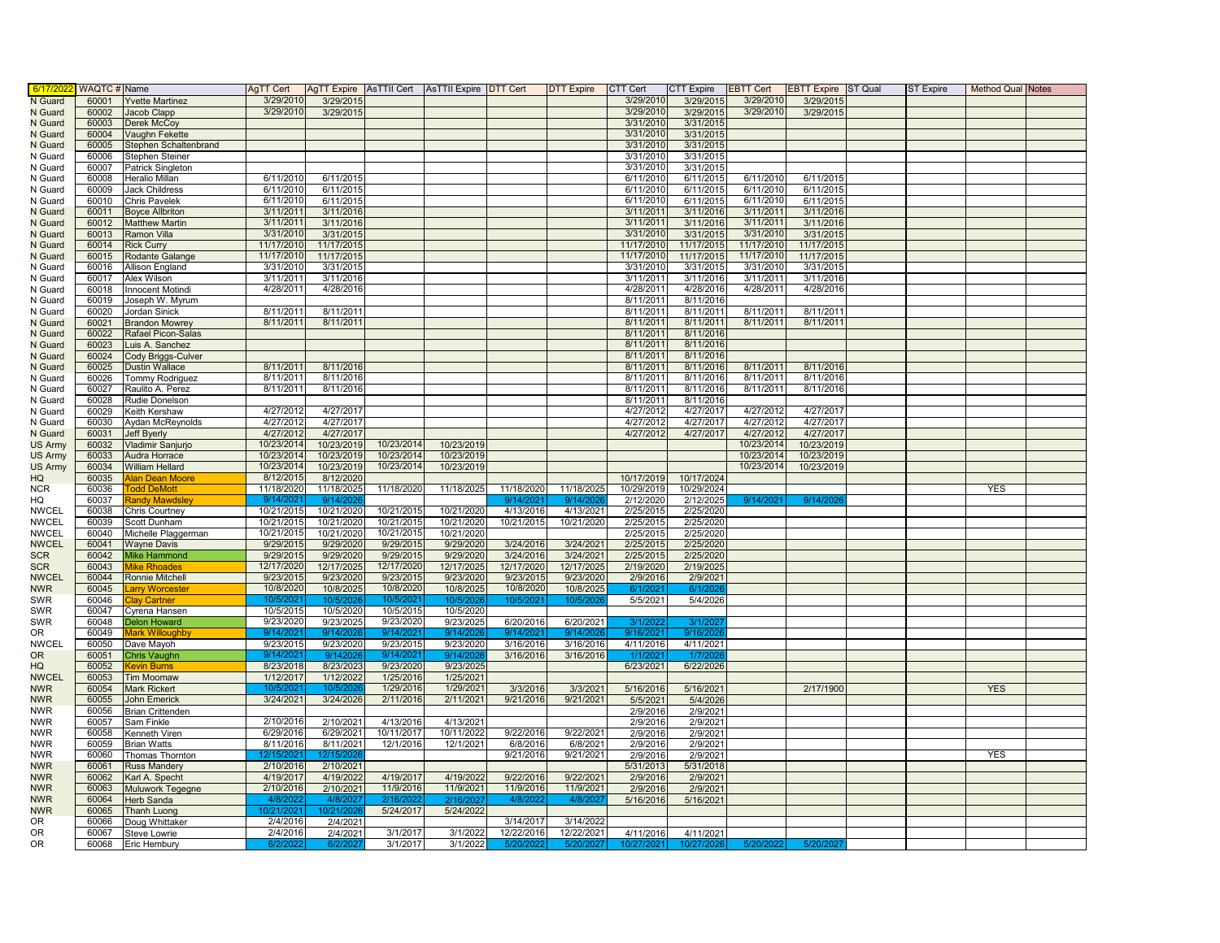| 6/17/202                    | <b>WAQTC # Name</b> |                                             | AgTT Cert              |                          |                         | AgTT Expire   AsTTII Cert   AsTTII Expire   DTT Cert |                         | <b>DTT Expire</b>       | CTT Cert               | CTT Expire             | <b>EBTT Cert</b> | <b>EBTT Expire</b> ST Qual | ST Expire | <b>Method Qual Notes</b> |  |
|-----------------------------|---------------------|---------------------------------------------|------------------------|--------------------------|-------------------------|------------------------------------------------------|-------------------------|-------------------------|------------------------|------------------------|------------------|----------------------------|-----------|--------------------------|--|
| N Guard                     | 60001               | <b>Yvette Martinez</b>                      | 3/29/2010              | 3/29/201                 |                         |                                                      |                         |                         | 3/29/2010              | 3/29/2015              | 3/29/201         | 3/29/201                   |           |                          |  |
| N Guard                     | 60002               | Jacob Clapp                                 | 3/29/2010              | 3/29/2015                |                         |                                                      |                         |                         | 3/29/2010              | 3/29/2015              | 3/29/2010        | 3/29/2015                  |           |                          |  |
| N Guard                     | 60003               | Derek McCoy                                 |                        |                          |                         |                                                      |                         |                         | 3/31/2010              | 3/31/2015              |                  |                            |           |                          |  |
| N Guard                     | 60004               | Vaughn Fekette                              |                        |                          |                         |                                                      |                         |                         | 3/31/2010              | 3/31/2015              |                  |                            |           |                          |  |
| N Guard                     | 60005               | Stephen Schaltenbrand                       |                        |                          |                         |                                                      |                         |                         | 3/31/2010              | 3/31/2015              |                  |                            |           |                          |  |
| N Guard                     | 60006               | Stephen Steiner                             |                        |                          |                         |                                                      |                         |                         | 3/31/2010              | 3/31/2015              |                  |                            |           |                          |  |
| N Guard                     | 60007               | Patrick Singleton                           |                        |                          |                         |                                                      |                         |                         | 3/31/2010              | 3/31/2015              |                  |                            |           |                          |  |
| N Guard                     | 60008               | Heralio Millan                              | 6/11/2010              | 6/11/2015                |                         |                                                      |                         |                         | 6/11/2010              | 6/11/2015              | 6/11/2010        | 6/11/2015                  |           |                          |  |
| N Guard                     | 60009               | <b>Jack Childress</b>                       | 6/11/2010              | 6/11/2015                |                         |                                                      |                         |                         | 6/11/2010              | 6/11/2015              | 6/11/2010        | 6/11/2015                  |           |                          |  |
| N Guard                     | 60010               | Chris Pavelek                               | 6/11/2010              | 6/11/2015                |                         |                                                      |                         |                         | 6/11/2010              | 6/11/2015              | 6/11/2010        | 6/11/2015                  |           |                          |  |
| N Guard                     | 60011               | <b>Boyce Allbriton</b>                      | 3/11/201               | 3/11/2016                |                         |                                                      |                         |                         | 3/11/2011              | 3/11/2016              | 3/11/2011        | 3/11/2016                  |           |                          |  |
| N Guard                     | 60012               | <b>Matthew Martin</b>                       | 3/11/201               | 3/11/2016                |                         |                                                      |                         |                         | 3/11/2011              | 3/11/2016              | 3/11/201         | 3/11/2016                  |           |                          |  |
| N Guard                     | 60013               | Ramon Villa                                 | 3/31/2010              | 3/31/2015                |                         |                                                      |                         |                         | 3/31/2010              | 3/31/201               | 3/31/2010        | 3/31/2015                  |           |                          |  |
| N Guard                     | 60014               | <b>Rick Curry</b>                           | 11/17/2010             | 11/17/2015               |                         |                                                      |                         |                         | 11/17/2010             | 11/17/2015             | 11/17/2010       | 11/17/2015                 |           |                          |  |
| N Guard                     | 60015               | Rodante Galange                             | 11/17/2010             | 11/17/2015               |                         |                                                      |                         |                         | 11/17/2010             | 11/17/2015             | 11/17/2010       | 11/17/2015                 |           |                          |  |
| N Guard                     | 60016               | <b>Allison England</b>                      | 3/31/2010              | 3/31/2015                |                         |                                                      |                         |                         | 3/31/2010              | 3/31/2015              | 3/31/2010        | 3/31/2015                  |           |                          |  |
| N Guard                     | 60017               | <b>Alex Wilson</b>                          | 3/11/201               | 3/11/2016                |                         |                                                      |                         |                         | 3/11/201               | 3/11/2016              | 3/11/2011        | 3/11/2016                  |           |                          |  |
| N Guard                     | 60018               | <b>Innocent Motindi</b>                     | 4/28/2011              | 4/28/2016                |                         |                                                      |                         |                         | 4/28/2011              | 4/28/2016              | 4/28/201         | 4/28/2016                  |           |                          |  |
| N Guard                     | 60019               | Joseph W. Myrum                             |                        |                          |                         |                                                      |                         |                         | 8/11/2011              | 8/11/2016              |                  |                            |           |                          |  |
| N Guard                     | 60020               | Jordan Sinick                               | 8/11/201               | 8/11/201                 |                         |                                                      |                         |                         | 8/11/2011              | 8/11/2011              | 8/11/2011        | 8/11/201                   |           |                          |  |
| N Guard                     | 60021               | <b>Brandon Mowrey</b>                       | 8/11/2011              | 8/11/2011                |                         |                                                      |                         |                         | 8/11/2011              | 8/11/2011              | 8/11/2011        | 8/11/201                   |           |                          |  |
| N Guard                     | 60022               | Rafael Picon-Salas                          |                        |                          |                         |                                                      |                         |                         | 8/11/2011              | 8/11/2016              |                  |                            |           |                          |  |
| N Guard                     | 60023               | Luis A. Sanchez                             |                        |                          |                         |                                                      |                         |                         | 8/11/2011              | 8/11/2016              |                  |                            |           |                          |  |
| N Guard                     | 60024               | Cody Briggs-Culver                          |                        |                          |                         |                                                      |                         |                         | 8/11/2011              | 8/11/2016              |                  |                            |           |                          |  |
| N Guard                     | 60025               | <b>Dustin Wallace</b>                       | 8/11/2011              | 8/11/2016                |                         |                                                      |                         |                         | 8/11/2011              | 8/11/2016              | 8/11/2011        | 8/11/201                   |           |                          |  |
| N Guard                     | 60026               | Tommy Rodriguez                             | 8/11/2011              | 8/11/2016                |                         |                                                      |                         |                         | 8/11/201               | 8/11/2016              | 8/11/2011        | 8/11/201                   |           |                          |  |
| N Guard                     | 60027               | Raulito A. Perez                            | 8/11/2011              | 8/11/2016                |                         |                                                      |                         |                         | 8/11/2011              | 8/11/2016              | 8/11/2011        | 8/11/2016                  |           |                          |  |
| N Guard                     | 60028               | Rudie Donelson                              |                        |                          |                         |                                                      |                         |                         | 8/11/2011              | 8/11/2016              |                  |                            |           |                          |  |
| N Guard                     | 60029               | Keith Kershaw                               | 4/27/2012              | 4/27/2017                |                         |                                                      |                         |                         | 4/27/2012              | 4/27/2017              | 4/27/2012        | 4/27/2017                  |           |                          |  |
|                             | 60030               | Aydan McReynolds                            | 4/27/2012              | 4/27/2017                |                         |                                                      |                         |                         | 4/27/2012              | 4/27/2017              | 4/27/2012        | 4/27/2017                  |           |                          |  |
| N Guard<br>N Guard          | 60031               | Jeff Byerly                                 | 4/27/2012              | 4/27/2017                |                         |                                                      |                         |                         | 4/27/2012              | 4/27/2017              | 4/27/2012        | 4/27/2017                  |           |                          |  |
|                             | 60032               |                                             | 10/23/2014             | 10/23/2019               | 10/23/2014              | 10/23/2019                                           |                         |                         |                        |                        | 10/23/2014       | 10/23/2019                 |           |                          |  |
| US Army                     | 60033               | Vladimir Sanjurjo                           | 10/23/2014             | 10/23/2019               | 10/23/2014              | 10/23/2019                                           |                         |                         |                        |                        | 10/23/2014       | 10/23/2019                 |           |                          |  |
| <b>US Army</b>              |                     | Audra Horrace<br><b>William Hellard</b>     | 10/23/2014             | 10/23/2019               | 10/23/2014              |                                                      |                         |                         |                        |                        | 10/23/2014       |                            |           |                          |  |
| <b>US Army</b><br>HQ        | 60034<br>60035      |                                             | 8/12/2015              |                          |                         | 10/23/2019                                           |                         |                         | 10/17/2019             | 10/17/2024             |                  | 10/23/2019                 |           |                          |  |
| <b>NCR</b>                  | 60036               | <b>Nan Dean Moore</b><br><b>Todd DeMott</b> | 11/18/2020             | 8/12/2020<br>11/18/2025  | 11/18/2020              | 11/18/2025                                           | 11/18/2020              | 11/18/2025              | 10/29/2019             | 10/29/2024             |                  |                            |           | <b>YES</b>               |  |
|                             |                     |                                             |                        |                          |                         |                                                      |                         |                         |                        |                        | 9/14/202         |                            |           |                          |  |
| HQ<br><b>NWCEL</b>          | 60037<br>60038      | <b>Randy Mawdsley</b>                       | 9/14/202<br>10/21/2015 | 9/14/20                  | 10/21/2015              |                                                      | 9/14/202                | 9/14/20                 | 2/12/2020              | 2/12/2025              |                  | 9/14/202                   |           |                          |  |
| <b>NWCEL</b>                | 60039               | Chris Courtney                              | 10/21/2015             | 10/21/2020               | 10/21/2015              | 10/21/2020<br>10/21/2020                             | 4/13/2016               | 4/13/2021<br>10/21/2020 | 2/25/2015<br>2/25/2015 | 2/25/2020<br>2/25/2020 |                  |                            |           |                          |  |
| <b>NWCEL</b>                | 60040               | Scott Dunham                                | 10/21/2015             | 10/21/2020<br>10/21/2020 | 10/21/2015              | 10/21/2020                                           | 10/21/2015              |                         | 2/25/2015              | 2/25/2020              |                  |                            |           |                          |  |
| <b>NWCEL</b>                | 60041               | Michelle Plaggerman                         | 9/29/2015              |                          |                         | 9/29/2020                                            | 3/24/2016               | 3/24/2021               | 2/25/2015              | 2/25/2020              |                  |                            |           |                          |  |
|                             |                     | <b>Wayne Davis</b>                          | 9/29/201               | 9/29/2020<br>9/29/2020   | 9/29/2015<br>9/29/2015  | 9/29/2020                                            |                         |                         |                        |                        |                  |                            |           |                          |  |
| <b>SCR</b><br><b>SCR</b>    | 60042<br>60043      | <b>Mike Hammond</b><br><b>Mike Rhoades</b>  | 12/17/2020             | 12/17/2025               | 12/17/2020              | 12/17/2025                                           | 3/24/2016<br>12/17/2020 | 3/24/2021<br>12/17/2025 | 2/25/2015<br>2/19/2020 | 2/25/2020<br>2/19/2025 |                  |                            |           |                          |  |
| <b>NWCEL</b>                | 60044               |                                             | 9/23/2015              |                          | 9/23/2015               | 9/23/2020                                            | 9/23/2015               |                         | 2/9/2016               | 2/9/2021               |                  |                            |           |                          |  |
| <b>NWR</b>                  | 60045               | Ronnie Mitchell                             | 10/8/2020              | 9/23/2020<br>10/8/2025   | 10/8/2020               | 10/8/2025                                            | 10/8/2020               | 9/23/2020<br>10/8/2025  | 6/1/202                | 6/1/202                |                  |                            |           |                          |  |
|                             |                     | Larry Worcester                             |                        |                          |                         |                                                      |                         |                         | 5/5/2021               | 5/4/2026               |                  |                            |           |                          |  |
| SWR                         | 60046<br>60047      | <b>Cartner</b>                              | 10/5/202               | 10/5/202                 | 10/5/202                | 10/5/202                                             | 10/5/202                | 10/5/2026               |                        |                        |                  |                            |           |                          |  |
| SWR                         |                     | Cyrena Hansen                               | 10/5/2015<br>9/23/2020 | 10/5/2020                | 10/5/2015<br>9/23/2020  | 10/5/2020<br>9/23/2025                               | 6/20/2016               | 6/20/2021               |                        |                        |                  |                            |           |                          |  |
| SWR<br>0R                   | 60048<br>60049      | <b>Delon Howard</b><br>Mark Willoughby      | 9/14/202               | 9/23/2025<br>9/14/20     | 9/14/202                | 9/14/20                                              | 9/14/20                 | 9/14/20                 | 3/1/202<br>9/16/2021   | 3/1/20<br>9/16/202     |                  |                            |           |                          |  |
| <b>NWCEL</b>                | 60050               |                                             |                        | 9/23/2020                |                         | 9/23/2020                                            | 3/16/2016               |                         |                        | 4/11/2021              |                  |                            |           |                          |  |
| <b>OR</b>                   | 60051               | Dave Mayoh<br>Chris Vaughn                  | 9/23/2015<br>9/14/202  | 9/1420                   | 9/23/2015<br>9/14/202   | 9/14/20                                              | 3/16/2016               | 3/16/2016<br>3/16/2016  | 4/11/2016<br>1/1/202   | 1/7/202                |                  |                            |           |                          |  |
| HQ                          | 60052               | <b>Kevin Burns</b>                          | 8/23/2018              | 8/23/2023                | 9/23/2020               | 9/23/2025                                            |                         |                         | 6/23/2021              | 6/22/2026              |                  |                            |           |                          |  |
| <b>NWCEL</b>                | 60053               | <b>Tim Moomaw</b>                           | 1/12/2017              | 1/12/2022                | 1/25/2016               | 1/25/2021                                            |                         |                         |                        |                        |                  |                            |           |                          |  |
| <b>NWR</b>                  | 60054               | <b>Mark Rickert</b>                         | 10/5/202               | 10/5/20                  | 1/29/2016               | 1/29/2021                                            | 3/3/2016                | 3/3/2021                | 5/16/2016              | 5/16/2021              |                  | 2/17/1900                  |           | <b>YES</b>               |  |
| <b>NWR</b>                  | 60055               | <b>John Emerick</b>                         | 3/24/2021              | 3/24/2026                | 2/11/2016               | 2/11/2021                                            | 9/21/2016               | 9/21/2021               | 5/5/2021               | 5/4/2026               |                  |                            |           |                          |  |
|                             |                     |                                             |                        |                          |                         |                                                      |                         |                         |                        |                        |                  |                            |           |                          |  |
| <b>NWR</b>                  | 60056               | <b>Brian Crittenden</b>                     | 2/10/2016              | 2/10/2021                | 4/13/2016               | 4/13/2021                                            |                         |                         | 2/9/2016               | 2/9/2021               |                  |                            |           |                          |  |
| <b>NWR</b>                  | 60057               | Sam Finkle                                  |                        |                          |                         |                                                      |                         |                         | 2/9/2016               | 2/9/2021               |                  |                            |           |                          |  |
| <b>NWR</b><br><b>NWR</b>    | 60058<br>60059      | Kenneth Viren                               | 6/29/2016              | 6/29/202                 | 10/11/2017<br>12/1/2016 | 10/11/2022<br>12/1/2021                              | 9/22/2016<br>6/8/2016   | 9/22/2021<br>6/8/2021   | 2/9/2016               | 2/9/2021               |                  |                            |           |                          |  |
|                             | 60060               | <b>Brian Watts</b>                          | 8/11/2016<br>12/15/202 | 8/11/2021                |                         |                                                      | 9/21/2016               | 9/21/2021               | 2/9/2016               | 2/9/2021               |                  |                            |           | <b>YES</b>               |  |
| <b>NWR</b>                  |                     | Thomas Thornton                             |                        | 12/15/20                 |                         |                                                      |                         |                         | 2/9/2016               | 2/9/2021               |                  |                            |           |                          |  |
| <b>NWR</b>                  | 60061               | <b>Russ Mandery</b>                         | 2/10/2016              | 2/10/2021                |                         |                                                      |                         |                         | 5/31/2013              | 5/31/2018              |                  |                            |           |                          |  |
| <b>NWR</b>                  | 60062               | Karl A. Specht                              | 4/19/2017              | 4/19/2022                | 4/19/2017               | 4/19/2022<br>11/9/2021                               | 9/22/2016<br>11/9/2016  | 9/22/2021<br>11/9/2021  | 2/9/2016               | 2/9/2021               |                  |                            |           |                          |  |
| <b>NWR</b><br><b>NWR</b>    | 60063<br>60064      | Muluwork Tegegne                            | 2/10/2016<br>4/8/202   | 2/10/2021                | 11/9/2016<br>2/16/3     |                                                      | 4/8/202                 | 4/8/202                 | 2/9/2016               | 2/9/2021               |                  |                            |           |                          |  |
| <b>NWR</b>                  | 60065               | <b>Herb Sanda</b>                           | 10/21/202              | 4/8/202<br>0/21/20       | 5/24/2017               | 2/16/202<br>5/24/2022                                |                         |                         | 5/16/2016              | 5/16/2021              |                  |                            |           |                          |  |
| <b>OR</b>                   | 60066               | <b>Thanh Luong</b>                          |                        |                          |                         |                                                      | 3/14/2017               | 3/14/2022               |                        |                        |                  |                            |           |                          |  |
|                             | 60067               | Doug Whittaker                              | 2/4/2016               | 2/4/2021                 |                         |                                                      | 12/22/2016              |                         |                        |                        |                  |                            |           |                          |  |
| 0 <sub>R</sub><br><b>OR</b> | 60068               | Steve Lowrie                                | 2/4/2016               | 2/4/2021                 | 3/1/2017<br>3/1/2017    | 3/1/2022                                             |                         | 12/22/2021              | 4/11/2016              | 4/11/2021              |                  | 5/20/202                   |           |                          |  |
|                             |                     | Eric Hembury                                | 6/2/2022               | 6/2/202                  |                         | 3/1/2022                                             | 5/20/2022               | 5/20/2027               | 10/27/2021             | 10/27/2026             | 5/20/2022        |                            |           |                          |  |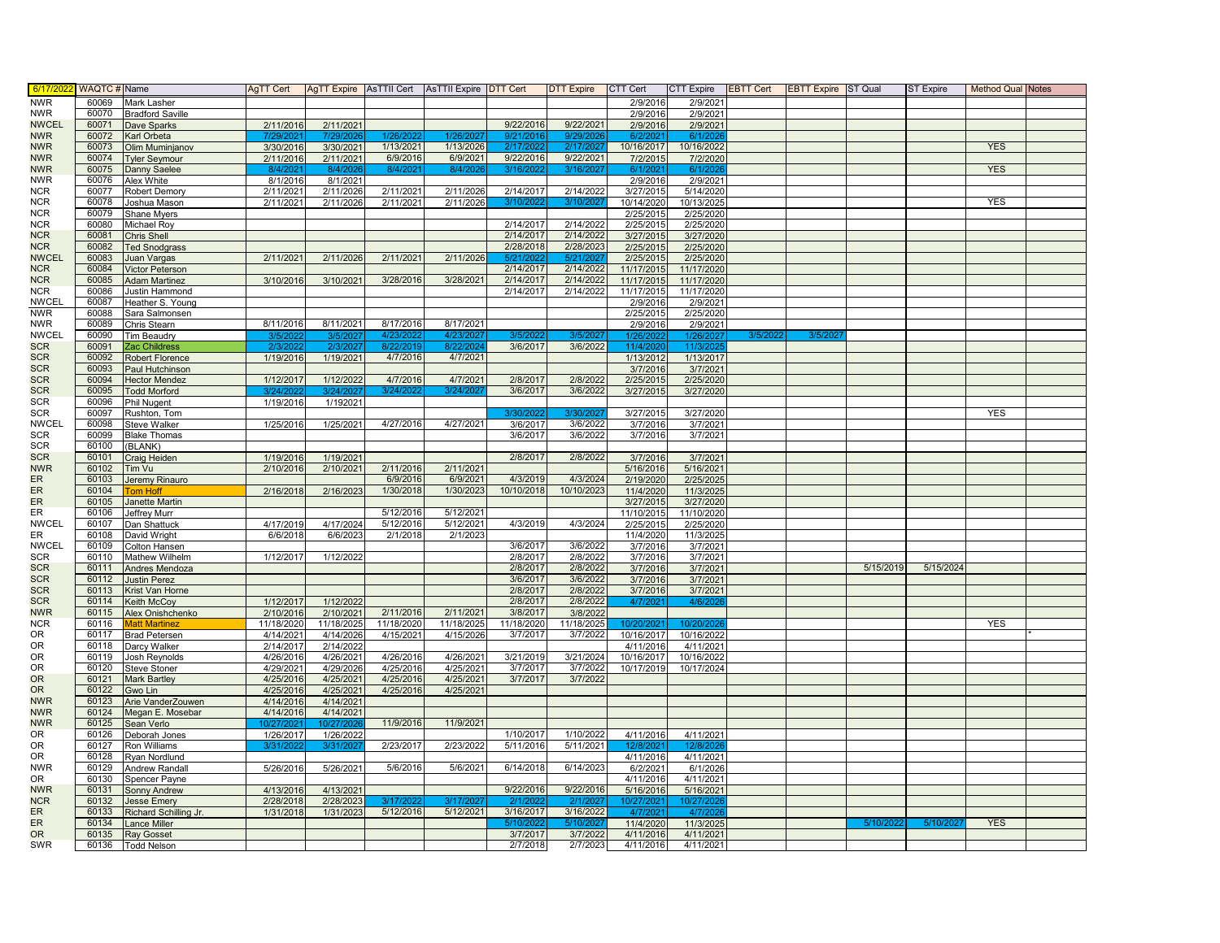| 6/17/202                   | <b>WAQTC#</b> Name |                                             | <b>AgTT Cert</b>        |                         | AgTT Expire   AsTTII Cert   AsTTII Expire   DTT Cert |                        |                        | <b>DTT Expire</b>      | CTT Cert                          | <b>CTT Expire</b>      | <b>EBTT Cert</b> | <b>EBTT Expire</b> ST Qual |           | ST Expire | <b>Method Qual Notes</b> |  |
|----------------------------|--------------------|---------------------------------------------|-------------------------|-------------------------|------------------------------------------------------|------------------------|------------------------|------------------------|-----------------------------------|------------------------|------------------|----------------------------|-----------|-----------|--------------------------|--|
| <b>NWR</b>                 | 60069              | Mark Lasher                                 |                         |                         |                                                      |                        |                        |                        | 2/9/2016                          | 2/9/2021               |                  |                            |           |           |                          |  |
| <b>NWR</b>                 | 60070              | <b>Bradford Saville</b>                     |                         |                         |                                                      |                        |                        |                        | 2/9/2016                          | 2/9/2021               |                  |                            |           |           |                          |  |
| <b>NWCEL</b>               | 60071              | Dave Sparks                                 | 2/11/2016               | 2/11/2021               |                                                      |                        | 9/22/2016              | 9/22/2021              | 2/9/2016                          | 2/9/2021               |                  |                            |           |           |                          |  |
| <b>NWR</b><br><b>NWR</b>   | 60072<br>60073     | <b>Karl Orbeta</b>                          | 7/29/21<br>3/30/2016    | 7/29/<br>3/30/2021      | 1/13/2021                                            | 1/13/2026              | 9/21/<br>2/17/202      | 9/29'<br>2/17/202      | 6/2/202<br>10/16/2017             | 6/1/20<br>10/16/2022   |                  |                            |           |           | <b>YES</b>               |  |
| <b>NWR</b>                 | 60074              | Olim Muminjanov<br><b>Tyler Seymour</b>     | 2/11/2016               | 2/11/2021               | 6/9/2016                                             | 6/9/2021               | 9/22/2016              | 9/22/2021              | 7/2/2015                          | 7/2/2020               |                  |                            |           |           |                          |  |
| <b>NWR</b>                 | 60075              | Danny Saelee                                | 8/4/202                 | 8/4/20                  | 8/4/202                                              | 8/4/20                 | 3/16/20                | 3/16/                  | 6/1/202                           | 6/1/20                 |                  |                            |           |           | <b>YES</b>               |  |
| <b>NWR</b>                 | 60076              | Alex White                                  | 8/1/2016                | 8/1/2021                |                                                      |                        |                        |                        | 2/9/2016                          | 2/9/2021               |                  |                            |           |           |                          |  |
| <b>NCR</b>                 | 60077              | Robert Demory                               | 2/11/2021               | 2/11/2026               | 2/11/2021                                            | 2/11/2026              | 2/14/2017              | 2/14/2022              | 3/27/2015                         | 5/14/2020              |                  |                            |           |           |                          |  |
| <b>NCR</b>                 | 60078              | Joshua Mason                                | 2/11/2021               | 2/11/2026               | 2/11/2021                                            | 2/11/2026              | 3/10/202               | 3/10/202               | 10/14/2020                        | 10/13/2025             |                  |                            |           |           | <b>YES</b>               |  |
| <b>NCR</b>                 | 60079              | Shane Myers                                 |                         |                         |                                                      |                        |                        |                        | 2/25/2015                         | 2/25/2020              |                  |                            |           |           |                          |  |
| <b>NCR</b>                 | 60080              | Michael Roy                                 |                         |                         |                                                      |                        | 2/14/2017<br>2/14/2017 | 2/14/2022<br>2/14/2022 | 2/25/201                          | 2/25/2020              |                  |                            |           |           |                          |  |
| <b>NCR</b><br><b>NCR</b>   | 60081<br>60082     | Chris Shell<br><b>Ted Snodgrass</b>         |                         |                         |                                                      |                        | 2/28/2018              | 2/28/2023              | 3/27/2015<br>2/25/2015            | 3/27/2020<br>2/25/2020 |                  |                            |           |           |                          |  |
| <b>NWCEL</b>               | 60083              | Juan Vargas                                 | 2/11/2021               | 2/11/2026               | 2/11/2021                                            | 2/11/2026              |                        |                        | 2/25/2015                         | 2/25/2020              |                  |                            |           |           |                          |  |
| <b>NCR</b>                 | 60084              | <b>Victor Peterson</b>                      |                         |                         |                                                      |                        | 2/14/2017              | 2/14/2022              | 11/17/2015                        | 11/17/2020             |                  |                            |           |           |                          |  |
| <b>NCR</b>                 | 60085              | <b>Adam Martinez</b>                        | 3/10/2016               | 3/10/2021               | 3/28/2016                                            | 3/28/2021              | 2/14/2017              | 2/14/2022              | 11/17/2015                        | 11/17/2020             |                  |                            |           |           |                          |  |
| <b>NCR</b>                 | 60086              | Justin Hammond                              |                         |                         |                                                      |                        | 2/14/2017              | 2/14/2022              | 11/17/2015                        | 11/17/2020             |                  |                            |           |           |                          |  |
| <b>NWCEL</b>               | 60087              | Heather S. Young                            |                         |                         |                                                      |                        |                        |                        | 2/9/2016                          | 2/9/2021               |                  |                            |           |           |                          |  |
| <b>NWR</b>                 | 60088              | Sara Salmonsen                              |                         |                         |                                                      |                        |                        |                        | 2/25/2015                         | 2/25/2020              |                  |                            |           |           |                          |  |
| <b>NWR</b><br><b>NWCEL</b> | 60089<br>60090     | Chris Stearn                                | 8/11/2016               | 8/11/2021               | 8/17/2016<br>4/23/20                                 | 8/17/2021<br>4/23/20   |                        |                        | 2/9/2016                          | 2/9/2021               |                  |                            |           |           |                          |  |
| <b>SCR</b>                 | 60091              | <b>Tim Beaudry</b><br>Zac Childress         | 3/5/20<br>2/3/20        | 3/5/202<br>2/3/202      | 8/22/2019                                            | 8/22/202               | 3/5/202<br>3/6/2017    | 3/5/2<br>3/6/2022      | 1/26/202<br>11/4/202              | 1/26/202<br>11/3/202   | 3/5/20           | 3/5/20                     |           |           |                          |  |
| <b>SCR</b>                 | 60092              | <b>Robert Florence</b>                      | 1/19/2016               | 1/19/2021               | 4/7/2016                                             | 4/7/2021               |                        |                        | 1/13/2012                         | 1/13/2017              |                  |                            |           |           |                          |  |
| <b>SCR</b>                 | 60093              | Paul Hutchinson                             |                         |                         |                                                      |                        |                        |                        | 3/7/2016                          | 3/7/2021               |                  |                            |           |           |                          |  |
| <b>SCR</b>                 | 60094              | <b>Hector Mendez</b>                        | 1/12/2017               | 1/12/2022               | 4/7/2016                                             | 4/7/2021               | 2/8/2017               | 2/8/2022               | 2/25/2015                         | 2/25/2020              |                  |                            |           |           |                          |  |
| <b>SCR</b>                 | 60095              | <b>Todd Morford</b>                         |                         | 3/24/202                | 3/24/20                                              | 3/24/202               | 3/6/2017               | 3/6/2022               | 3/27/2015                         | 3/27/2020              |                  |                            |           |           |                          |  |
| <b>SCR</b>                 | 60096              | Phil Nugent                                 | 1/19/2016               | 1/192021                |                                                      |                        |                        |                        |                                   |                        |                  |                            |           |           |                          |  |
| <b>SCR</b>                 | 60097              | Rushton, Tom                                |                         |                         |                                                      |                        | 3/30/202               | 3/30/202               | 3/27/2015                         | 3/27/2020              |                  |                            |           |           | <b>YES</b>               |  |
| <b>NWCEL</b><br><b>SCR</b> | 60098<br>60099     | <b>Steve Walker</b>                         | 1/25/2016               | 1/25/2021               | 4/27/2016                                            | 4/27/2021              | 3/6/2017<br>3/6/2017   | 3/6/2022<br>3/6/2022   | 3/7/2016<br>3/7/2016              | 3/7/202<br>3/7/2021    |                  |                            |           |           |                          |  |
| <b>SCR</b>                 | 60100              | <b>Blake Thomas</b><br>(BLANK)              |                         |                         |                                                      |                        |                        |                        |                                   |                        |                  |                            |           |           |                          |  |
| <b>SCR</b>                 | 60101              | Craig Heiden                                | 1/19/2016               | 1/19/2021               |                                                      |                        | 2/8/2017               | 2/8/2022               | 3/7/2016                          | 3/7/2021               |                  |                            |           |           |                          |  |
| <b>NWR</b>                 | 60102              | Tim Vu                                      | 2/10/2016               | 2/10/2021               | 2/11/2016                                            | 2/11/2021              |                        |                        | 5/16/2016                         | 5/16/2021              |                  |                            |           |           |                          |  |
| ER                         | 60103              | Jeremy Rinauro                              |                         |                         | 6/9/2016                                             | 6/9/2021               | 4/3/2019               | 4/3/2024               | 2/19/2020                         | 2/25/2025              |                  |                            |           |           |                          |  |
| <b>ER</b>                  | 60104              | <b>Tom Hoff</b>                             | 2/16/2018               | 2/16/2023               | 1/30/2018                                            | 1/30/2023              | 10/10/2018             | 10/10/2023             | 11/4/2020                         | 11/3/2025              |                  |                            |           |           |                          |  |
| <b>ER</b>                  | 60105              | Janette Martin                              |                         |                         |                                                      |                        |                        |                        | 3/27/201                          | 3/27/2020              |                  |                            |           |           |                          |  |
| ER                         | 60106              | Jeffrey Murr                                |                         |                         | 5/12/2016<br>5/12/2016                               | 5/12/2021<br>5/12/2021 | 4/3/2019               | 4/3/2024               | 11/10/2015                        | 11/10/2020             |                  |                            |           |           |                          |  |
| <b>NWCEL</b><br><b>ER</b>  | 60107<br>60108     | Dan Shattuck<br>David Wright                | 4/17/2019<br>6/6/2018   | 4/17/2024<br>6/6/2023   | 2/1/2018                                             | 2/1/2023               |                        |                        | 2/25/2015<br>11/4/2020            | 2/25/2020<br>11/3/2025 |                  |                            |           |           |                          |  |
| <b>NWCEL</b>               | 60109              | Colton Hansen                               |                         |                         |                                                      |                        | 3/6/2017               | 3/6/2022               | 3/7/2016                          | 3/7/2021               |                  |                            |           |           |                          |  |
| <b>SCR</b>                 | 60110              | Mathew Wilhelm                              | 1/12/2017               | 1/12/2022               |                                                      |                        | 2/8/2017               | 2/8/2022               | 3/7/2016                          | 3/7/2021               |                  |                            |           |           |                          |  |
| <b>SCR</b>                 | 60111              | Andres Mendoza                              |                         |                         |                                                      |                        | 2/8/2017               | 2/8/2022               | 3/7/2016                          | 3/7/2021               |                  |                            | 5/15/2019 | 5/15/2024 |                          |  |
| <b>SCR</b>                 | 60112              | <b>Justin Perez</b>                         |                         |                         |                                                      |                        | 3/6/2017               | 3/6/2022               | 3/7/2016                          | 3/7/2021               |                  |                            |           |           |                          |  |
| <b>SCR</b>                 | 60113              | Krist Van Horne                             |                         |                         |                                                      |                        | 2/8/2017               | 2/8/2022               | 3/7/2016                          | 3/7/2021               |                  |                            |           |           |                          |  |
| <b>SCR</b><br><b>NWR</b>   | 60114<br>60115     | Keith McCoy                                 | 1/12/2017               | 1/12/2022               | 2/11/2016                                            | 2/11/2021              | 2/8/2017<br>3/8/2017   | 2/8/2022               | 4/7/202                           | 4/6/202                |                  |                            |           |           |                          |  |
| <b>NCR</b>                 | 60116              | Alex Onishchenko<br><b>Matt Martinez</b>    | 2/10/2016<br>11/18/2020 | 2/10/2021<br>11/18/2025 | 11/18/2020                                           | 11/18/2025             | 11/18/2020             | 3/8/2022<br>11/18/2025 | 10/20/202                         | 10/20/20               |                  |                            |           |           | <b>YES</b>               |  |
| 0R                         | 60117              | <b>Brad Petersen</b>                        | 4/14/2021               | 4/14/2026               | 4/15/2021                                            | 4/15/2026              | 3/7/2017               | 3/7/2022               | 10/16/2017                        | 10/16/2022             |                  |                            |           |           |                          |  |
| <b>OR</b>                  | 60118              | Darcy Walker                                | 2/14/2017               | 2/14/2022               |                                                      |                        |                        |                        | 4/11/2016                         | 4/11/2021              |                  |                            |           |           |                          |  |
| OR                         | 60119              | Josh Reynolds                               | 4/26/2016               | 4/26/2021               | 4/26/2016                                            | 4/26/2021              | 3/21/2019              | 3/21/2024              | 10/16/2017                        | 10/16/2022             |                  |                            |           |           |                          |  |
| OR                         | 60120              | <b>Steve Stoner</b>                         | 4/29/2021               | 4/29/2026               | 4/25/2016                                            | 4/25/2021              | 3/7/2017               | 3/7/2022               | 10/17/2019                        | 10/17/2024             |                  |                            |           |           |                          |  |
| <b>OR</b>                  | 60121              | <b>Mark Bartley</b>                         | 4/25/2016               | 4/25/2021               | 4/25/2016                                            | 4/25/2021              | 3/7/2017               | 3/7/2022               |                                   |                        |                  |                            |           |           |                          |  |
| <b>OR</b><br><b>NWR</b>    | 60122<br>60123     | Gwo Lin                                     | 4/25/2016               | 4/25/2021               | 4/25/2016                                            | 4/25/2021              |                        |                        |                                   |                        |                  |                            |           |           |                          |  |
| <b>NWR</b>                 | 60124              | Arie VanderZouwen<br>Megan E. Mosebar       | 4/14/2016<br>4/14/2016  | 4/14/2021<br>4/14/2021  |                                                      |                        |                        |                        |                                   |                        |                  |                            |           |           |                          |  |
| <b>NWR</b>                 | 60125              | Sean Verlo                                  | 0/27/202                | 10/27/202               | 11/9/2016                                            | 11/9/2021              |                        |                        |                                   |                        |                  |                            |           |           |                          |  |
| <b>OR</b>                  | 60126              | Deborah Jones                               | 1/26/2017               | 1/26/2022               |                                                      |                        | 1/10/2017              | 1/10/2022              | 4/11/2016                         | 4/11/2021              |                  |                            |           |           |                          |  |
| <b>OR</b>                  | 60127              | <b>Ron Williams</b>                         | 3/31/202                | 3/31/202                | 2/23/2017                                            | 2/23/2022              | 5/11/2016              | 5/11/2021              | 12/8/202                          | 12/8/20                |                  |                            |           |           |                          |  |
| <b>OR</b>                  | 60128              | <b>Ryan Nordlund</b>                        |                         |                         |                                                      |                        |                        |                        | 4/11/2016                         | 4/11/2021              |                  |                            |           |           |                          |  |
| <b>NWR</b>                 | 60129              | <b>Andrew Randall</b>                       | 5/26/2016               | 5/26/2021               | 5/6/2016                                             | 5/6/2021               | 6/14/2018              | 6/14/2023              | 6/2/202                           | 6/1/2026               |                  |                            |           |           |                          |  |
| 0R                         | 60130              | Spencer Payne                               |                         |                         |                                                      |                        |                        |                        | 4/11/2016                         | 4/11/2021              |                  |                            |           |           |                          |  |
| <b>NWR</b>                 | 60131              | <b>Sonny Andrew</b>                         | 4/13/2016               | 4/13/2021               |                                                      |                        | 9/22/2016              | 9/22/2016              | 5/16/2016                         | 5/16/2021              |                  |                            |           |           |                          |  |
| <b>NCR</b><br><b>ER</b>    | 60132<br>60133     | <b>Jesse Emery</b><br>Richard Schilling Jr. | 2/28/2018<br>1/31/2018  | 2/28/2023<br>1/31/2023  | 3/17/20<br>5/12/2016                                 | 3/17/202<br>5/12/2021  | 2/1/20<br>3/16/2017    | 2/1/202<br>3/16/2022   | 10/27/202 <sup>-</sup><br>4/7/202 | 10/27/202<br>4/7/20    |                  |                            |           |           |                          |  |
| ER                         | 60134              | Lance Miller                                |                         |                         |                                                      |                        | 5/10/202               | 5/10/202               | 11/4/2020                         | 11/3/2025              |                  |                            | 5/10/2022 | 5/10/202  | <b>YES</b>               |  |
| <b>OR</b>                  | 60135              | <b>Ray Gosset</b>                           |                         |                         |                                                      |                        | 3/7/2017               | 3/7/2022               | 4/11/2016                         | 4/11/2021              |                  |                            |           |           |                          |  |
| SWR                        | 60136              | <b>Todd Nelson</b>                          |                         |                         |                                                      |                        | 2/7/2018               | 2/7/2023               | 4/11/2016                         | 4/11/2021              |                  |                            |           |           |                          |  |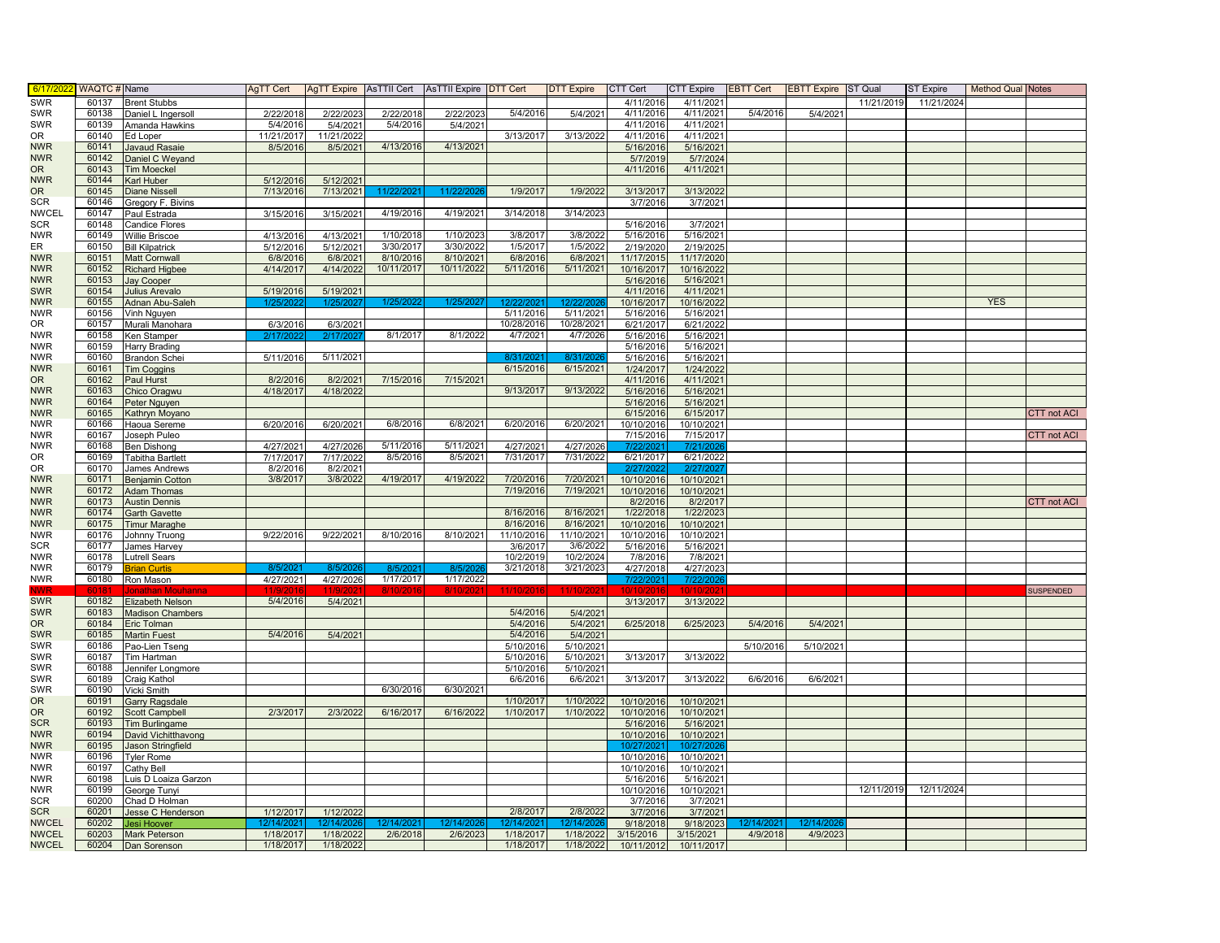| 6/17/20                  | WAQTC # Name   |                                                | <b>AgTT Cert</b>      |                        | AgTT Expire AsTTII Cert AsTTII Expire DTT Cert |                       |            | <b>DTT Expire</b>     | CTT Cert               | <b>CTT Expire</b>      | <b>EBTT Cert</b>      | <b>EBTT Expire ST Qual</b> |            | ST Expire  | <b>Method Qual Notes</b> |                    |
|--------------------------|----------------|------------------------------------------------|-----------------------|------------------------|------------------------------------------------|-----------------------|------------|-----------------------|------------------------|------------------------|-----------------------|----------------------------|------------|------------|--------------------------|--------------------|
| SWR                      | 60137          | <b>Brent Stubbs</b>                            |                       |                        |                                                |                       |            |                       | 4/11/2016              | 4/11/2021              |                       |                            | 11/21/2019 | 11/21/2024 |                          |                    |
| <b>SWR</b>               | 60138          | Daniel L Ingersoll                             | 2/22/2018             | 2/22/2023              | 2/22/2018                                      | 2/22/2023             | 5/4/2016   | 5/4/2021              | 4/11/2016              | 4/11/2021              | 5/4/2016              | 5/4/2021                   |            |            |                          |                    |
| <b>SWR</b>               | 60139          | Amanda Hawkins                                 | 5/4/2016              | 5/4/2021               | 5/4/2016                                       | 5/4/2021              |            |                       | 4/11/2016              | 4/11/2021              |                       |                            |            |            |                          |                    |
| OR                       | 60140          | Ed Loper                                       | 11/21/2017            | 11/21/2022             |                                                |                       | 3/13/2017  | 3/13/2022             | 4/11/2016              | 4/11/2021              |                       |                            |            |            |                          |                    |
| <b>NWR</b>               | 60141          | <b>Javaud Rasaie</b>                           | 8/5/2016              | 8/5/2021               | 4/13/2016                                      | 4/13/2021             |            |                       | 5/16/2016              | 5/16/2021              |                       |                            |            |            |                          |                    |
| <b>NWR</b>               | 60142          | Daniel C Weyand                                |                       |                        |                                                |                       |            |                       | 5/7/2019               | 5/7/2024               |                       |                            |            |            |                          |                    |
| <b>OR</b>                | 60143          | <b>Tim Moeckel</b>                             |                       |                        |                                                |                       |            |                       | 4/11/2016              | 4/11/2021              |                       |                            |            |            |                          |                    |
| <b>NWR</b>               | 60144          | Karl Huber                                     | 5/12/2016             | 5/12/2021              |                                                |                       |            |                       |                        |                        |                       |                            |            |            |                          |                    |
| <b>OR</b>                | 60145          | <b>Diane Nissell</b>                           | 7/13/2016             | 7/13/2021              | 11/22/202                                      | 11/22/2026            | 1/9/2017   | 1/9/2022              | 3/13/2017              | 3/13/2022              |                       |                            |            |            |                          |                    |
| <b>SCR</b>               | 60146          | Gregory F. Bivins                              |                       |                        |                                                |                       |            |                       | 3/7/2016               | 3/7/2021               |                       |                            |            |            |                          |                    |
| <b>NWCEL</b>             | 60147          | Paul Estrada                                   | 3/15/2016             | 3/15/2021              | 4/19/2016                                      | 4/19/2021             | 3/14/2018  | 3/14/2023             |                        |                        |                       |                            |            |            |                          |                    |
| <b>SCR</b>               | 60148          | <b>Candice Flores</b>                          |                       |                        |                                                |                       |            |                       | 5/16/2016              | 3/7/202                |                       |                            |            |            |                          |                    |
| <b>NWR</b>               | 60149          | <b>Willie Briscoe</b>                          | 4/13/2016             | 4/13/2021              | 1/10/2018                                      | 1/10/2023             | 3/8/2017   | 3/8/2022              | 5/16/2016              | 5/16/2021              |                       |                            |            |            |                          |                    |
| ER                       | 60150          | <b>Bill Kilpatrick</b>                         | 5/12/2016             | 5/12/2021              | 3/30/2017                                      | 3/30/2022             | 1/5/2017   | 1/5/2022              | 2/19/2020              | 2/19/2025              |                       |                            |            |            |                          |                    |
| <b>NWR</b>               | 60151          | <b>Matt Cornwall</b>                           | 6/8/2016              | 6/8/2021               | 8/10/2016                                      | 8/10/2021             | 6/8/2016   | 6/8/2021              | 11/17/2015             | 11/17/2020             |                       |                            |            |            |                          |                    |
| <b>NWR</b>               | 60152          | <b>Richard Higbee</b>                          | 4/14/2017             | 4/14/2022              | 10/11/2017                                     | 10/11/2022            | 5/11/2016  | 5/11/2021             | 10/16/2017             | 10/16/2022             |                       |                            |            |            |                          |                    |
| <b>NWR</b>               | 60153          | <b>Jay Cooper</b>                              |                       |                        |                                                |                       |            |                       | 5/16/2016              | 5/16/2021              |                       |                            |            |            |                          |                    |
| <b>SWR</b>               | 60154          | <b>Julius Arevalo</b>                          | 5/19/2016             | 5/19/2021              |                                                |                       |            |                       | 4/11/2016              | 4/11/2021              |                       |                            |            |            |                          |                    |
| <b>NWR</b>               | 60155          | Adnan Abu-Saleh                                | 1/25/202              | 1/25/202               | 1/25/202                                       | 1/25/202              | 12/22/2    | 12/22/20              | 10/16/2017             | 10/16/2022             |                       |                            |            |            | <b>YES</b>               |                    |
| <b>NWR</b>               | 60156          | Vinh Nguyen                                    |                       |                        |                                                |                       | 5/11/2016  | 5/11/2021             | 5/16/2016              | 5/16/2021              |                       |                            |            |            |                          |                    |
| 0R                       | 60157          | Murali Manohara                                | 6/3/2016              | 6/3/2021               |                                                |                       | 10/28/2016 | 10/28/2021            | 6/21/2017              | 6/21/2022              |                       |                            |            |            |                          |                    |
| <b>NWR</b>               | 60158          | Ken Stamper                                    | 2/17/202              | 2/17/20                | 8/1/2017                                       | 8/1/2022              | 4/7/2021   | 4/7/2026              | 5/16/2016              | 5/16/2021              |                       |                            |            |            |                          |                    |
| <b>NWR</b>               | 60159          | <b>Harry Brading</b>                           |                       |                        |                                                |                       |            |                       | 5/16/2016              | 5/16/2021              |                       |                            |            |            |                          |                    |
| <b>NWR</b>               | 60160          | <b>Brandon Schei</b>                           | 5/11/2016             | 5/11/2021              |                                                |                       | 8/31/20    | 8/31/2                | 5/16/2016              | 5/16/2021              |                       |                            |            |            |                          |                    |
| <b>NWR</b>               | 60161          | <b>Tim Coggins</b>                             |                       |                        |                                                |                       | 6/15/2016  | 6/15/2021             | 1/24/2017              | 1/24/2022              |                       |                            |            |            |                          |                    |
| <b>OR</b>                | 60162          | Paul Hurst                                     | 8/2/2016              | 8/2/2021               | 7/15/2016                                      | 7/15/2021             |            |                       | 4/11/2016              | 4/11/2021              |                       |                            |            |            |                          |                    |
| <b>NWR</b>               | 60163          | Chico Oragwu                                   | 4/18/2017             | 4/18/2022              |                                                |                       | 9/13/2017  | 9/13/2022             | 5/16/2016              | 5/16/2021              |                       |                            |            |            |                          |                    |
| <b>NWR</b>               | 60164          | Peter Nguyen                                   |                       |                        |                                                |                       |            |                       | 5/16/2016              | 5/16/2021              |                       |                            |            |            |                          |                    |
| <b>NWR</b>               | 60165          | Kathryn Moyano                                 |                       |                        |                                                |                       |            |                       | 6/15/2016              | 6/15/2017              |                       |                            |            |            |                          | <b>CTT</b> not ACI |
| <b>NWR</b>               | 60166          | Haoua Sereme                                   | 6/20/2016             | 6/20/2021              | 6/8/2016                                       | 6/8/2021              | 6/20/2016  | 6/20/2021             | 10/10/2016             | 10/10/2021             |                       |                            |            |            |                          |                    |
| <b>NWR</b>               | 60167          | Joseph Puleo                                   |                       |                        |                                                |                       |            |                       | 7/15/2016              | 7/15/2017              |                       |                            |            |            |                          | CTT not ACI        |
| <b>NWR</b>               | 60168          | Ben Dishong                                    | 4/27/202              | 4/27/2026              | 5/11/2016                                      | 5/11/202              | 4/27/2021  | 4/27/2026             |                        | 7/21/20                |                       |                            |            |            |                          |                    |
| 0R                       | 60169          | <b>Tabitha Bartlett</b>                        | 7/17/2017             | 7/17/2022              | 8/5/2016                                       | 8/5/2021              | 7/31/2017  | 7/31/2022             | 6/21/2017              | 6/21/2022              |                       |                            |            |            |                          |                    |
| 0R                       | 60170          | <b>James Andrews</b>                           | 8/2/2016              | 8/2/2021               |                                                |                       |            |                       | 2/27/202               | 2/27/202               |                       |                            |            |            |                          |                    |
| <b>NWR</b>               | 60171          | <b>Benjamin Cotton</b>                         | 3/8/2017              | 3/8/2022               | 4/19/2017                                      | 4/19/2022             | 7/20/2016  | 7/20/2021             | 10/10/2016             | 10/10/2021             |                       |                            |            |            |                          |                    |
| <b>NWR</b>               | 60172          |                                                |                       |                        |                                                |                       | 7/19/2016  | 7/19/2021             | 10/10/2016             | 10/10/2021             |                       |                            |            |            |                          |                    |
| <b>NWR</b>               | 60173          | <b>Adam Thomas</b><br><b>Austin Dennis</b>     |                       |                        |                                                |                       |            |                       | 8/2/2016               | 8/2/2017               |                       |                            |            |            |                          | <b>CTT not ACI</b> |
| <b>NWR</b>               | 60174          | <b>Garth Gavette</b>                           |                       |                        |                                                |                       | 8/16/2016  | 8/16/2021             | 1/22/2018              | 1/22/2023              |                       |                            |            |            |                          |                    |
| <b>NWR</b>               | 60175          |                                                |                       |                        |                                                |                       | 8/16/2016  | 8/16/2021             | 10/10/2016             | 10/10/2021             |                       |                            |            |            |                          |                    |
| <b>NWR</b>               | 60176          | <b>Timur Maraghe</b>                           | 9/22/2016             | 9/22/2021              | 8/10/2016                                      | 8/10/2021             | 11/10/2016 | 11/10/2021            | 10/10/2016             | 10/10/2021             |                       |                            |            |            |                          |                    |
| <b>SCR</b>               | 60177          | Johnny Truong                                  |                       |                        |                                                |                       | 3/6/2017   | 3/6/2022              | 5/16/2016              | 5/16/2021              |                       |                            |            |            |                          |                    |
| <b>NWR</b>               | 60178          | James Harvey<br>Lutrell Sears                  |                       |                        |                                                |                       | 10/2/2019  | 10/2/2024             | 7/8/2016               | 7/8/2021               |                       |                            |            |            |                          |                    |
| <b>NWR</b>               | 60179          | <b>Brian Curtis</b>                            | 8/5/202               | 8/5/2                  | 8/5/2                                          | 8/5/20                | 3/21/2018  | 3/21/2023             | 4/27/2018              | 4/27/2023              |                       |                            |            |            |                          |                    |
| <b>NWR</b>               | 60180          | Ron Mason                                      | 4/27/2021             | 4/27/2026              | 1/17/2017                                      | 1/17/2022             |            |                       | 7/22/2021              | 7/22/202               |                       |                            |            |            |                          |                    |
|                          |                |                                                |                       |                        |                                                |                       |            |                       |                        |                        |                       |                            |            |            |                          | <b>SUSPENDED</b>   |
| <b>SWR</b>               | 60182          | Elizabeth Nelson                               | 5/4/2016              | 5/4/2021               |                                                |                       |            |                       | 3/13/2017              | 3/13/2022              |                       |                            |            |            |                          |                    |
| <b>SWR</b>               | 60183          | <b>Madison Chambers</b>                        |                       |                        |                                                |                       | 5/4/2016   | 5/4/2021              |                        |                        |                       |                            |            |            |                          |                    |
| OR.                      | 60184          | Eric Tolman                                    |                       |                        |                                                |                       | 5/4/2016   | 5/4/2021              | 6/25/2018              | 6/25/2023              | 5/4/2016              | 5/4/2021                   |            |            |                          |                    |
|                          | 60185          |                                                | 5/4/2016              |                        |                                                |                       | 5/4/2016   |                       |                        |                        |                       |                            |            |            |                          |                    |
| <b>SWR</b><br><b>SWR</b> | 60186          | <b>Martin Fuest</b>                            |                       | 5/4/2021               |                                                |                       | 5/10/2016  | 5/4/2021<br>5/10/2021 |                        |                        | 5/10/2016             | 5/10/2021                  |            |            |                          |                    |
| <b>SWR</b>               | 60187          | Pao-Lien Tseng                                 |                       |                        |                                                |                       | 5/10/201   | 5/10/2021             | 3/13/2017              | 3/13/202               |                       |                            |            |            |                          |                    |
| SWR                      | 60188          | <b>Tim Hartman</b><br>Jennifer Longmore        |                       |                        |                                                |                       | 5/10/2016  | 5/10/2021             |                        |                        |                       |                            |            |            |                          |                    |
| SWR                      | 60189          | Craig Kathol                                   |                       |                        |                                                |                       | 6/6/2016   | 6/6/2021              | 3/13/2017              | 3/13/2022              | 6/6/2016              | 6/6/2021                   |            |            |                          |                    |
| <b>SWR</b>               | 60190          | Vicki Smith                                    |                       |                        | 6/30/2016                                      | 6/30/2021             |            |                       |                        |                        |                       |                            |            |            |                          |                    |
| <b>OR</b>                | 60191          |                                                |                       |                        |                                                |                       | 1/10/2017  | 1/10/2022             | 10/10/2016             | 10/10/2021             |                       |                            |            |            |                          |                    |
| <b>OR</b>                | 60192          | <b>Garry Ragsdale</b><br><b>Scott Campbell</b> | 2/3/2017              | 2/3/2022               | 6/16/2017                                      | 6/16/2022             | 1/10/2017  | 1/10/2022             | 10/10/2016             | 10/10/2021             |                       |                            |            |            |                          |                    |
| <b>SCR</b>               | 60193          |                                                |                       |                        |                                                |                       |            |                       |                        | 5/16/2021              |                       |                            |            |            |                          |                    |
|                          |                | <b>Tim Burlingame</b>                          |                       |                        |                                                |                       |            |                       | 5/16/2016              |                        |                       |                            |            |            |                          |                    |
| <b>NWR</b>               | 60194          | David Vichitthavong                            |                       |                        |                                                |                       |            |                       | 10/10/2016             | 10/10/2021<br>10/27/20 |                       |                            |            |            |                          |                    |
| <b>NWR</b><br><b>NWR</b> | 60195<br>60196 | <b>Jason Stringfield</b>                       |                       |                        |                                                |                       |            |                       |                        |                        |                       |                            |            |            |                          |                    |
| <b>NWR</b>               |                | <b>Tyler Rome</b>                              |                       |                        |                                                |                       |            |                       | 10/10/2016             | 10/10/2021             |                       |                            |            |            |                          |                    |
|                          | 60197          | Cathy Bell                                     |                       |                        |                                                |                       |            |                       | 10/10/2016             | 10/10/2021             |                       |                            |            |            |                          |                    |
| <b>NWR</b><br><b>NWR</b> | 60198          | Luis D Loaiza Garzon                           |                       |                        |                                                |                       |            |                       | 5/16/2016              | 5/16/2021              |                       |                            | 12/11/2019 | 12/11/2024 |                          |                    |
| <b>SCR</b>               | 60199<br>60200 | George Tunyi                                   |                       |                        |                                                |                       |            |                       | 10/10/2016<br>3/7/2016 | 10/10/2021<br>3/7/2021 |                       |                            |            |            |                          |                    |
| <b>SCR</b>               | 60201          | Chad D Holman                                  |                       | 1/12/2022              |                                                |                       | 2/8/2017   | 2/8/2022              |                        |                        |                       |                            |            |            |                          |                    |
| <b>NWCEL</b>             | 60202          | Jesse C Henderson                              | 1/12/2017<br>12/14/20 |                        |                                                |                       | 2/14/20    |                       | 3/7/2016               | 3/7/2021<br>9/18/2023  |                       | 12/14/2                    |            |            |                          |                    |
| <b>NWCEL</b>             | 60203          | Jesi Hoover                                    | 1/18/2017             | 12/14/202<br>1/18/2022 | 12/14/202 <sup>-</sup><br>2/6/2018             | 12/14/202<br>2/6/2023 | 1/18/2017  | 1/18/2022             | 9/18/2018              |                        | 12/14/202<br>4/9/2018 | 4/9/2023                   |            |            |                          |                    |
|                          | 60204          | <b>Mark Peterson</b>                           | 1/18/2017             |                        |                                                |                       |            |                       | 3/15/2016              | 3/15/2021              |                       |                            |            |            |                          |                    |
| <b>NWCEL</b>             |                | Dan Sorenson                                   |                       | 1/18/2022              |                                                |                       | 1/18/2017  | 1/18/2022             | 10/11/2012             | 10/11/2017             |                       |                            |            |            |                          |                    |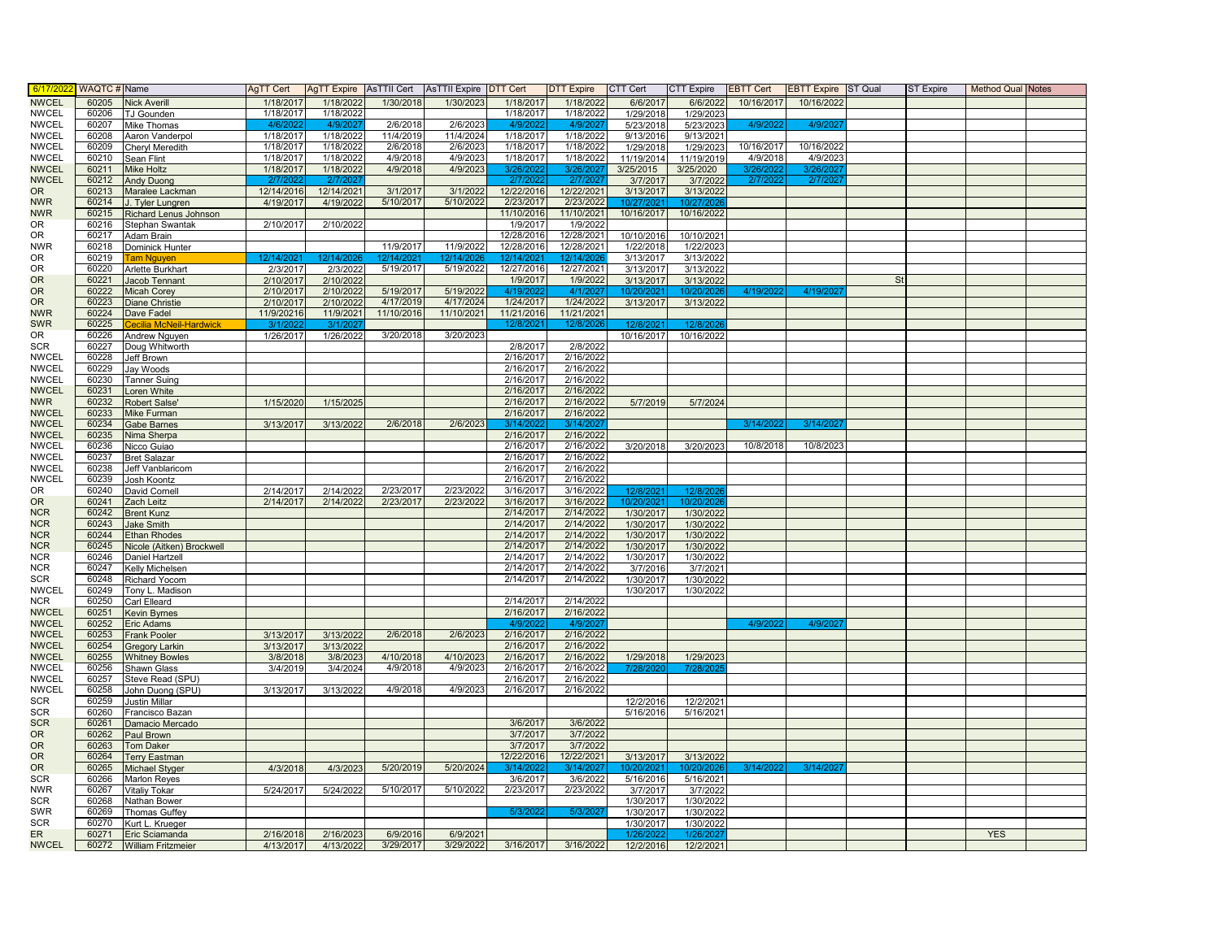| 6/17/20                      | <b>WAQTC#</b> Name |                                                 | AgTT Cert              | AgTT Expire AsTTII Cert |            | <b>AsTTII Expire</b> | DTT Cert               | <b>DTT Expire</b>       | CTT Cert               | <b>CTT Expire</b>      | <b>EBTT Cert</b> | <b>EBTT Expire</b> ST Qual |           | <b>ST Expire</b> | <b>Method Qual Notes</b> |  |
|------------------------------|--------------------|-------------------------------------------------|------------------------|-------------------------|------------|----------------------|------------------------|-------------------------|------------------------|------------------------|------------------|----------------------------|-----------|------------------|--------------------------|--|
| <b>NWCEL</b>                 | 60205              | <b>Nick Averill</b>                             | 1/18/2017              | 1/18/2022               | 1/30/2018  | 1/30/2023            | 1/18/2017              | 1/18/2022               | 6/6/2017               | 6/6/2022               | 10/16/2017       | 10/16/2022                 |           |                  |                          |  |
| <b>NWCEL</b>                 | 60206              | <b>J</b> Gounden                                | 1/18/2017              | 1/18/2022               |            |                      | 1/18/2017              | 1/18/2022               | 1/29/2018              | 1/29/2023              |                  |                            |           |                  |                          |  |
| <b>NWCEL</b>                 | 60207              | <b>Mike Thomas</b>                              | 4/6/20                 | 4/9/2                   | 2/6/2018   | 2/6/2023             | 4/9/20                 | 4/9/20                  | 5/23/2018              | 5/23/2023              | 4/9/20           | 4/9/20                     |           |                  |                          |  |
| <b>NWCEL</b>                 | 60208              | Aaron Vanderpol                                 | 1/18/2017              | 1/18/2022               | 11/4/2019  | 11/4/2024            | 1/18/2017              | 1/18/2022               | 9/13/2016              | 9/13/2021              |                  |                            |           |                  |                          |  |
| <b>NWCEL</b>                 | 60209              | Cheryl Meredith                                 | 1/18/2017              | 1/18/2022               | 2/6/2018   | 2/6/2023             | 1/18/2017              | 1/18/2022               | 1/29/2018              | 1/29/2023              | 10/16/2017       | 10/16/2022                 |           |                  |                          |  |
| <b>NWCEL</b>                 | 60210              | Sean Flint                                      | 1/18/2017              | 1/18/2022               | 4/9/2018   | 4/9/2023             | 1/18/2017              | 1/18/2022               | 11/19/2014             | 11/19/2019             | 4/9/2018         | 4/9/2023                   |           |                  |                          |  |
| <b>NWCEL</b>                 | 60211              | Mike Holtz                                      | 1/18/2017              | 1/18/2022               | 4/9/2018   | 4/9/2023             |                        | 3/26/                   | 3/25/2015              | 3/25/2020              | 3/26/2           |                            |           |                  |                          |  |
| <b>NWCEL</b><br><b>OR</b>    | 60212<br>60213     | Andy Duong                                      | 2/7/202                | 2/7/202                 | 3/1/2017   | 3/1/2022             | 2/7/202<br>12/22/2016  | 2/7/202                 | 3/7/2017               | 3/7/2022               | 2/7/202          | 2/7/20                     |           |                  |                          |  |
| <b>NWR</b>                   | 60214              | Maralee Lackman<br>J. Tyler Lungren             | 12/14/201<br>4/19/2017 | 12/14/2021<br>4/19/2022 | 5/10/2017  | 5/10/2022            | 2/23/2017              | 12/22/2021<br>2/23/2022 | 3/13/2017<br>10/27/202 | 3/13/2022<br>10/27/202 |                  |                            |           |                  |                          |  |
| <b>NWR</b>                   | 60215              | Richard Lenus Johnson                           |                        |                         |            |                      | 11/10/2016             | 11/10/2021              | 10/16/2017             | 10/16/2022             |                  |                            |           |                  |                          |  |
| <b>OR</b>                    | 60216              | Stephan Swantak                                 | 2/10/2017              | 2/10/2022               |            |                      | 1/9/2017               | 1/9/2022                |                        |                        |                  |                            |           |                  |                          |  |
| <b>OR</b>                    | 60217              | Adam Brain                                      |                        |                         |            |                      | 12/28/2016             | 12/28/2021              | 10/10/2016             | 10/10/2021             |                  |                            |           |                  |                          |  |
| <b>NWR</b>                   | 60218              | Dominick Hunter                                 |                        |                         | 11/9/2017  | 11/9/2022            | 12/28/2016             | 12/28/2021              | 1/22/2018              | 1/22/2023              |                  |                            |           |                  |                          |  |
| <b>OR</b>                    | 60219              | <b>Tam Nguyen</b>                               | 12/14/202              | 12/14/202               |            |                      |                        |                         | 3/13/2017              | 3/13/2022              |                  |                            |           |                  |                          |  |
| <b>OR</b>                    | 60220              | Arlette Burkhart                                | 2/3/2017               | 2/3/2022                | 5/19/2017  | 5/19/2022            | 12/27/2016             | 12/27/2021              | 3/13/2017              | 3/13/2022              |                  |                            |           |                  |                          |  |
| <b>OR</b>                    | 60221              | <b>Jacob Tennant</b>                            | 2/10/2017              | 2/10/2022               |            |                      | 1/9/2017               | 1/9/2022                | 3/13/2017              | 3/13/2022              |                  |                            | <b>St</b> |                  |                          |  |
| <b>OR</b>                    | 60222              | <b>Micah Corey</b>                              | 2/10/2017              | 2/10/2022               | 5/19/2017  | 5/19/2022            | 4/19/202               | 4/1/2021                | 0/20/202               | 10/20/20               | 4/19/20          | 4/19/20                    |           |                  |                          |  |
| <b>OR</b>                    | 60223              | <b>Diane Christie</b>                           | 2/10/2017              | 2/10/2022               | 4/17/2019  | 4/17/2024            | 1/24/2017              | 1/24/2022               | 3/13/2017              | 3/13/2022              |                  |                            |           |                  |                          |  |
| <b>NWR</b>                   | 60224              | Dave Fadel                                      | 11/9/20216             | 11/9/2021               | 11/10/2016 | 11/10/2021           | 11/21/2016             | 11/21/2021              |                        |                        |                  |                            |           |                  |                          |  |
| <b>SWR</b><br>OR             | 60225<br>60226     | <b>Cecilia McNeil-Hardwick</b><br>Andrew Nguyen | 3/1/20<br>1/26/2017    | 3/1/20<br>1/26/2022     | 3/20/2018  | 3/20/2023            | 12/8/202               | 12/8/202                | 12/8/202<br>10/16/2017 | 12/8/20<br>10/16/2022  |                  |                            |           |                  |                          |  |
| <b>SCR</b>                   | 60227              | Doug Whitworth                                  |                        |                         |            |                      | 2/8/2017               | 2/8/2022                |                        |                        |                  |                            |           |                  |                          |  |
| <b>NWCEL</b>                 | 60228              | Jeff Brown                                      |                        |                         |            |                      | 2/16/2017              | 2/16/2022               |                        |                        |                  |                            |           |                  |                          |  |
| <b>NWCEL</b>                 | 60229              | Jay Woods                                       |                        |                         |            |                      | 2/16/2017              | 2/16/2022               |                        |                        |                  |                            |           |                  |                          |  |
| <b>NWCEL</b>                 | 60230              | <b>Tanner Suing</b>                             |                        |                         |            |                      | 2/16/2017              | 2/16/2022               |                        |                        |                  |                            |           |                  |                          |  |
| <b>NWCEL</b>                 | 60231              | oren White                                      |                        |                         |            |                      | 2/16/2017              | 2/16/2022               |                        |                        |                  |                            |           |                  |                          |  |
| <b>NWR</b>                   | 60232              | Robert Salse'                                   | 1/15/2020              | 1/15/2025               |            |                      | 2/16/2017              | 2/16/2022               | 5/7/2019               | 5/7/2024               |                  |                            |           |                  |                          |  |
| <b>NWCEL</b>                 | 60233              | Mike Furman                                     |                        |                         |            |                      | 2/16/2017              | 2/16/2022               |                        |                        |                  |                            |           |                  |                          |  |
| <b>NWCEL</b>                 | 60234              | Gabe Barnes                                     | 3/13/2017              | 3/13/2022               | 2/6/2018   | 2/6/2023             | 3/14/20                | 3/14/20                 |                        |                        | 3/14/20          | 3/14/20                    |           |                  |                          |  |
| <b>NWCEL</b>                 | 60235              | <b>Vima Sherpa</b>                              |                        |                         |            |                      | 2/16/2017              | 2/16/2022               |                        |                        |                  |                            |           |                  |                          |  |
| <b>NWCEL</b>                 | 60236              | Nicco Guiao                                     |                        |                         |            |                      | 2/16/2017              | 2/16/2022               | 3/20/2018              | 3/20/2023              | 10/8/2018        | 10/8/2023                  |           |                  |                          |  |
| <b>NWCEL</b><br><b>NWCEL</b> | 60237<br>60238     | <b>Bret Salazar</b><br>Jeff Vanblaricom         |                        |                         |            |                      | 2/16/2017<br>2/16/2017 | 2/16/2022<br>2/16/2022  |                        |                        |                  |                            |           |                  |                          |  |
| <b>NWCEL</b>                 | 60239              | Josh Koontz                                     |                        |                         |            |                      | 2/16/2017              | 2/16/2022               |                        |                        |                  |                            |           |                  |                          |  |
| 0R                           | 60240              | David Cornell                                   | 2/14/2017              | 2/14/2022               | 2/23/2017  | 2/23/2022            | 3/16/2017              | 3/16/2022               | 12/8/202               | 12/8/202               |                  |                            |           |                  |                          |  |
| <b>OR</b>                    | 60241              | Zach Leitz                                      | 2/14/2017              | 2/14/2022               | 2/23/2017  | 2/23/2022            | 3/16/2017              | 3/16/2022               | 10/20/202              | 10/20/20               |                  |                            |           |                  |                          |  |
| <b>NCR</b>                   | 60242              | <b>Brent Kunz</b>                               |                        |                         |            |                      | 2/14/2017              | 2/14/2022               | 1/30/2017              | 1/30/2022              |                  |                            |           |                  |                          |  |
| <b>NCR</b>                   | 60243              | <b>Jake Smith</b>                               |                        |                         |            |                      | 2/14/2017              | 2/14/2022               | 1/30/2017              | 1/30/2022              |                  |                            |           |                  |                          |  |
| <b>NCR</b>                   | 60244              | Ethan Rhodes                                    |                        |                         |            |                      | 2/14/2017              | 2/14/2022               | 1/30/2017              | 1/30/2022              |                  |                            |           |                  |                          |  |
| <b>NCR</b>                   | 60245              | Nicole (Aitken) Brockwell                       |                        |                         |            |                      | 2/14/2017              | 2/14/2022               | 1/30/2017              | 1/30/2022              |                  |                            |           |                  |                          |  |
| <b>NCR</b>                   | 60246              | Daniel Hartzell                                 |                        |                         |            |                      | 2/14/2017              | 2/14/2022               | 1/30/2017              | 1/30/2022              |                  |                            |           |                  |                          |  |
| <b>NCR</b>                   | 60247              | Kelly Michelsen                                 |                        |                         |            |                      | 2/14/2017              | 2/14/2022               | 3/7/2016               | 3/7/2021               |                  |                            |           |                  |                          |  |
| <b>SCR</b><br><b>NWCEL</b>   | 60248<br>60249     | Richard Yocom                                   |                        |                         |            |                      | 2/14/2017              | 2/14/2022               | 1/30/2017<br>1/30/2017 | 1/30/2022              |                  |                            |           |                  |                          |  |
| <b>NCR</b>                   | 60250              | Tony L. Madison<br>Carl Elleard                 |                        |                         |            |                      | 2/14/2017              | 2/14/2022               |                        | 1/30/2022              |                  |                            |           |                  |                          |  |
| <b>NWCEL</b>                 | 60251              | <b>Kevin Byrnes</b>                             |                        |                         |            |                      | 2/16/2017              | 2/16/2022               |                        |                        |                  |                            |           |                  |                          |  |
| <b>NWCEL</b>                 | 60252              | Eric Adams                                      |                        |                         |            |                      | 4/9/202                | 4/9/202                 |                        |                        | 4/9/202          | 4/9/202                    |           |                  |                          |  |
| <b>NWCEL</b>                 | 60253              | <b>Frank Pooler</b>                             | 3/13/2017              | 3/13/2022               | 2/6/2018   | 2/6/2023             | 2/16/2017              | 2/16/2022               |                        |                        |                  |                            |           |                  |                          |  |
| <b>NWCEL</b>                 | 60254              | <b>Gregory Larkin</b>                           | 3/13/2017              | 3/13/2022               |            |                      | 2/16/2017              | 2/16/2022               |                        |                        |                  |                            |           |                  |                          |  |
| <b>NWCEL</b>                 | 60255              | <b>Whitney Bowles</b>                           | 3/8/2018               | 3/8/2023                | 4/10/2018  | 4/10/2023            | 2/16/2017              | 2/16/2022               | 1/29/2018              | 1/29/2023              |                  |                            |           |                  |                          |  |
| <b>NWCEL</b>                 | 60256              | Shawn Glass                                     | 3/4/2019               | 3/4/2024                | 4/9/2018   | 4/9/2023             | 2/16/2017              | 2/16/2022               | 7/28/202               | 7/28/20                |                  |                            |           |                  |                          |  |
| <b>NWCEL</b>                 | 60257              | Steve Read (SPU)                                |                        |                         |            |                      | 2/16/2017              | 2/16/2022               |                        |                        |                  |                            |           |                  |                          |  |
| <b>NWCEL</b>                 | 60258              | John Duong (SPU)                                | 3/13/2017              | 3/13/2022               | 4/9/2018   | 4/9/2023             | 2/16/2017              | 2/16/2022               |                        |                        |                  |                            |           |                  |                          |  |
| <b>SCR</b>                   | 60259              | <b>Justin Millar</b>                            |                        |                         |            |                      |                        |                         | 12/2/2016              | 12/2/2021              |                  |                            |           |                  |                          |  |
| <b>SCR</b>                   | 60260              | Francisco Bazan                                 |                        |                         |            |                      |                        |                         | 5/16/2016              | 5/16/2021              |                  |                            |           |                  |                          |  |
| <b>SCR</b><br><b>OR</b>      | 60261<br>60262     | Damacio Mercado                                 |                        |                         |            |                      | 3/6/2017<br>3/7/2017   | 3/6/2022<br>3/7/2022    |                        |                        |                  |                            |           |                  |                          |  |
| <b>OR</b>                    | 60263              | Paul Brown<br><b>Tom Daker</b>                  |                        |                         |            |                      | 3/7/2017               | 3/7/2022                |                        |                        |                  |                            |           |                  |                          |  |
| <b>OR</b>                    | 60264              | <b>Terry Eastman</b>                            |                        |                         |            |                      | 12/22/2016             | 12/22/2021              | 3/13/2017              | 3/13/2022              |                  |                            |           |                  |                          |  |
| <b>OR</b>                    | 60265              | <b>Michael Styger</b>                           | 4/3/2018               | 4/3/202                 | 5/20/2019  | 5/20/2024            | 3/14/202               | 3/14/202                | 10/20/202              | 10/20/20               | 3/14/20          | 3/14/20                    |           |                  |                          |  |
| <b>SCR</b>                   | 60266              | Marlon Reyes                                    |                        |                         |            |                      | 3/6/2017               | 3/6/2022                | 5/16/2016              | 5/16/2021              |                  |                            |           |                  |                          |  |
| <b>NWR</b>                   | 60267              | Vitaliy Tokar                                   | 5/24/2017              | 5/24/2022               | 5/10/2017  | 5/10/2022            | 2/23/2017              | 2/23/2022               | 3/7/2017               | 3/7/2022               |                  |                            |           |                  |                          |  |
| <b>SCR</b>                   | 60268              | Nathan Bower                                    |                        |                         |            |                      |                        |                         | 1/30/2017              | 1/30/2022              |                  |                            |           |                  |                          |  |
| <b>SWR</b>                   | 60269              | <b>Thomas Guffey</b>                            |                        |                         |            |                      | 5/3/202                | 5/3/202                 | 1/30/2017              | 1/30/2022              |                  |                            |           |                  |                          |  |
| <b>SCR</b>                   | 60270              | Kurt L. Krueger                                 |                        |                         |            |                      |                        |                         | 1/30/2017              | 1/30/2022              |                  |                            |           |                  |                          |  |
| ER                           | 60271              | Eric Sciamanda                                  | 2/16/2018              | 2/16/2023               | 6/9/2016   | 6/9/2021             |                        |                         | 1/26/202               | 1/26/202               |                  |                            |           |                  | <b>YES</b>               |  |
| <b>NWCEL</b>                 | 60272              | <b>William Fritzmeier</b>                       | 4/13/2017              | 4/13/2022               | 3/29/2017  | 3/29/2022            | 3/16/2017              | 3/16/2022               | 12/2/2016              | 12/2/2021              |                  |                            |           |                  |                          |  |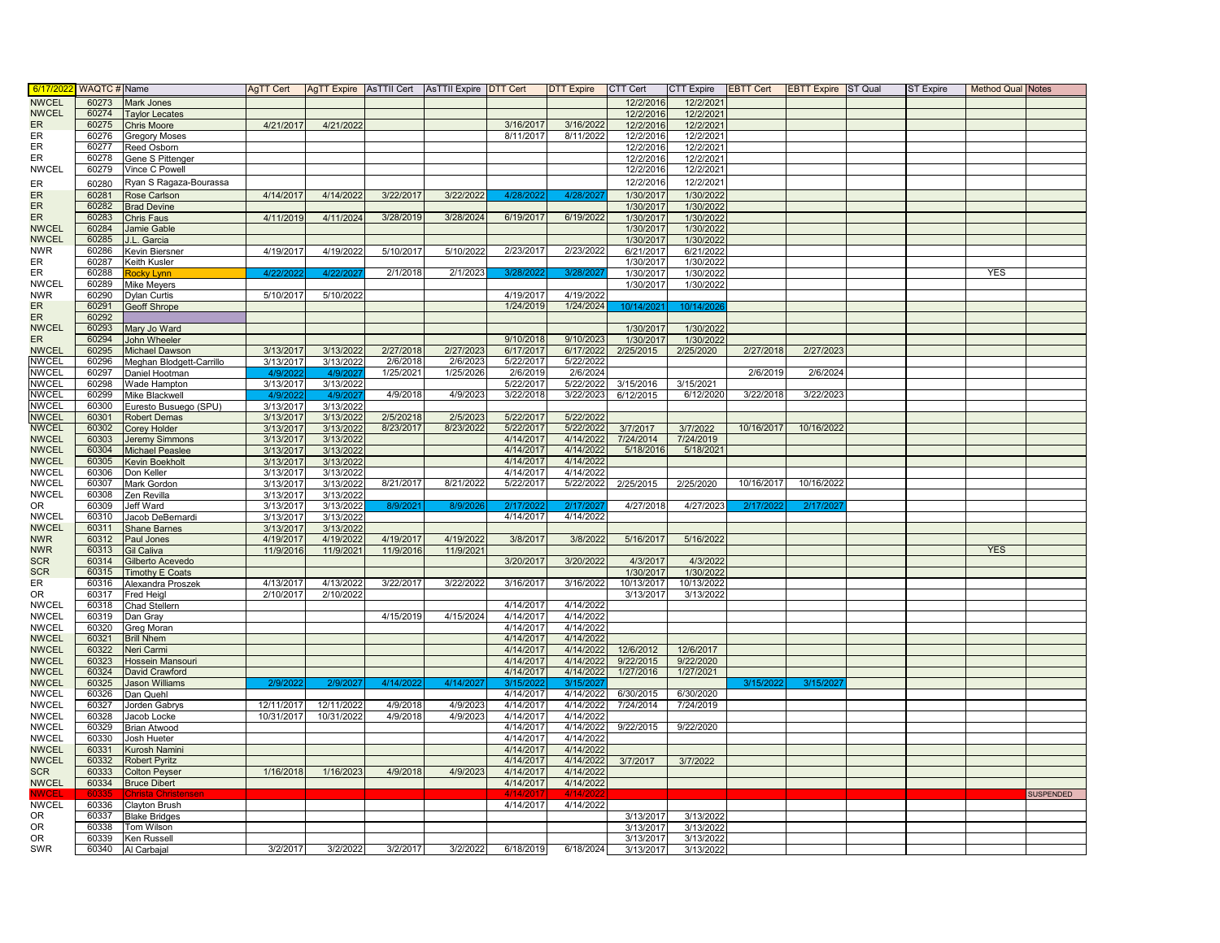| 6/17/202                   | <b>WAQTC # Name</b> |                                       | AgTT Cert  |            |           | AgTT Expire   AsTTII Cert   AsTTII Expire   DTT Cert |                        | <b>DTT Expire</b>      | CTT Cert   | <b>CTT Expire</b> | <b>EBTT Cert</b> | <b>EBTT Expire ST Qual</b> | <b>ST Expire</b> | <b>Method Qual Notes</b> |                  |
|----------------------------|---------------------|---------------------------------------|------------|------------|-----------|------------------------------------------------------|------------------------|------------------------|------------|-------------------|------------------|----------------------------|------------------|--------------------------|------------------|
| <b>NWCEL</b>               | 60273               | Mark Jones                            |            |            |           |                                                      |                        |                        | 12/2/2016  | 12/2/2021         |                  |                            |                  |                          |                  |
| <b>NWCEL</b>               | 60274               | <b>Taylor Lecates</b>                 |            |            |           |                                                      |                        |                        | 12/2/2016  | 12/2/2021         |                  |                            |                  |                          |                  |
| <b>ER</b>                  | 60275               | <b>Chris Moore</b>                    | 4/21/2017  | 4/21/2022  |           |                                                      | 3/16/2017              | 3/16/2022              | 12/2/2016  | 12/2/2021         |                  |                            |                  |                          |                  |
| ER                         | 60276               | <b>Gregory Moses</b>                  |            |            |           |                                                      | 8/11/2017              | 8/11/2022              | 12/2/2016  | 12/2/2021         |                  |                            |                  |                          |                  |
| ER                         | 60277               | Reed Osborn                           |            |            |           |                                                      |                        |                        | 12/2/2016  | 12/2/2021         |                  |                            |                  |                          |                  |
| ER                         | 60278               | Gene S Pittenger                      |            |            |           |                                                      |                        |                        | 12/2/2016  | 12/2/2021         |                  |                            |                  |                          |                  |
| <b>NWCEL</b>               | 60279               | Vince C Powell                        |            |            |           |                                                      |                        |                        | 12/2/2016  | 12/2/2021         |                  |                            |                  |                          |                  |
| ER                         | 60280               | Ryan S Ragaza-Bourassa                |            |            |           |                                                      |                        |                        | 12/2/2016  | 12/2/2021         |                  |                            |                  |                          |                  |
| ER                         | 60281               | Rose Carlson                          | 4/14/201   | 4/14/2022  | 3/22/2017 | 3/22/2022                                            | 4/28/20                | 4/28/20                | 1/30/2017  | 1/30/2022         |                  |                            |                  |                          |                  |
| ER                         | 60282               | <b>Brad Devine</b>                    |            |            |           |                                                      |                        |                        | 1/30/2017  | 1/30/2022         |                  |                            |                  |                          |                  |
| <b>ER</b>                  | 60283               | Chris Faus                            | 4/11/2019  | 4/11/2024  | 3/28/2019 | 3/28/2024                                            | 6/19/2017              | 6/19/2022              | 1/30/2017  | 1/30/2022         |                  |                            |                  |                          |                  |
| <b>NWCEL</b>               | 60284               | Jamie Gable                           |            |            |           |                                                      |                        |                        | 1/30/2017  | 1/30/2022         |                  |                            |                  |                          |                  |
| <b>NWCEL</b>               | 60285               | J.L. Garcia                           |            |            |           |                                                      |                        |                        | 1/30/2017  | 1/30/2022         |                  |                            |                  |                          |                  |
| <b>NWR</b>                 | 60286               | Kevin Biersner                        | 4/19/2017  | 4/19/2022  | 5/10/2017 | 5/10/2022                                            | 2/23/2017              | 2/23/2022              | 6/21/2017  | 6/21/2022         |                  |                            |                  |                          |                  |
| ER                         | 60287               | Keith Kusler                          |            |            |           |                                                      |                        |                        | 1/30/2017  | 1/30/2022         |                  |                            |                  |                          |                  |
| ER                         | 60288               | Rocky Lynn                            | 4/22/2     | 4/22/2     | 2/1/2018  | 2/1/202                                              | 3/28/2                 | 3/28/20                | 1/30/2017  | 1/30/2022         |                  |                            |                  | <b>YES</b>               |                  |
| <b>NWCEL</b>               | 60289               | Mike Meyers                           |            |            |           |                                                      |                        |                        | 1/30/2017  | 1/30/2022         |                  |                            |                  |                          |                  |
| <b>NWR</b>                 | 60290               | <b>Dylan Curtis</b>                   | 5/10/2017  | 5/10/2022  |           |                                                      | 4/19/2017<br>1/24/2019 | 4/19/2022              |            |                   |                  |                            |                  |                          |                  |
| ER<br>ER                   | 60291               | Geoff Shrope                          |            |            |           |                                                      |                        | 1/24/2024              | 10/14/202  | 10/14/20          |                  |                            |                  |                          |                  |
| <b>NWCEL</b>               | 60292<br>60293      | Mary Jo Ward                          |            |            |           |                                                      |                        |                        | 1/30/2017  | 1/30/2022         |                  |                            |                  |                          |                  |
| ER                         | 60294               | John Wheeler                          |            |            |           |                                                      | 9/10/2018              | 9/10/2023              | 1/30/2017  | 1/30/2022         |                  |                            |                  |                          |                  |
| <b>NWCEL</b>               | 60295               | <b>Michael Dawson</b>                 | 3/13/2017  | 3/13/2022  | 2/27/2018 | 2/27/2023                                            | 6/17/2017              | 6/17/2022              | 2/25/2015  | 2/25/2020         | 2/27/2018        | 2/27/2023                  |                  |                          |                  |
| <b>NWCEL</b>               | 60296               | Meghan Blodgett-Carrillo              | 3/13/2017  | 3/13/2022  | 2/6/2018  | 2/6/2023                                             | 5/22/2017              | 5/22/2022              |            |                   |                  |                            |                  |                          |                  |
| <b>NWCEL</b>               | 60297               | Daniel Hootman                        | 4/9/20     | 4/9/20     | 1/25/2021 | 1/25/2026                                            | 2/6/2019               | 2/6/2024               |            |                   | 2/6/2019         | 2/6/2024                   |                  |                          |                  |
| <b>NWCEL</b>               | 60298               | Wade Hampton                          | 3/13/2017  | 3/13/2022  |           |                                                      | 5/22/2017              | 5/22/2022              | 3/15/2016  | 3/15/2021         |                  |                            |                  |                          |                  |
| <b>NWCEL</b>               | 60299               | Mike Blackwell                        | 4/9/202    | 4/9/202    | 4/9/2018  | 4/9/2023                                             | 3/22/2018              | 3/22/2023              | 6/12/2015  | 6/12/2020         | 3/22/2018        | 3/22/2023                  |                  |                          |                  |
| <b>NWCEL</b>               | 60300               | Euresto Busuego (SPU)                 | 3/13/2017  | 3/13/2022  |           |                                                      |                        |                        |            |                   |                  |                            |                  |                          |                  |
| <b>NWCEL</b>               | 60301               | Robert Demas                          | 3/13/2017  | 3/13/2022  | 2/5/20218 | 2/5/202                                              | 5/22/201               | 5/22/2022              |            |                   |                  |                            |                  |                          |                  |
| <b>NWCEL</b>               | 60302               | Corey Holder                          | 3/13/2017  | 3/13/2022  | 8/23/2017 | 8/23/2022                                            | 5/22/2017              | 5/22/2022              | 3/7/2017   | 3/7/2022          | 10/16/2017       | 10/16/2022                 |                  |                          |                  |
| <b>NWCEL</b>               | 60303               | <b>Jeremy Simmons</b>                 | 3/13/2017  | 3/13/202   |           |                                                      | 4/14/2017              | 4/14/2022              | 7/24/2014  | 7/24/2019         |                  |                            |                  |                          |                  |
| <b>NWCEL</b>               | 60304               | Michael Peaslee                       | 3/13/2017  | 3/13/2022  |           |                                                      | 4/14/2017              | 4/14/2022              | 5/18/2016  | 5/18/2021         |                  |                            |                  |                          |                  |
| <b>NWCEL</b>               | 60305               | Kevin Boekholt                        | 3/13/2017  | 3/13/2022  |           |                                                      | 4/14/2017              | 4/14/2022              |            |                   |                  |                            |                  |                          |                  |
| <b>NWCEL</b>               | 60306               | Don Keller                            | 3/13/2017  | 3/13/2022  |           |                                                      | 4/14/2017              | 4/14/2022              |            |                   |                  |                            |                  |                          |                  |
| <b>NWCEL</b>               | 60307               | Mark Gordon                           | 3/13/2017  | 3/13/2022  | 8/21/2017 | 8/21/2022                                            | 5/22/2017              | 5/22/2022              | 2/25/2015  | 2/25/2020         | 10/16/2017       | 10/16/2022                 |                  |                          |                  |
| <b>NWCEL</b>               | 60308               | Zen Revilla                           | 3/13/2017  | 3/13/2022  |           |                                                      |                        |                        |            |                   |                  |                            |                  |                          |                  |
| 0R                         | 60309               | Jeff Ward                             | 3/13/2017  | 3/13/2022  | 8/9/202   | 8/9/202                                              | 2/17/202               | 2/17/202               | 4/27/2018  | 4/27/2023         | 2/17/20          | 2/17/20                    |                  |                          |                  |
| <b>NWCEL</b>               | 60310               | Jacob DeBernardi                      | 3/13/2017  | 3/13/2022  |           |                                                      | 4/14/2017              | 4/14/2022              |            |                   |                  |                            |                  |                          |                  |
| <b>NWCEL</b>               | 60311               | Shane Barnes                          | 3/13/2017  | 3/13/2022  |           |                                                      |                        |                        |            |                   |                  |                            |                  |                          |                  |
| <b>NWR</b>                 | 60312               | Paul Jones                            | 4/19/2017  | 4/19/2022  | 4/19/2017 | 4/19/2022                                            | 3/8/2017               | 3/8/2022               | 5/16/2017  | 5/16/2022         |                  |                            |                  | <b>YES</b>               |                  |
| <b>NWR</b><br><b>SCR</b>   | 60313<br>60314      | <b>Gil Caliva</b><br>Gilberto Acevedo | 11/9/2016  | 11/9/2021  | 11/9/2016 | 11/9/202                                             | 3/20/2017              | 3/20/2022              | 4/3/2017   | 4/3/2022          |                  |                            |                  |                          |                  |
| <b>SCR</b>                 | 60315               | <b>Timothy E Coats</b>                |            |            |           |                                                      |                        |                        | 1/30/2017  | 1/30/2022         |                  |                            |                  |                          |                  |
| ER                         | 60316               | Alexandra Proszek                     | 4/13/2017  | 4/13/2022  | 3/22/2017 | 3/22/2022                                            | 3/16/2017              | 3/16/2022              | 10/13/2017 | 10/13/2022        |                  |                            |                  |                          |                  |
| OR.                        | 60317               | Fred Heigl                            | 2/10/2017  | 2/10/2022  |           |                                                      |                        |                        | 3/13/2017  | 3/13/2022         |                  |                            |                  |                          |                  |
| <b>NWCEL</b>               | 60318               | Chad Stellern                         |            |            |           |                                                      | 4/14/2017              | 4/14/2022              |            |                   |                  |                            |                  |                          |                  |
| <b>NWCEL</b>               | 60319               | Dan Gray                              |            |            | 4/15/2019 | 4/15/2024                                            | 4/14/2017              | 4/14/2022              |            |                   |                  |                            |                  |                          |                  |
| <b>NWCEL</b>               | 60320               | Greg Moran                            |            |            |           |                                                      | 4/14/2017              | 4/14/2022              |            |                   |                  |                            |                  |                          |                  |
| <b>NWCEL</b>               | 60321               | <b>Brill Nhem</b>                     |            |            |           |                                                      | 4/14/2017              | 4/14/2022              |            |                   |                  |                            |                  |                          |                  |
| <b>NWCEL</b>               | 60322               | Neri Carmi                            |            |            |           |                                                      | 4/14/2017              | 4/14/2022              | 12/6/2012  | 12/6/2017         |                  |                            |                  |                          |                  |
| <b>NWCEL</b>               | 60323               | Hossein Mansouri                      |            |            |           |                                                      | 4/14/2017              | 4/14/2022              | 9/22/2015  | 9/22/2020         |                  |                            |                  |                          |                  |
| <b>NWCEL</b>               | 60324               | David Crawford                        |            |            |           |                                                      | 4/14/2017              | 4/14/2022              | 1/27/2016  | 1/27/2021         |                  |                            |                  |                          |                  |
| <b>NWCEL</b>               | 60325               | <b>Jason Williams</b>                 | 2/9/202    | 2/9/2021   | 4/14/202  | 4/14/202                                             | 3/15/20                | 3/15/20                |            |                   | 3/15/202         | 3/15/20                    |                  |                          |                  |
| <b>NWCEL</b>               | 60326               | Dan Quehl                             |            |            |           |                                                      | 4/14/2017              | 4/14/2022              | 6/30/2015  | 6/30/2020         |                  |                            |                  |                          |                  |
| <b>NWCEL</b>               | 60327               | Jorden Gabrys                         | 12/11/2017 | 12/11/2022 | 4/9/2018  | 4/9/2023                                             | 4/14/2017              | 4/14/2022              | 7/24/2014  | 7/24/2019         |                  |                            |                  |                          |                  |
| <b>NWCEL</b>               | 60328               | Jacob Locke                           | 10/31/2017 | 10/31/2022 | 4/9/2018  | 4/9/2023                                             | 4/14/2017              | 4/14/2022              |            |                   |                  |                            |                  |                          |                  |
| <b>NWCEL</b>               | 60329               | <b>Brian Atwood</b>                   |            |            |           |                                                      | 4/14/2017              | 4/14/2022              | 9/22/2015  | 9/22/2020         |                  |                            |                  |                          |                  |
| <b>NWCEL</b>               | 60330               | Josh Hueter                           |            |            |           |                                                      | 4/14/2017              | 4/14/2022              |            |                   |                  |                            |                  |                          |                  |
| <b>NWCEL</b>               | 60331               | Kurosh Namini                         |            |            |           |                                                      | 4/14/2017              | 4/14/2022              |            |                   |                  |                            |                  |                          |                  |
| <b>NWCEL</b>               | 60332               | <b>Robert Pyritz</b>                  | 1/16/2018  |            | 4/9/2018  | 4/9/2023                                             | 4/14/2017<br>4/14/2017 | 4/14/2022<br>4/14/2022 | 3/7/2017   | 3/7/2022          |                  |                            |                  |                          |                  |
| <b>SCR</b><br><b>NWCEL</b> | 60333<br>60334      | <b>Colton Peyser</b>                  |            | 1/16/2023  |           |                                                      | 4/14/2017              | 4/14/2022              |            |                   |                  |                            |                  |                          |                  |
|                            |                     | <b>Bruce Dibert</b>                   |            |            |           |                                                      |                        |                        |            |                   |                  |                            |                  |                          | <b>SUSPENDED</b> |
| <b>NWCEL</b>               | 60336               | Clayton Brush                         |            |            |           |                                                      | 4/14/2017              | 4/14/2022              |            |                   |                  |                            |                  |                          |                  |
| 0R                         | 60337               | <b>Blake Bridges</b>                  |            |            |           |                                                      |                        |                        | 3/13/2017  | 3/13/2022         |                  |                            |                  |                          |                  |
| <b>OR</b>                  | 60338               | Tom Wilson                            |            |            |           |                                                      |                        |                        | 3/13/2017  | 3/13/2022         |                  |                            |                  |                          |                  |
| <b>OR</b>                  | 60339               | Ken Russell                           |            |            |           |                                                      |                        |                        | 3/13/2017  | 3/13/2022         |                  |                            |                  |                          |                  |
| SWR                        | 60340               | Al Carbajal                           | 3/2/2017   | 3/2/2022   | 3/2/2017  | 3/2/2022                                             | 6/18/2019              | 6/18/2024              | 3/13/2017  | 3/13/2022         |                  |                            |                  |                          |                  |
|                            |                     |                                       |            |            |           |                                                      |                        |                        |            |                   |                  |                            |                  |                          |                  |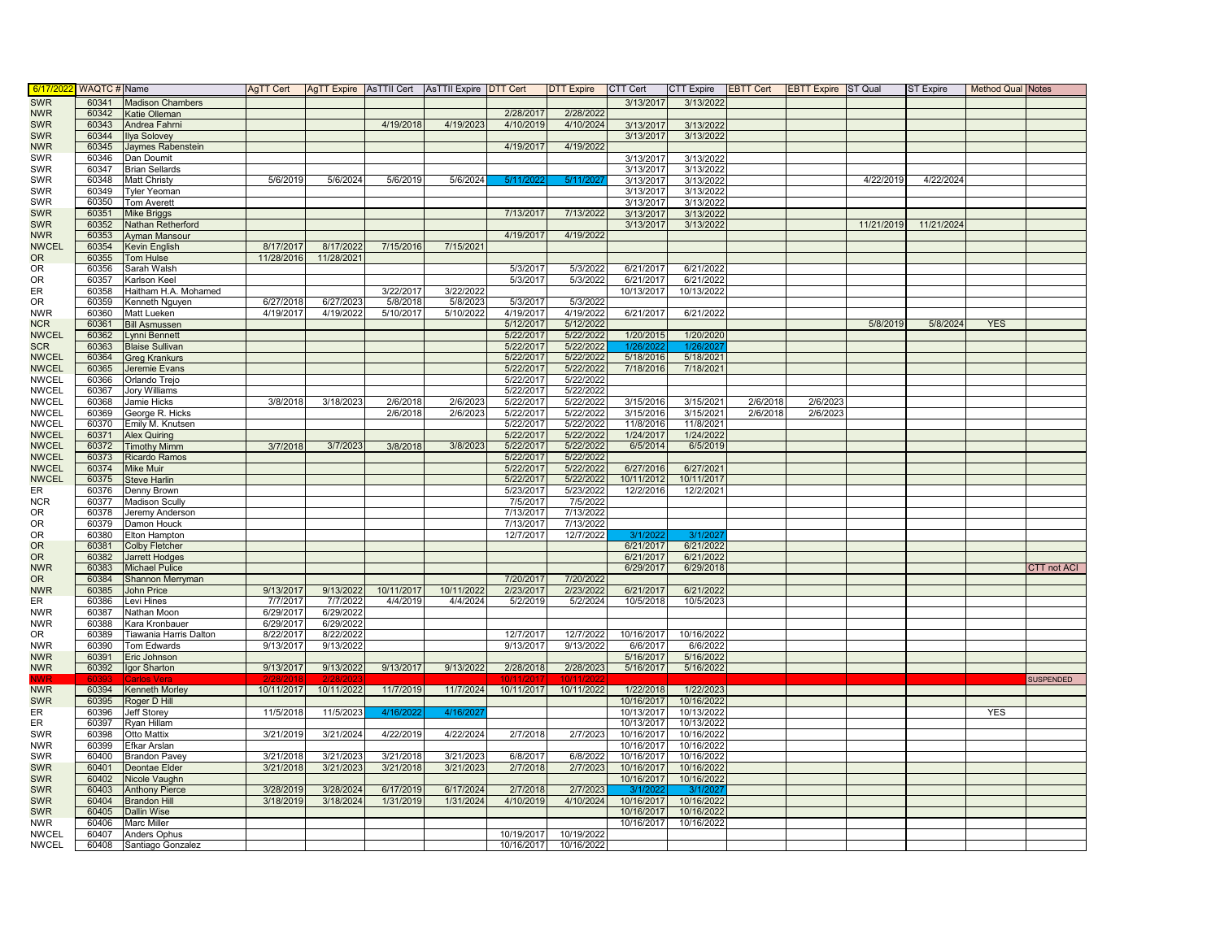| 6/17/202                  | WAQTC # Name   |                                | AgTT Cert  |                         |            | AgTT Expire   AsTTII Cert   AsTTII Expire   DTT Cert |                        | <b>DTT Expire</b>      | CTT Cert   | <b>CTT Expire</b> | <b>EBTT Cert</b> | <b>EBTT Expire</b> ST Qual |            | ST Expire  | Method Qual Notes |                    |
|---------------------------|----------------|--------------------------------|------------|-------------------------|------------|------------------------------------------------------|------------------------|------------------------|------------|-------------------|------------------|----------------------------|------------|------------|-------------------|--------------------|
| <b>SWR</b>                | 60341          | <b>Madison Chambers</b>        |            |                         |            |                                                      |                        |                        | 3/13/2017  | 3/13/2022         |                  |                            |            |            |                   |                    |
| <b>NWR</b>                | 60342          | <b>Katie Olleman</b>           |            |                         |            |                                                      | 2/28/2017              | 2/28/2022              |            |                   |                  |                            |            |            |                   |                    |
| <b>SWR</b>                | 60343          | Andrea Fahrni                  |            |                         | 4/19/2018  | 4/19/2023                                            | 4/10/2019              | 4/10/2024              | 3/13/2017  | 3/13/2022         |                  |                            |            |            |                   |                    |
| <b>SWR</b>                | 60344          | <b>Ilya Solovey</b>            |            |                         |            |                                                      |                        |                        | 3/13/2017  | 3/13/2022         |                  |                            |            |            |                   |                    |
| <b>NWR</b>                | 60345          | Jaymes Rabenstein              |            |                         |            |                                                      | 4/19/2017              | 4/19/2022              |            |                   |                  |                            |            |            |                   |                    |
| <b>SWR</b>                | 60346          | Dan Doumit                     |            |                         |            |                                                      |                        |                        | 3/13/2017  | 3/13/2022         |                  |                            |            |            |                   |                    |
| <b>SWR</b>                | 60347          | <b>Brian Sellards</b>          |            |                         |            |                                                      |                        |                        | 3/13/2017  | 3/13/2022         |                  |                            |            |            |                   |                    |
| <b>SWR</b>                | 60348          | Matt Christy                   | 5/6/2019   | 5/6/2024                | 5/6/2019   | 5/6/2024                                             | 5/11/202               | 5/11/202               | 3/13/2017  | 3/13/2022         |                  |                            | 4/22/2019  | 4/22/2024  |                   |                    |
| <b>SWR</b>                | 60349          | <b>Tyler Yeoman</b>            |            |                         |            |                                                      |                        |                        | 3/13/2017  | 3/13/2022         |                  |                            |            |            |                   |                    |
| <b>SWR</b>                | 60350          | Tom Averett                    |            |                         |            |                                                      |                        |                        | 3/13/2017  | 3/13/2022         |                  |                            |            |            |                   |                    |
| <b>SWR</b>                | 60351          | <b>Mike Briggs</b>             |            |                         |            |                                                      | 7/13/2017              | 7/13/2022              | 3/13/2017  | 3/13/2022         |                  |                            |            |            |                   |                    |
| <b>SWR</b>                | 60352          | Nathan Retherford              |            |                         |            |                                                      |                        |                        | 3/13/2017  | 3/13/2022         |                  |                            | 11/21/2019 | 11/21/2024 |                   |                    |
| <b>NWR</b>                | 60353          | <b>Ayman Mansour</b>           |            |                         |            |                                                      | 4/19/2017              | 4/19/2022              |            |                   |                  |                            |            |            |                   |                    |
| <b>NWCEL</b><br><b>OR</b> | 60354          | Kevin English                  | 8/17/2017  | 8/17/2022<br>11/28/2021 | 7/15/2016  | 7/15/2021                                            |                        |                        |            |                   |                  |                            |            |            |                   |                    |
| <b>OR</b>                 | 60355<br>60356 | Tom Hulse<br>Sarah Walsh       | 11/28/2016 |                         |            |                                                      | 5/3/2017               | 5/3/2022               | 6/21/2017  | 6/21/2022         |                  |                            |            |            |                   |                    |
| <b>OR</b>                 | 60357          | Karlson Keel                   |            |                         |            |                                                      | 5/3/2017               | 5/3/2022               | 6/21/2017  | 6/21/2022         |                  |                            |            |            |                   |                    |
| ER.                       | 60358          | Haitham H.A. Mohamed           |            |                         | 3/22/2017  | 3/22/2022                                            |                        |                        | 10/13/2017 | 10/13/2022        |                  |                            |            |            |                   |                    |
| OR                        | 60359          | Cenneth Nguyen                 | 6/27/2018  | 6/27/202                | 5/8/2018   | 5/8/2023                                             | 5/3/2017               | 5/3/2022               |            |                   |                  |                            |            |            |                   |                    |
| <b>NWR</b>                | 60360          | Matt Lueken                    | 4/19/2017  | 4/19/2022               | 5/10/2017  | 5/10/2022                                            | 4/19/2017              | 4/19/2022              | 6/21/2017  | 6/21/2022         |                  |                            |            |            |                   |                    |
| <b>NCR</b>                | 60361          | <b>Bill Asmussen</b>           |            |                         |            |                                                      | 5/12/2017              | 5/12/2022              |            |                   |                  |                            | 5/8/2019   | 5/8/2024   | <b>YES</b>        |                    |
| <b>NWCEL</b>              | 60362          | vnni Bennett                   |            |                         |            |                                                      | 5/22/2017              | 5/22/2022              | 1/20/2015  | 1/20/2020         |                  |                            |            |            |                   |                    |
| <b>SCR</b>                | 60363          | <b>Blaise Sullivan</b>         |            |                         |            |                                                      | 5/22/2017              | 5/22/2022              | 1/26/202   | 1/26/202          |                  |                            |            |            |                   |                    |
| <b>NWCEL</b>              | 60364          | <b>Greg Krankurs</b>           |            |                         |            |                                                      | 5/22/2017              | 5/22/2022              | 5/18/2016  | 5/18/2021         |                  |                            |            |            |                   |                    |
| <b>NWCEL</b>              | 60365          | Jeremie Evans                  |            |                         |            |                                                      | 5/22/2017              | 5/22/2022              | 7/18/2016  | 7/18/2021         |                  |                            |            |            |                   |                    |
| <b>NWCEL</b>              | 60366          | Orlando Trejo                  |            |                         |            |                                                      | 5/22/2017              | 5/22/2022              |            |                   |                  |                            |            |            |                   |                    |
| <b>NWCEL</b>              | 60367          | Jory Williams                  |            |                         |            |                                                      | 5/22/2017              | 5/22/2022              |            |                   |                  |                            |            |            |                   |                    |
| <b>NWCEL</b>              | 60368          | Jamie Hicks                    | 3/8/2018   | 3/18/2023               | 2/6/2018   | 2/6/2023                                             | 5/22/2017              | 5/22/2022              | 3/15/2016  | 3/15/2021         | 2/6/2018         | 2/6/202                    |            |            |                   |                    |
| <b>NWCEL</b>              | 60369          | George R. Hicks                |            |                         | 2/6/2018   | 2/6/2023                                             | 5/22/2017              | 5/22/2022              | 3/15/2016  | 3/15/2021         | 2/6/2018         | 2/6/2023                   |            |            |                   |                    |
| <b>NWCEL</b>              | 60370          | Emily M. Knutsen               |            |                         |            |                                                      | 5/22/2017              | 5/22/2022              | 11/8/2016  | 11/8/2021         |                  |                            |            |            |                   |                    |
| <b>NWCEL</b>              | 60371          | <b>Alex Quiring</b>            |            |                         |            |                                                      | 5/22/2017              | 5/22/2022              | 1/24/2017  | 1/24/2022         |                  |                            |            |            |                   |                    |
| <b>NWCEL</b>              | 60372          | <b>Timothy Mimm</b>            | 3/7/2018   | 3/7/2023                | 3/8/2018   | 3/8/2023                                             | 5/22/2017              | 5/22/2022              | 6/5/2014   | 6/5/2019          |                  |                            |            |            |                   |                    |
| <b>NWCEL</b>              | 60373          | Ricardo Ramos                  |            |                         |            |                                                      | 5/22/2017              | 5/22/2022              |            |                   |                  |                            |            |            |                   |                    |
| <b>NWCEL</b>              | 60374          | Mike Muir                      |            |                         |            |                                                      | 5/22/2017              | 5/22/2022              | 6/27/2016  | 6/27/2021         |                  |                            |            |            |                   |                    |
| <b>NWCEL</b>              | 60375          | <b>Steve Harlin</b>            |            |                         |            |                                                      | 5/22/2017              | 5/22/2022              | 10/11/2012 | 10/11/2017        |                  |                            |            |            |                   |                    |
| ER                        | 60376          | Denny Brown                    |            |                         |            |                                                      | 5/23/2017              | 5/23/2022              | 12/2/2016  | 12/2/2021         |                  |                            |            |            |                   |                    |
| <b>NCR</b>                | 60377          | Madison Scully                 |            |                         |            |                                                      | 7/5/2017               | 7/5/2022               |            |                   |                  |                            |            |            |                   |                    |
| OR                        | 60378          | Jeremy Anderson                |            |                         |            |                                                      | 7/13/2017              | 7/13/2022              |            |                   |                  |                            |            |            |                   |                    |
| OR                        | 60379          | Damon Houck                    |            |                         |            |                                                      | 7/13/2017              | 7/13/2022              |            |                   |                  |                            |            |            |                   |                    |
| 0R                        | 60380          | Elton Hampton                  |            |                         |            |                                                      | 12/7/2017              | 12/7/2022              | 3/1/202    | 3/1/202           |                  |                            |            |            |                   |                    |
| OR                        | 60381          | <b>Colby Fletcher</b>          |            |                         |            |                                                      |                        |                        | 6/21/2017  | 6/21/2022         |                  |                            |            |            |                   |                    |
| <b>OR</b>                 | 60382          | <b>Jarrett Hodges</b>          |            |                         |            |                                                      |                        |                        | 6/21/2017  | 6/21/2022         |                  |                            |            |            |                   |                    |
| <b>NWR</b><br>OR.         | 60383<br>60384 | <b>Michael Pulice</b>          |            |                         |            |                                                      |                        |                        | 6/29/2017  | 6/29/2018         |                  |                            |            |            |                   | <b>CTT</b> not ACI |
| <b>NWR</b>                | 60385          | Shannon Merryman<br>John Price | 9/13/2017  | 9/13/2022               | 10/11/2017 | 10/11/2022                                           | 7/20/2017<br>2/23/2017 | 7/20/2022<br>2/23/2022 | 6/21/2017  | 6/21/2022         |                  |                            |            |            |                   |                    |
| ER.                       | 60386          | evi Hines.                     | 7/7/2017   | 7/7/2022                | 4/4/2019   | 4/4/2024                                             | 5/2/2019               | 5/2/2024               | 10/5/2018  | 10/5/2023         |                  |                            |            |            |                   |                    |
| <b>NWR</b>                | 60387          | Nathan Moon                    | 6/29/2017  | 6/29/2022               |            |                                                      |                        |                        |            |                   |                  |                            |            |            |                   |                    |
| <b>NWR</b>                | 60388          | Kara Kronbauer                 | 6/29/2017  | 6/29/2022               |            |                                                      |                        |                        |            |                   |                  |                            |            |            |                   |                    |
| OR                        | 60389          | Tiawania Harris Dalton         | 8/22/2017  | 8/22/2022               |            |                                                      | 12/7/2017              | 12/7/2022              | 10/16/2017 | 10/16/2022        |                  |                            |            |            |                   |                    |
| <b>NWR</b>                | 60390          | Tom Edwards                    | 9/13/2017  | 9/13/2022               |            |                                                      | 9/13/2017              | 9/13/2022              | 6/6/2017   | 6/6/2022          |                  |                            |            |            |                   |                    |
| <b>NWR</b>                | 60391          | Eric Johnson                   |            |                         |            |                                                      |                        |                        | 5/16/2017  | 5/16/2022         |                  |                            |            |            |                   |                    |
| <b>NWR</b>                | 60392          | Igor Sharton                   | 9/13/2017  | 9/13/2022               | 9/13/2017  | 9/13/2022                                            | 2/28/2018              | 2/28/2023              | 5/16/2017  | 5/16/2022         |                  |                            |            |            |                   |                    |
|                           |                | Carlos Vera                    |            |                         |            |                                                      |                        |                        |            |                   |                  |                            |            |            |                   | <b>SUSPENDED</b>   |
| <b>NWR</b>                | 60394          | Kenneth Morley                 | 10/11/2017 | 10/11/2022              | 11/7/2019  | 11/7/2024                                            | 10/11/2017             | 10/11/2022             | 1/22/2018  | 1/22/2023         |                  |                            |            |            |                   |                    |
| <b>SWR</b>                | 60395          | Roger D Hill                   |            |                         |            |                                                      |                        |                        | 10/16/2017 | 10/16/2022        |                  |                            |            |            |                   |                    |
| ER                        | 60396          | <b>Jeff Storey</b>             | 11/5/2018  | 11/5/2023               | 4/16/20    | 4/16/202                                             |                        |                        | 10/13/2017 | 10/13/2022        |                  |                            |            |            | <b>YES</b>        |                    |
| ER.                       | 60397          | Ryan Hillam                    |            |                         |            |                                                      |                        |                        | 10/13/2017 | 10/13/2022        |                  |                            |            |            |                   |                    |
| SWR                       | 60398          | Otto Mattix                    | 3/21/2019  | 3/21/2024               | 4/22/2019  | 4/22/2024                                            | 2/7/2018               | 2/7/2023               | 10/16/2017 | 10/16/2022        |                  |                            |            |            |                   |                    |
| <b>NWR</b>                | 60399          | Efkar Arslan                   |            |                         |            |                                                      |                        |                        | 10/16/2017 | 10/16/2022        |                  |                            |            |            |                   |                    |
| SWR                       | 60400          | <b>Brandon Pavey</b>           | 3/21/2018  | 3/21/2023               | 3/21/2018  | 3/21/2023                                            | 6/8/2017               | 6/8/2022               | 10/16/2017 | 10/16/2022        |                  |                            |            |            |                   |                    |
| <b>SWR</b>                | 60401          | Deontae Elder                  | 3/21/2018  | 3/21/2023               | 3/21/2018  | 3/21/2023                                            | 2/7/2018               | 2/7/2023               | 10/16/2017 | 10/16/2022        |                  |                            |            |            |                   |                    |
| <b>SWR</b>                | 60402          | Nicole Vaughn                  |            |                         |            |                                                      |                        |                        | 10/16/2017 | 10/16/2022        |                  |                            |            |            |                   |                    |
| <b>SWR</b>                | 60403          | <b>Anthony Pierce</b>          | 3/28/2019  | 3/28/2024               | 6/17/2019  | 6/17/2024                                            | 2/7/2018               | 2/7/2023               | 3/1/202    | 3/1/202           |                  |                            |            |            |                   |                    |
| <b>SWR</b>                | 60404          | <b>Brandon Hill</b>            | 3/18/2019  | 3/18/2024               | 1/31/2019  | 1/31/2024                                            | 4/10/2019              | 4/10/2024              | 10/16/2017 | 10/16/2022        |                  |                            |            |            |                   |                    |
| <b>SWR</b>                | 60405          | Dallin Wise                    |            |                         |            |                                                      |                        |                        | 10/16/2017 | 10/16/2022        |                  |                            |            |            |                   |                    |
| <b>NWR</b>                | 60406          | Marc Miller                    |            |                         |            |                                                      |                        |                        | 10/16/2017 | 10/16/2022        |                  |                            |            |            |                   |                    |
| <b>NWCEL</b>              | 60407          | <b>Anders Ophus</b>            |            |                         |            |                                                      | 10/19/2017             | 10/19/2022             |            |                   |                  |                            |            |            |                   |                    |
| <b>NWCEL</b>              | 60408          | Santiago Gonzalez              |            |                         |            |                                                      | 10/16/2017             | 10/16/2022             |            |                   |                  |                            |            |            |                   |                    |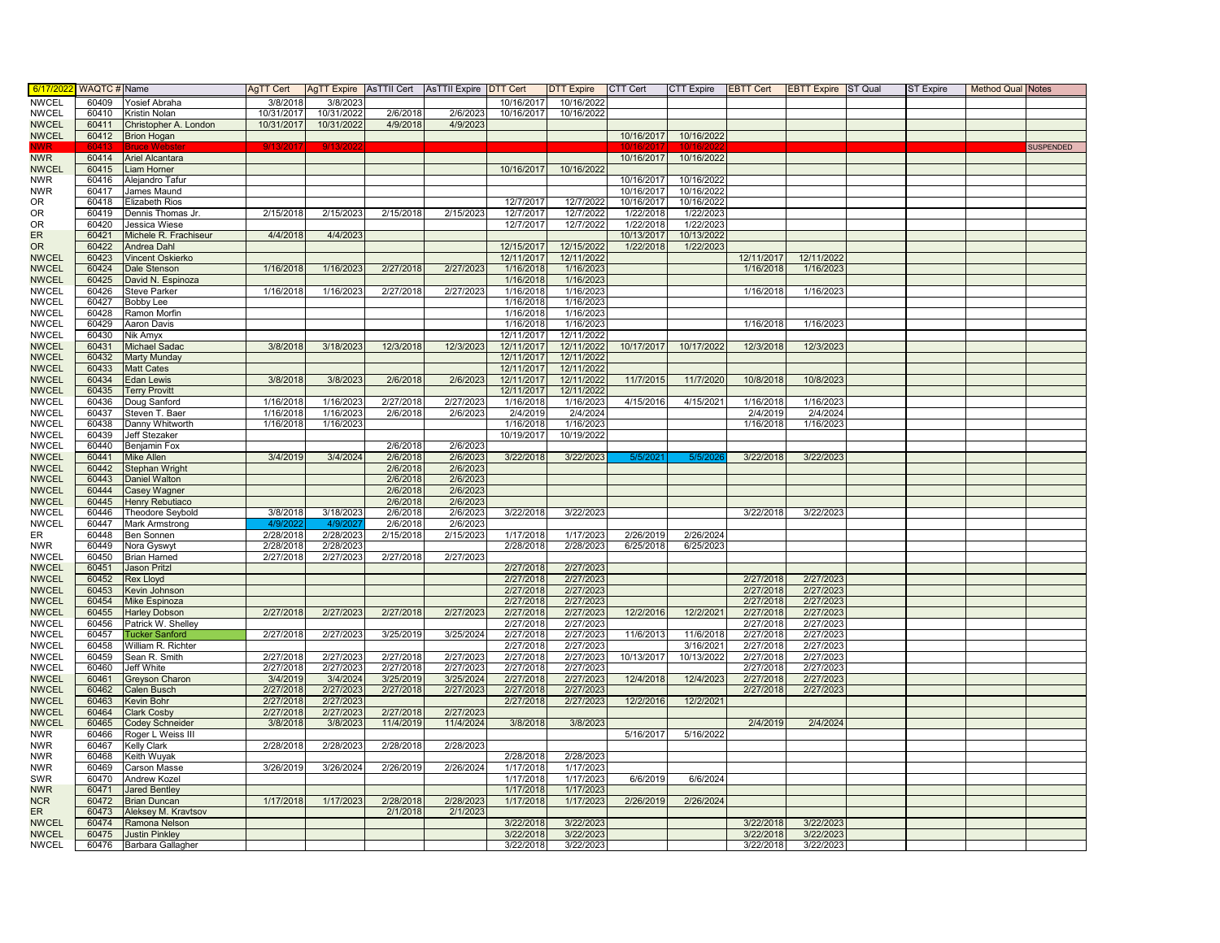| 6/17/202                     | WAQTC # Name   |                                             | AgTT Cert  |            |                      | AgTT Expire AsTTII Cert AsTTII Expire DTT Cert |                          | <b>DTT Expire</b>        | CTT Cert                 | <b>CTT Expire</b>        | EBTT Cert              | <b>EBTT Expire</b> ST Qual | ST Expire | <b>Method Qual Notes</b> |                  |
|------------------------------|----------------|---------------------------------------------|------------|------------|----------------------|------------------------------------------------|--------------------------|--------------------------|--------------------------|--------------------------|------------------------|----------------------------|-----------|--------------------------|------------------|
| <b>NWCEL</b>                 | 60409          | Yosief Abraha                               | 3/8/2018   | 3/8/2023   |                      |                                                | 10/16/2017               | 10/16/2022               |                          |                          |                        |                            |           |                          |                  |
| <b>NWCEL</b>                 | 60410          | Kristin Nolan                               | 10/31/2017 | 10/31/2022 | 2/6/2018             | 2/6/2023                                       | 10/16/2017               | 10/16/2022               |                          |                          |                        |                            |           |                          |                  |
| <b>NWCEL</b>                 | 60411          | Christopher A. London                       | 10/31/2017 | 10/31/2022 | 4/9/2018             | 4/9/2023                                       |                          |                          |                          |                          |                        |                            |           |                          |                  |
| <b>NWCEL</b>                 |                | 60412 Brion Hogan                           |            |            |                      |                                                |                          |                          | 10/16/2017               | 10/16/2022               |                        |                            |           |                          |                  |
| WWR                          |                | Bruce Wel                                   |            |            |                      |                                                |                          |                          |                          |                          |                        |                            |           |                          | <b>SUSPENDED</b> |
| <b>NWR</b>                   | 60414          | <b>Ariel Alcantara</b>                      |            |            |                      |                                                |                          |                          | 10/16/2017               | 10/16/2022               |                        |                            |           |                          |                  |
| <b>NWCEL</b>                 | 60415          | Liam Horner                                 |            |            |                      |                                                | 10/16/2017               | 10/16/2022               |                          |                          |                        |                            |           |                          |                  |
| <b>NWR</b>                   | 60416          | Alejandro Tafur                             |            |            |                      |                                                |                          |                          | 10/16/2017               | 10/16/2022<br>10/16/2022 |                        |                            |           |                          |                  |
| <b>NWR</b><br>OR.            | 60417<br>60418 | James Maund<br><b>Elizabeth Rios</b>        |            |            |                      |                                                | 12/7/2017                | 12/7/2022                | 10/16/2017<br>10/16/2017 | 10/16/2022               |                        |                            |           |                          |                  |
| <b>OR</b>                    | 60419          | Dennis Thomas Jr.                           | 2/15/2018  | 2/15/2023  | 2/15/2018            | 2/15/2023                                      | 12/7/2017                | 12/7/2022                | 1/22/2018                | 1/22/2023                |                        |                            |           |                          |                  |
| <b>OR</b>                    | 60420          | Jessica Wiese                               |            |            |                      |                                                | 12/7/2017                | 12/7/2022                | 1/22/2018                | 1/22/2023                |                        |                            |           |                          |                  |
| <b>ER</b>                    | 60421          | Michele R. Frachiseur                       | 4/4/2018   | 4/4/2023   |                      |                                                |                          |                          | 10/13/2017               | 10/13/2022               |                        |                            |           |                          |                  |
| <b>OR</b>                    | 60422          | <b>Andrea Dahl</b>                          |            |            |                      |                                                | 12/15/2017               | 12/15/2022               | 1/22/2018                | 1/22/2023                |                        |                            |           |                          |                  |
| <b>NWCEL</b>                 | 60423          | Vincent Oskierko                            |            |            |                      |                                                | 12/11/2017               | 12/11/2022               |                          |                          | 12/11/2017             | 12/11/2022                 |           |                          |                  |
| <b>NWCEL</b>                 | 60424          | Dale Stenson                                | 1/16/2018  | 1/16/2023  | 2/27/2018            | 2/27/2023                                      | 1/16/2018                | 1/16/2023                |                          |                          | 1/16/2018              | 1/16/2023                  |           |                          |                  |
| <b>NWCEL</b>                 | 60425          | David N. Espinoza                           |            |            |                      |                                                | 1/16/2018                | 1/16/2023                |                          |                          |                        |                            |           |                          |                  |
| <b>NWCEL</b>                 | 60426          | <b>Steve Parker</b>                         | 1/16/2018  | 1/16/2023  | 2/27/2018            | 2/27/2023                                      | 1/16/2018                | 1/16/2023                |                          |                          | 1/16/2018              | 1/16/2023                  |           |                          |                  |
| <b>NWCEL</b>                 | 60427          | <b>Bobby Lee</b>                            |            |            |                      |                                                | 1/16/2018                | 1/16/2023                |                          |                          |                        |                            |           |                          |                  |
| <b>NWCEL</b>                 | 60428          | Ramon Morfin                                |            |            |                      |                                                | 1/16/2018                | 1/16/202                 |                          |                          |                        |                            |           |                          |                  |
| <b>NWCEL</b>                 | 60429          | Aaron Davis                                 |            |            |                      |                                                | 1/16/2018                | 1/16/2023                |                          |                          | 1/16/2018              | 1/16/2023                  |           |                          |                  |
| <b>NWCEL</b>                 | 60430          | Nik Amyx                                    |            |            |                      |                                                | 12/11/2017               | 12/11/2022               |                          |                          |                        |                            |           |                          |                  |
| <b>NWCEL</b><br><b>NWCEL</b> | 60431<br>60432 | <b>Michael Sadac</b><br><b>Marty Munday</b> | 3/8/2018   | 3/18/2023  | 12/3/2018            | 12/3/2023                                      | 12/11/2017<br>12/11/2017 | 12/11/2022<br>12/11/2022 | 10/17/2017               | 10/17/2022               | 12/3/2018              | 12/3/2023                  |           |                          |                  |
| <b>NWCEL</b>                 | 60433          | <b>Matt Cates</b>                           |            |            |                      |                                                | 12/11/2017               | 12/11/2022               |                          |                          |                        |                            |           |                          |                  |
| <b>NWCEL</b>                 | 60434          | <b>Edan Lewis</b>                           | 3/8/2018   | 3/8/2023   | 2/6/2018             | 2/6/2023                                       | 12/11/2017               | 12/11/2022               | 11/7/2015                | 11/7/2020                | 10/8/2018              | 10/8/202                   |           |                          |                  |
| <b>NWCEL</b>                 | 60435          | <b>Terry Provitt</b>                        |            |            |                      |                                                | 12/11/2017               | 12/11/2022               |                          |                          |                        |                            |           |                          |                  |
| <b>NWCEL</b>                 | 60436          | Doug Sanford                                | 1/16/2018  | 1/16/2023  | 2/27/2018            | 2/27/2023                                      | 1/16/2018                | 1/16/2023                | 4/15/2016                | 4/15/2021                | 1/16/2018              | 1/16/202                   |           |                          |                  |
| <b>NWCEL</b>                 | 60437          | Steven T. Baer                              | 1/16/2018  | 1/16/2023  | 2/6/2018             | 2/6/2023                                       | 2/4/2019                 | 2/4/2024                 |                          |                          | 2/4/2019               | 2/4/2024                   |           |                          |                  |
| <b>NWCEL</b>                 | 60438          | Danny Whitworth                             | 1/16/2018  | 1/16/2023  |                      |                                                | 1/16/2018                | 1/16/2023                |                          |                          | 1/16/2018              | 1/16/2023                  |           |                          |                  |
| <b>NWCEL</b>                 | 60439          | Jeff Stezaker                               |            |            |                      |                                                | 10/19/2017               | 10/19/2022               |                          |                          |                        |                            |           |                          |                  |
| <b>NWCEL</b>                 | 60440          | Benjamin Fox                                |            |            | 2/6/2018             | 2/6/2023                                       |                          |                          |                          |                          |                        |                            |           |                          |                  |
| <b>NWCEL</b>                 | 60441          | Mike Allen                                  | 3/4/2019   | 3/4/2024   | 2/6/2018             | 2/6/2023                                       | 3/22/2018                | 3/22/2023                | 5/5/202                  | 5/5/202                  | 3/22/2018              | 3/22/2023                  |           |                          |                  |
| <b>NWCEL</b>                 | 60442          | Stephan Wright                              |            |            | 2/6/2018             | 2/6/2023                                       |                          |                          |                          |                          |                        |                            |           |                          |                  |
| <b>NWCEL</b>                 | 60443          | Daniel Walton                               |            |            | 2/6/2018             | 2/6/2023                                       |                          |                          |                          |                          |                        |                            |           |                          |                  |
| <b>NWCEL</b>                 | 60444          | <b>Casey Wagner</b>                         |            |            | 2/6/2018             | 2/6/2023                                       |                          |                          |                          |                          |                        |                            |           |                          |                  |
| <b>NWCEL</b><br><b>NWCEL</b> | 60445<br>60446 | Henry Rebutiaco<br><b>Theodore Seybold</b>  | 3/8/2018   | 3/18/2023  | 2/6/2018<br>2/6/2018 | 2/6/2023<br>2/6/2023                           | 3/22/2018                | 3/22/2023                |                          |                          | 3/22/2018              | 3/22/2023                  |           |                          |                  |
| <b>NWCEL</b>                 | 60447          | Mark Armstrong                              | 4/9/20     | 4/9/202    | 2/6/2018             | 2/6/2023                                       |                          |                          |                          |                          |                        |                            |           |                          |                  |
| ER                           | 60448          | <b>Ben Sonnen</b>                           | 2/28/2018  | 2/28/2023  | 2/15/2018            | 2/15/2023                                      | 1/17/2018                | 1/17/2023                | 2/26/2019                | 2/26/2024                |                        |                            |           |                          |                  |
| <b>NWR</b>                   | 60449          | Nora Gyswyt                                 | 2/28/2018  | 2/28/2023  |                      |                                                | 2/28/2018                | 2/28/2023                | 6/25/2018                | 6/25/2023                |                        |                            |           |                          |                  |
| <b>NWCEL</b>                 | 60450          | <b>Brian Harned</b>                         | 2/27/2018  | 2/27/2023  | 2/27/2018            | 2/27/2023                                      |                          |                          |                          |                          |                        |                            |           |                          |                  |
| <b>NWCEL</b>                 | 60451          | <b>Jason Pritzl</b>                         |            |            |                      |                                                | 2/27/2018                | 2/27/2023                |                          |                          |                        |                            |           |                          |                  |
| <b>NWCEL</b>                 | 60452          | <b>Rex Lloyd</b>                            |            |            |                      |                                                | 2/27/2018                | 2/27/2023                |                          |                          | 2/27/2018              | 2/27/202                   |           |                          |                  |
| <b>NWCEL</b>                 | 60453          | Kevin Johnson                               |            |            |                      |                                                | 2/27/201                 | 2/27/2023                |                          |                          | 2/27/201               | 2/27/202                   |           |                          |                  |
| <b>NWCEL</b>                 | 60454          | Mike Espinoza                               |            |            |                      |                                                | 2/27/2018                | 2/27/2023                |                          |                          | 2/27/2018              | 2/27/2023                  |           |                          |                  |
| <b>NWCEL</b>                 | 60455          | <b>Harley Dobson</b>                        | 2/27/2018  | 2/27/2023  | 2/27/2018            | 2/27/2023                                      | 2/27/2018                | 2/27/2023                | 12/2/2016                | 12/2/2021                | 2/27/2018              | 2/27/2023                  |           |                          |                  |
| <b>NWCEL</b>                 | 60456          | Patrick W. Shelley                          |            |            |                      |                                                | 2/27/2018                | 2/27/2023                |                          |                          | 2/27/2018              | 2/27/2023                  |           |                          |                  |
| <b>NWCEL</b><br><b>NWCEL</b> | 60457<br>60458 | <b>Tucker Sanford</b><br>William R. Richter | 2/27/2018  | 2/27/2023  | 3/25/2019            | 3/25/2024                                      | 2/27/2018<br>2/27/2018   | 2/27/2023<br>2/27/2023   | 11/6/2013                | 11/6/2018<br>3/16/2021   | 2/27/2018<br>2/27/2018 | 2/27/2023<br>2/27/2023     |           |                          |                  |
| <b>NWCEL</b>                 | 60459          | Sean R. Smith                               | 2/27/2018  | 2/27/2023  | 2/27/2018            | 2/27/2023                                      | 2/27/2018                | 2/27/2023                | 10/13/2017               | 10/13/2022               | 2/27/2018              | 2/27/202                   |           |                          |                  |
| <b>NWCEL</b>                 | 60460          | Jeff White                                  | 2/27/2018  | 2/27/2023  | 2/27/2018            | 2/27/2023                                      | 2/27/2018                | 2/27/2023                |                          |                          | 2/27/2018              | 2/27/2023                  |           |                          |                  |
| <b>NWCEL</b>                 | 60461          | Greyson Charon                              | 3/4/2019   | 3/4/2024   | 3/25/2019            | 3/25/2024                                      | 2/27/2018                | 2/27/2023                | 12/4/2018                | 12/4/2023                | 2/27/2018              | 2/27/2023                  |           |                          |                  |
| <b>NWCEL</b>                 | 60462          | Calen Busch                                 | 2/27/2018  | 2/27/2023  | 2/27/2018            | 2/27/2023                                      | 2/27/2018                | 2/27/2023                |                          |                          | 2/27/2018              | 2/27/202                   |           |                          |                  |
| <b>NWCEL</b>                 | 60463          | Kevin Bohr                                  | 2/27/2018  | 2/27/2023  |                      |                                                | 2/27/2018                | 2/27/2023                | 12/2/2016                | 12/2/2021                |                        |                            |           |                          |                  |
| <b>NWCEL</b>                 | 60464          | <b>Clark Cosby</b>                          | 2/27/2018  | 2/27/2023  | 2/27/2018            | 2/27/2023                                      |                          |                          |                          |                          |                        |                            |           |                          |                  |
| <b>NWCEL</b>                 | 60465          | <b>Codey Schneider</b>                      | 3/8/2018   | 3/8/2023   | 11/4/2019            | 11/4/2024                                      | 3/8/2018                 | 3/8/2023                 |                          |                          | 2/4/2019               | 2/4/2024                   |           |                          |                  |
| <b>NWR</b>                   | 60466          | Roger L Weiss III                           |            |            |                      |                                                |                          |                          | 5/16/2017                | 5/16/2022                |                        |                            |           |                          |                  |
| <b>NWR</b>                   | 60467          | <b>Kelly Clark</b>                          | 2/28/2018  | 2/28/2023  | 2/28/2018            | 2/28/2023                                      |                          |                          |                          |                          |                        |                            |           |                          |                  |
| <b>NWR</b>                   | 60468          | Keith Wuyak                                 |            |            |                      |                                                | 2/28/2018                | 2/28/2023                |                          |                          |                        |                            |           |                          |                  |
| <b>NWR</b><br>SWR            | 60469<br>60470 | <b>Carson Masse</b>                         | 3/26/2019  | 3/26/2024  | 2/26/2019            | 2/26/2024                                      | 1/17/2018<br>1/17/2018   | 1/17/2023<br>1/17/2023   | 6/6/2019                 | 6/6/2024                 |                        |                            |           |                          |                  |
| <b>NWR</b>                   | 60471          | Andrew Kozel<br><b>Jared Bentley</b>        |            |            |                      |                                                | 1/17/2018                | 1/17/2023                |                          |                          |                        |                            |           |                          |                  |
| <b>NCR</b>                   | 60472          | <b>Brian Duncan</b>                         | 1/17/2018  | 1/17/2023  | 2/28/2018            | 2/28/2023                                      | 1/17/2018                | 1/17/2023                | 2/26/2019                | 2/26/2024                |                        |                            |           |                          |                  |
| ER                           | 60473          | Aleksey M. Kravtsov                         |            |            | 2/1/2018             | 2/1/2023                                       |                          |                          |                          |                          |                        |                            |           |                          |                  |
| <b>NWCEL</b>                 | 60474          | Ramona Nelson                               |            |            |                      |                                                | 3/22/2018                | 3/22/2023                |                          |                          | 3/22/2018              | 3/22/2023                  |           |                          |                  |
| <b>NWCEL</b>                 | 60475          | <b>Justin Pinkley</b>                       |            |            |                      |                                                | 3/22/2018                | 3/22/2023                |                          |                          | 3/22/2018              | 3/22/2023                  |           |                          |                  |
| <b>NWCEL</b>                 | 60476          | Barbara Gallagher                           |            |            |                      |                                                | 3/22/2018                | 3/22/2023                |                          |                          | 3/22/2018              | 3/22/2023                  |           |                          |                  |
|                              |                |                                             |            |            |                      |                                                |                          |                          |                          |                          |                        |                            |           |                          |                  |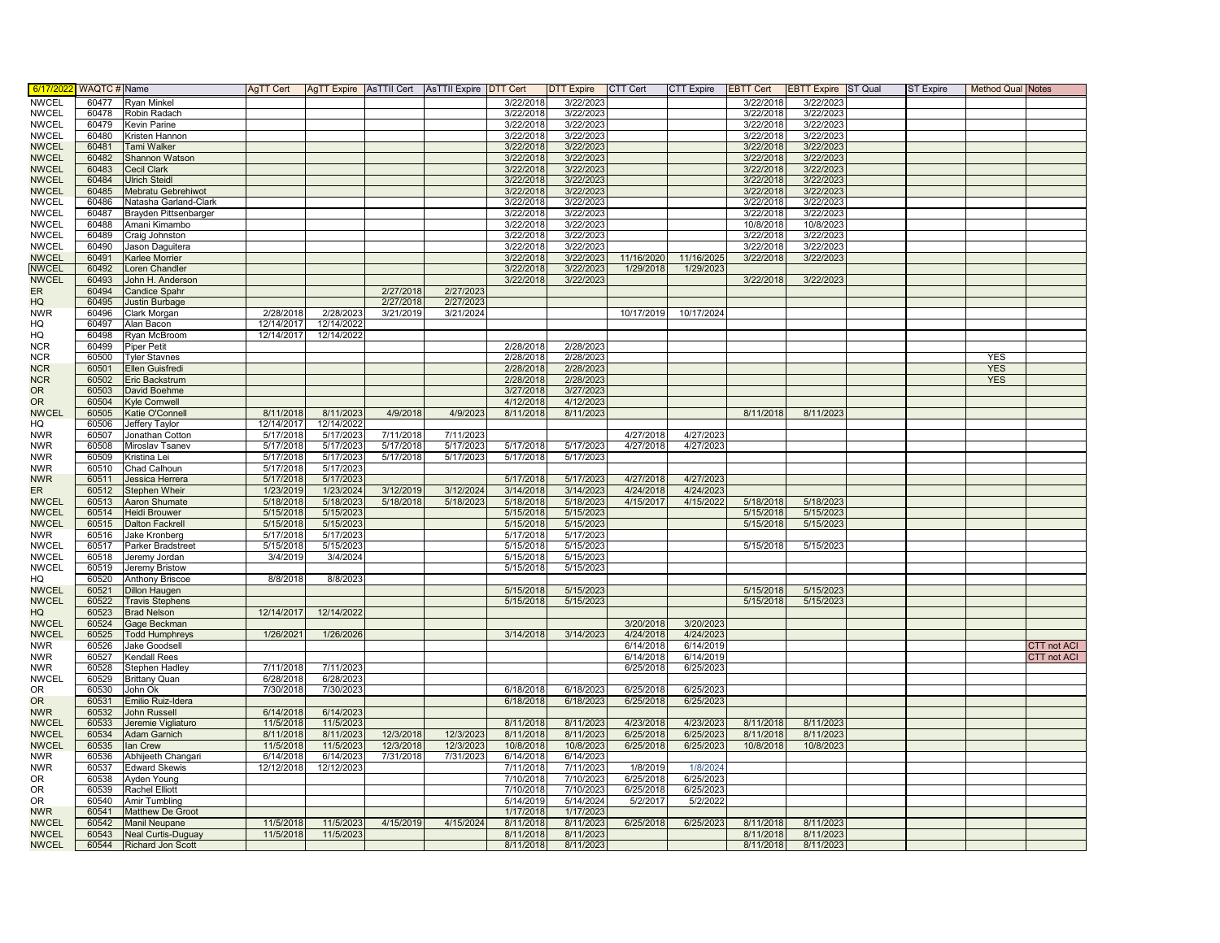| 6/17/202     | WAQTC # Name   |                             | AgTT Cert          |                         | AgTT Expire AsTTII Cert AsTTII Expire DTT Cert |                        |           | DTT Expire CTT Cert |            | <b>CTT Expire</b> | <b>EBTT Cert</b> | <b>EBTT Expire</b> ST Qual | ST Expire | <b>Method Qual Notes</b> |                    |
|--------------|----------------|-----------------------------|--------------------|-------------------------|------------------------------------------------|------------------------|-----------|---------------------|------------|-------------------|------------------|----------------------------|-----------|--------------------------|--------------------|
| <b>NWCEL</b> | 60477          | <b>Ryan Minkel</b>          |                    |                         |                                                |                        | 3/22/2018 | 3/22/2023           |            |                   | 3/22/2018        | 3/22/2023                  |           |                          |                    |
| <b>NWCEL</b> | 60478          | Robin Radach                |                    |                         |                                                |                        | 3/22/2018 | 3/22/2023           |            |                   | 3/22/2018        | 3/22/2023                  |           |                          |                    |
| <b>NWCEL</b> | 60479          | Kevin Parine                |                    |                         |                                                |                        | 3/22/2018 | 3/22/2023           |            |                   | 3/22/2018        | 3/22/2023                  |           |                          |                    |
| <b>NWCEL</b> | 60480          | Kristen Hannon              |                    |                         |                                                |                        | 3/22/2018 | 3/22/2023           |            |                   | 3/22/2018        | 3/22/2023                  |           |                          |                    |
| <b>NWCEL</b> | 60481          | <b>Tami Walker</b>          |                    |                         |                                                |                        | 3/22/2018 | 3/22/2023           |            |                   | 3/22/2018        | 3/22/2023                  |           |                          |                    |
| <b>NWCEL</b> | 60482          | <b>Shannon Watson</b>       |                    |                         |                                                |                        | 3/22/2018 | 3/22/2023           |            |                   | 3/22/2018        | 3/22/2023                  |           |                          |                    |
| <b>NWCEL</b> | 60483          | Cecil Clark                 |                    |                         |                                                |                        | 3/22/2018 | 3/22/2023           |            |                   | 3/22/2018        | 3/22/2023                  |           |                          |                    |
| <b>NWCEL</b> | 60484          | <b>Ulrich Steidl</b>        |                    |                         |                                                |                        | 3/22/2018 | 3/22/2023           |            |                   | 3/22/2018        | 3/22/2023                  |           |                          |                    |
| <b>NWCEL</b> | 60485          | Mebratu Gebrehiwot          |                    |                         |                                                |                        | 3/22/2018 | 3/22/2023           |            |                   | 3/22/2018        | 3/22/2023                  |           |                          |                    |
| <b>NWCEL</b> | 60486          | Natasha Garland-Clark       |                    |                         |                                                |                        | 3/22/2018 | 3/22/2023           |            |                   | 3/22/2018        | 3/22/202                   |           |                          |                    |
| <b>NWCEL</b> | 60487          | Brayden Pittsenbarger       |                    |                         |                                                |                        | 3/22/2018 | 3/22/2023           |            |                   | 3/22/2018        | 3/22/2023                  |           |                          |                    |
| <b>NWCEL</b> | 60488          | Amani Kimambo               |                    |                         |                                                |                        | 3/22/2018 | 3/22/2023           |            |                   | 10/8/2018        | 10/8/2023                  |           |                          |                    |
| <b>NWCEL</b> | 60489          | Craig Johnston              |                    |                         |                                                |                        | 3/22/2018 | 3/22/2023           |            |                   | 3/22/2018        | 3/22/2023                  |           |                          |                    |
| <b>NWCEL</b> | 60490          | Jason Daguitera             |                    |                         |                                                |                        | 3/22/2018 | 3/22/2023           |            |                   | 3/22/2018        | 3/22/2023                  |           |                          |                    |
| <b>NWCEL</b> | 60491          | Karlee Morrier              |                    |                         |                                                |                        | 3/22/2018 | 3/22/2023           | 11/16/2020 | 11/16/2025        | 3/22/2018        | 3/22/2023                  |           |                          |                    |
| <b>NWCEL</b> | 60492          | Loren Chandler              |                    |                         |                                                |                        | 3/22/2018 | 3/22/2023           | 1/29/2018  | 1/29/2023         |                  |                            |           |                          |                    |
| <b>NWCEL</b> | 60493          | John H. Anderson            |                    |                         |                                                |                        | 3/22/2018 | 3/22/2023           |            |                   | 3/22/2018        | 3/22/2023                  |           |                          |                    |
| ER<br>HQ     | 60494<br>60495 | <b>Candice Spahr</b>        |                    |                         | 2/27/2018<br>2/27/2018                         | 2/27/2023              |           |                     |            |                   |                  |                            |           |                          |                    |
| <b>NWR</b>   | 60496          | Justin Burbage              | 2/28/2018          |                         | 3/21/2019                                      | 2/27/2023<br>3/21/2024 |           |                     | 10/17/2019 | 10/17/2024        |                  |                            |           |                          |                    |
|              | 60497          | Clark Morgan                | 12/14/2017         | 2/28/2023<br>12/14/2022 |                                                |                        |           |                     |            |                   |                  |                            |           |                          |                    |
| HQ<br>HQ     | 60498          | Alan Bacon                  | 12/14/2017         |                         |                                                |                        |           |                     |            |                   |                  |                            |           |                          |                    |
| <b>NCR</b>   | 60499          | Ryan McBroom<br>Piper Petit |                    | 12/14/2022              |                                                |                        | 2/28/2018 | 2/28/2023           |            |                   |                  |                            |           |                          |                    |
| <b>NCR</b>   | 60500          | <b>Tyler Stavnes</b>        |                    |                         |                                                |                        | 2/28/2018 | 2/28/2023           |            |                   |                  |                            |           | <b>YES</b>               |                    |
| <b>NCR</b>   | 60501          | Ellen Guisfredi             |                    |                         |                                                |                        | 2/28/2018 | 2/28/2023           |            |                   |                  |                            |           | <b>YES</b>               |                    |
| <b>NCR</b>   | 60502          | Eric Backstrum              |                    |                         |                                                |                        | 2/28/2018 | 2/28/2023           |            |                   |                  |                            |           | <b>YES</b>               |                    |
| <b>OR</b>    | 60503          | David Boehme                |                    |                         |                                                |                        | 3/27/2018 | 3/27/2023           |            |                   |                  |                            |           |                          |                    |
| <b>OR</b>    | 60504          | <b>Kyle Cornwell</b>        |                    |                         |                                                |                        | 4/12/2018 | 4/12/2023           |            |                   |                  |                            |           |                          |                    |
| <b>NWCEL</b> | 60505          | Katie O'Connell             | 8/11/2018          | 8/11/2023               | 4/9/2018                                       | 4/9/2023               | 8/11/2018 | 8/11/2023           |            |                   | 8/11/2018        | 8/11/2023                  |           |                          |                    |
| HQ           | 60506          | Jeffery Taylor              | 12/14/2017         | 12/14/2022              |                                                |                        |           |                     |            |                   |                  |                            |           |                          |                    |
| <b>NWR</b>   | 60507          | Jonathan Cotton             | 5/17/2018          | 5/17/2023               | 7/11/2018                                      | 7/11/2023              |           |                     | 4/27/2018  | 4/27/2023         |                  |                            |           |                          |                    |
| <b>NWR</b>   | 60508          | Miroslav Tsanev             | 5/17/2018          | 5/17/2023               | 5/17/2018                                      | 5/17/2023              | 5/17/2018 | 5/17/2023           | 4/27/2018  | 4/27/2023         |                  |                            |           |                          |                    |
| <b>NWR</b>   | 60509          | Kristina Lei                | 5/17/2018          | 5/17/2023               | 5/17/2018                                      | 5/17/2023              | 5/17/2018 | 5/17/2023           |            |                   |                  |                            |           |                          |                    |
| <b>NWR</b>   | 60510          | Chad Calhoun                | 5/17/2018          | 5/17/2023               |                                                |                        |           |                     |            |                   |                  |                            |           |                          |                    |
| <b>NWR</b>   | 60511          | Jessica Herrera             | 5/17/2018          | 5/17/2023               |                                                |                        | 5/17/2018 | 5/17/2023           | 4/27/2018  | 4/27/2023         |                  |                            |           |                          |                    |
| ER           | 60512          | Stephen Wheir               | 1/23/2019          | 1/23/2024               | 3/12/2019                                      | 3/12/2024              | 3/14/2018 | 3/14/2023           | 4/24/2018  | 4/24/2023         |                  |                            |           |                          |                    |
| <b>NWCEL</b> | 60513          | <b>Aaron Shumate</b>        | 5/18/2018          | 5/18/2023               | 5/18/2018                                      | 5/18/2023              | 5/18/2018 | 5/18/2023           | 4/15/2017  | 4/15/2022         | 5/18/2018        | 5/18/2023                  |           |                          |                    |
| <b>NWCEL</b> | 60514          | <b>Heidi Brouwer</b>        | 5/15/2018          | 5/15/2023               |                                                |                        | 5/15/2018 | 5/15/2023           |            |                   | 5/15/2018        | 5/15/2023                  |           |                          |                    |
| <b>NWCEL</b> | 60515          | <b>Dalton Fackrell</b>      | 5/15/2018          | 5/15/2023               |                                                |                        | 5/15/2018 | 5/15/2023           |            |                   | 5/15/2018        | 5/15/2023                  |           |                          |                    |
| <b>NWR</b>   | 60516          | Jake Kronberg               | 5/17/2018          | 5/17/2023               |                                                |                        | 5/17/2018 | 5/17/2023           |            |                   |                  |                            |           |                          |                    |
| <b>NWCEL</b> | 60517          | Parker Bradstreet           | 5/15/2018          | 5/15/2023               |                                                |                        | 5/15/2018 | 5/15/2023           |            |                   | 5/15/2018        | 5/15/2023                  |           |                          |                    |
| <b>NWCEL</b> | 60518          | Jeremy Jordan               | 3/4/2019           | 3/4/2024                |                                                |                        | 5/15/2018 | 5/15/2023           |            |                   |                  |                            |           |                          |                    |
| <b>NWCEL</b> | 60519          | Jeremy Bristow              |                    |                         |                                                |                        | 5/15/2018 | 5/15/2023           |            |                   |                  |                            |           |                          |                    |
| HQ           | 60520          | <b>Anthony Briscoe</b>      | 8/8/2018           | 8/8/2023                |                                                |                        |           |                     |            |                   |                  |                            |           |                          |                    |
| <b>NWCEL</b> | 60521          | <b>Dillon Haugen</b>        |                    |                         |                                                |                        | 5/15/2018 | 5/15/2023           |            |                   | 5/15/2018        | 5/15/2023                  |           |                          |                    |
| <b>NWCEL</b> | 60522          | <b>Travis Stephens</b>      |                    |                         |                                                |                        | 5/15/2018 | 5/15/2023           |            |                   | 5/15/2018        | 5/15/2023                  |           |                          |                    |
| HQ           | 60523          | <b>Brad Nelson</b>          | 12/14/2017         | 12/14/2022              |                                                |                        |           |                     |            |                   |                  |                            |           |                          |                    |
| <b>NWCEL</b> | 60524          | Gage Beckman                |                    |                         |                                                |                        |           |                     | 3/20/2018  | 3/20/2023         |                  |                            |           |                          |                    |
| <b>NWCEL</b> | 60525          | <b>Todd Humphreys</b>       | 1/26/2021          | 1/26/2026               |                                                |                        | 3/14/2018 | 3/14/2023           | 4/24/2018  | 4/24/2023         |                  |                            |           |                          |                    |
| <b>NWR</b>   | 60526          | Jake Goodsell               |                    |                         |                                                |                        |           |                     | 6/14/2018  | 6/14/2019         |                  |                            |           |                          | CTT not ACI        |
| <b>NWR</b>   | 60527          | <b>Kendall Rees</b>         |                    |                         |                                                |                        |           |                     | 6/14/2018  | 6/14/2019         |                  |                            |           |                          | <b>CTT</b> not ACI |
| <b>NWR</b>   | 60528          | Stephen Hadley              | 7/11/2018          | 7/11/2023               |                                                |                        |           |                     | 6/25/2018  | 6/25/2023         |                  |                            |           |                          |                    |
| <b>NWCEL</b> | 60529          | <b>Brittany Quan</b>        | 6/28/2018          | 6/28/2023               |                                                |                        |           |                     |            |                   |                  |                            |           |                          |                    |
| <b>OR</b>    | 60530          | John Ok                     | 7/30/2018          | 7/30/2023               |                                                |                        | 6/18/2018 | 6/18/2023           | 6/25/2018  | 6/25/2023         |                  |                            |           |                          |                    |
| <b>OR</b>    | 60531          | Emilio Ruiz-Idera           |                    |                         |                                                |                        | 6/18/2018 | 6/18/2023           | 6/25/2018  | 6/25/2023         |                  |                            |           |                          |                    |
| <b>NWR</b>   | 60532          | John Russell                | 6/14/2018          | 6/14/2023               |                                                |                        |           |                     |            |                   |                  |                            |           |                          |                    |
| <b>NWCEL</b> | 60533          | Jeremie Vigliaturo          | 11/5/2018          | 11/5/2023               |                                                |                        | 8/11/2018 | 8/11/2023           | 4/23/2018  | 4/23/2023         | 8/11/2018        | 8/11/2023                  |           |                          |                    |
| <b>NWCEL</b> | 60534          | Adam Garnich                | 8/11/2018          | 8/11/2023               | 12/3/2018                                      | 12/3/2023              | 8/11/2018 | 8/11/2023           | 6/25/2018  | 6/25/2023         | 8/11/2018        | 8/11/2023                  |           |                          |                    |
| <b>NWCEL</b> | 60535          | lan Crew                    | 11/5/2018          | 11/5/2023               | 12/3/2018                                      | 12/3/2023              | 10/8/2018 | 10/8/2023           | 6/25/2018  | 6/25/2023         | 10/8/2018        | 10/8/2023                  |           |                          |                    |
| <b>NWR</b>   | 60536          | Abhijeeth Changari          | $\sqrt{6/14/2018}$ | 6/14/2023               | 7/31/2018                                      | 7/31/2023              | 6/14/2018 | 6/14/2023           |            |                   |                  |                            |           |                          |                    |
| <b>NWR</b>   | 60537          | <b>Edward Skewis</b>        | 12/12/2018         | 12/12/2023              |                                                |                        | 7/11/2018 | 7/11/2023           | 1/8/2019   | 1/8/2024          |                  |                            |           |                          |                    |
| 0R           | 60538          | Ayden Young                 |                    |                         |                                                |                        | 7/10/2018 | 7/10/2023           | 6/25/2018  | 6/25/2023         |                  |                            |           |                          |                    |
| 0R           | 60539          | <b>Rachel Elliott</b>       |                    |                         |                                                |                        | 7/10/2018 | 7/10/2023           | 6/25/2018  | 6/25/2023         |                  |                            |           |                          |                    |
| <b>OR</b>    | 60540          | Amir Tumbling               |                    |                         |                                                |                        | 5/14/2019 | 5/14/2024           | 5/2/2017   | 5/2/2022          |                  |                            |           |                          |                    |
| <b>NWR</b>   | 60541          | Matthew De Groot            |                    |                         |                                                |                        | 1/17/2018 | 1/17/2023           |            |                   |                  |                            |           |                          |                    |
| <b>NWCEL</b> | 60542          | Manil Neupane               | 11/5/2018          | 11/5/2023               | 4/15/2019                                      | 4/15/2024              | 8/11/2018 | 8/11/2023           | 6/25/2018  | 6/25/2023         | 8/11/2018        | 8/11/2023                  |           |                          |                    |
| <b>NWCEL</b> | 60543          | <b>Neal Curtis-Duguay</b>   | 11/5/2018          | 11/5/2023               |                                                |                        | 8/11/2018 | 8/11/2023           |            |                   | 8/11/2018        | 8/11/2023                  |           |                          |                    |
| <b>NWCEL</b> | 60544          | <b>Richard Jon Scott</b>    |                    |                         |                                                |                        | 8/11/2018 | 8/11/2023           |            |                   | 8/11/2018        | 8/11/2023                  |           |                          |                    |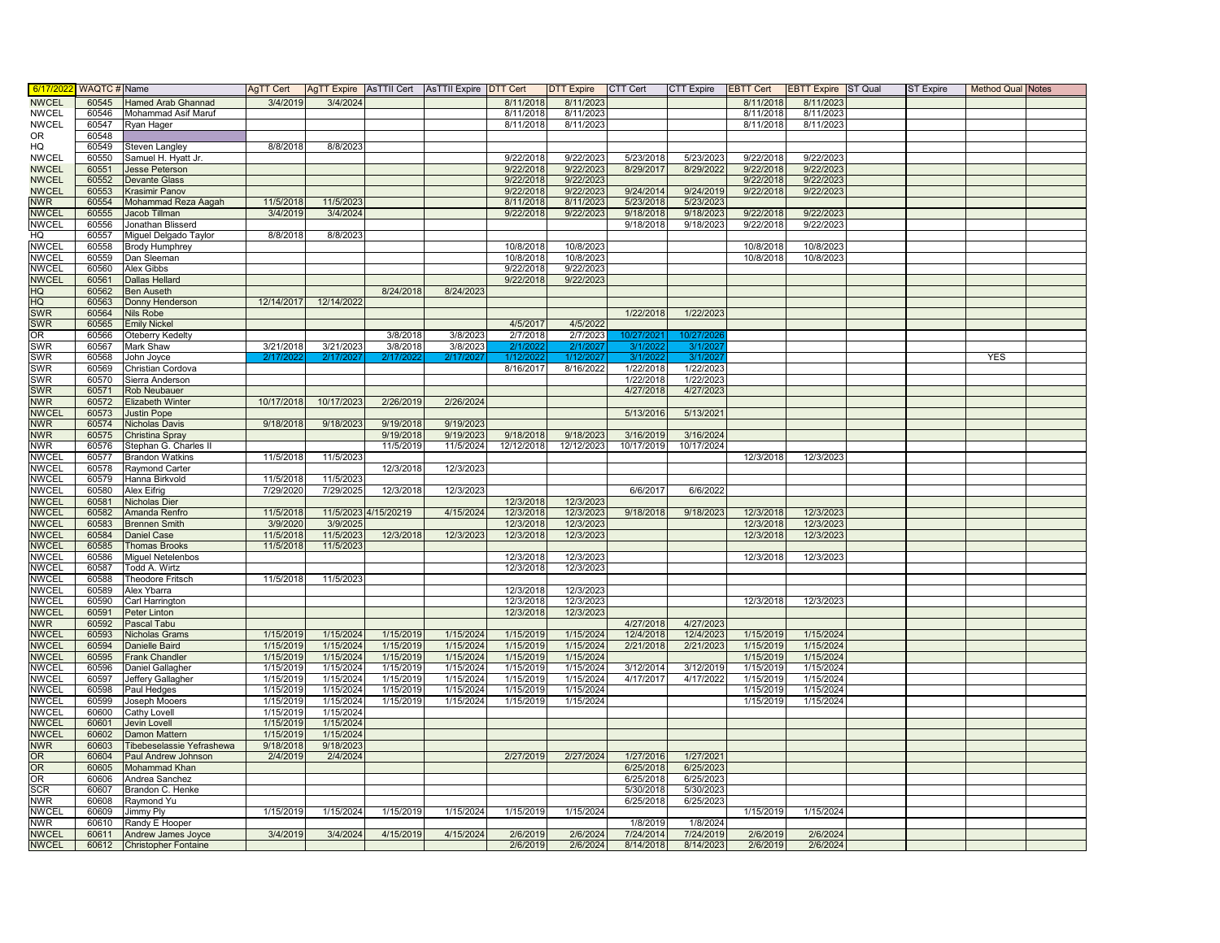| 6/17/20                      | WAQTC # Name   |                              | AgTT Cert              |                        | AgTT Expire AsTTII Cert AsTTII Expire DTT Cert |                        |                        | DTT Expire CTT Cert    |            | <b>CTT Expire</b> | <b>EBTT Cert</b>       | <b>EBTT Expire</b> ST Qual | <b>ST Expire</b> | <b>Method Qual Notes</b> |  |
|------------------------------|----------------|------------------------------|------------------------|------------------------|------------------------------------------------|------------------------|------------------------|------------------------|------------|-------------------|------------------------|----------------------------|------------------|--------------------------|--|
| <b>NWCEL</b>                 | 60545          | <b>Hamed Arab Ghannad</b>    | 3/4/2019               | 3/4/2024               |                                                |                        | 8/11/2018              | 8/11/2023              |            |                   | 8/11/2018              | 8/11/2023                  |                  |                          |  |
| <b>NWCEL</b>                 | 60546          | Mohammad Asif Maruf          |                        |                        |                                                |                        | 8/11/2018              | 8/11/2023              |            |                   | 8/11/2018              | 8/11/2023                  |                  |                          |  |
| <b>NWCEL</b>                 | 60547          | Ryan Hager                   |                        |                        |                                                |                        | 8/11/2018              | 8/11/2023              |            |                   | 8/11/2018              | 8/11/2023                  |                  |                          |  |
| <b>OR</b>                    | 60548          |                              |                        |                        |                                                |                        |                        |                        |            |                   |                        |                            |                  |                          |  |
| HQ                           | 60549          | Steven Langley               | 8/8/2018               | 8/8/2023               |                                                |                        |                        |                        |            |                   |                        |                            |                  |                          |  |
| <b>NWCEL</b>                 | 60550          | Samuel H. Hyatt Jr.          |                        |                        |                                                |                        | 9/22/2018              | 9/22/2023              | 5/23/2018  | 5/23/2023         | 9/22/2018              | 9/22/2023                  |                  |                          |  |
| <b>NWCEL</b>                 | 60551          | Jesse Peterson               |                        |                        |                                                |                        | 9/22/2018              | 9/22/2023              | 8/29/2017  | 8/29/2022         | 9/22/2018              | 9/22/2023                  |                  |                          |  |
| <b>NWCEL</b>                 | 60552          | <b>Devante Glass</b>         |                        |                        |                                                |                        | 9/22/2018              | 9/22/2023              |            |                   | 9/22/2018              | 9/22/2023                  |                  |                          |  |
| <b>NWCEL</b>                 | 60553          | Krasimir Panov               |                        |                        |                                                |                        | 9/22/2018              | 9/22/2023              | 9/24/2014  | 9/24/2019         | 9/22/2018              | 9/22/2023                  |                  |                          |  |
| <b>NWR</b>                   | 60554          | Mohammad Reza Aagah          | 11/5/2018              | 11/5/2023              |                                                |                        | 8/11/2018              | 8/11/2023              | 5/23/2018  | 5/23/2023         |                        |                            |                  |                          |  |
| <b>NWCEL</b>                 | 60555          | Jacob Tillman                | 3/4/2019               | 3/4/2024               |                                                |                        | 9/22/2018              | 9/22/2023              | 9/18/2018  | 9/18/2023         | 9/22/2018              | 9/22/2023                  |                  |                          |  |
| <b>NWCEL</b>                 | 60556          | Jonathan Blisserd            |                        |                        |                                                |                        |                        |                        | 9/18/2018  | 9/18/2023         | 9/22/2018              | 9/22/2023                  |                  |                          |  |
| HQ                           | 60557          | Miguel Delgado Taylor        | 8/8/2018               | 8/8/2023               |                                                |                        |                        |                        |            |                   |                        |                            |                  |                          |  |
| <b>NWCEL</b>                 | 60558          | <b>Brody Humphrey</b>        |                        |                        |                                                |                        | 10/8/2018              | 10/8/2023              |            |                   | 10/8/2018              | 10/8/2023                  |                  |                          |  |
| <b>NWCEL</b>                 | 60559          | Dan Sleeman                  |                        |                        |                                                |                        | 10/8/2018              | 10/8/2023              |            |                   | 10/8/2018              | 10/8/2023                  |                  |                          |  |
| <b>NWCEL</b>                 | 60560          | Alex Gibbs                   |                        |                        |                                                |                        | 9/22/2018              | 9/22/2023              |            |                   |                        |                            |                  |                          |  |
| <b>NWCEL</b>                 | 60561          | <b>Dallas Hellard</b>        |                        |                        |                                                |                        | 9/22/2018              | 9/22/2023              |            |                   |                        |                            |                  |                          |  |
| HQ                           | 60562          | <b>Ben Auseth</b>            |                        |                        | 8/24/2018                                      | 8/24/2023              |                        |                        |            |                   |                        |                            |                  |                          |  |
| HQ                           | 60563          | Donny Henderson              | 12/14/2017             | 12/14/2022             |                                                |                        |                        |                        |            |                   |                        |                            |                  |                          |  |
| <b>SWR</b>                   | 60564          | Nils Robe                    |                        |                        |                                                |                        |                        |                        | 1/22/2018  | 1/22/2023         |                        |                            |                  |                          |  |
| <b>SWR</b>                   | 60565          | <b>Emily Nickel</b>          |                        |                        |                                                |                        | 4/5/2017               | 4/5/2022               |            |                   |                        |                            |                  |                          |  |
| OR                           | 60566          | Oteberry Kedelty             |                        |                        | 3/8/2018                                       | 3/8/2023               | 2/7/2018               | 2/7/2023               | 10/27/20:  | 10/27/20          |                        |                            |                  |                          |  |
| <b>SWR</b>                   | 60567          | Mark Shaw                    | 3/21/2018              | 3/21/2023              | 3/8/2018                                       | 3/8/2023               | 2/1/202                | 2/1/202                | 3/1/202    | 3/1/20            |                        |                            |                  |                          |  |
| <b>SWR</b>                   | 60568          | John Joyce                   | 2/17/202               | 2/17/202               | 2/17/202                                       | 2/17/202               | 1/12/202               | 1/12/2027              | 3/1/2022   | 3/1/202           |                        |                            |                  | <b>YES</b>               |  |
| SWR                          | 60569          | Christian Cordova            |                        |                        |                                                |                        | 8/16/2017              | 8/16/2022              | 1/22/2018  | 1/22/2023         |                        |                            |                  |                          |  |
| SWR                          | 60570          | Sierra Anderson              |                        |                        |                                                |                        |                        |                        | 1/22/2018  | 1/22/2023         |                        |                            |                  |                          |  |
| SWR                          | 60571          | Rob Neubauer                 |                        |                        |                                                |                        |                        |                        | 4/27/2018  | 4/27/2023         |                        |                            |                  |                          |  |
| <b>NWR</b>                   | 60572          | Elizabeth Winter             | 10/17/2018             | 10/17/2023             | 2/26/2019                                      | 2/26/2024              |                        |                        |            |                   |                        |                            |                  |                          |  |
| <b>NWCEL</b>                 | 60573          | <b>Justin Pope</b>           |                        |                        |                                                |                        |                        |                        | 5/13/2016  | 5/13/2021         |                        |                            |                  |                          |  |
| <b>NWR</b>                   | 60574          | Nicholas Davis               | 9/18/2018              | 9/18/2023              | 9/19/2018                                      | 9/19/2023              |                        |                        |            |                   |                        |                            |                  |                          |  |
| <b>NWR</b>                   | 60575          | Christina Spray              |                        |                        | 9/19/2018                                      | 9/19/2023              | 9/18/2018              | 9/18/2023              | 3/16/2019  | 3/16/2024         |                        |                            |                  |                          |  |
| <b>NWR</b>                   | 60576          | Stephan G. Charles II        |                        |                        | 11/5/2019                                      | 11/5/2024              | 12/12/2018             | 12/12/2023             | 10/17/2019 | 10/17/2024        |                        |                            |                  |                          |  |
| <b>NWCEL</b>                 | 60577          | <b>Brandon Watkins</b>       | 11/5/2018              | 11/5/2023              |                                                |                        |                        |                        |            |                   | 12/3/2018              | 12/3/2023                  |                  |                          |  |
| <b>NWCEL</b>                 | 60578          | <b>Raymond Carter</b>        |                        |                        | 12/3/2018                                      | 12/3/2023              |                        |                        |            |                   |                        |                            |                  |                          |  |
| NWCEL                        | 60579          | Hanna Birkvold               | 11/5/2018              | 11/5/2023              |                                                |                        |                        |                        |            |                   |                        |                            |                  |                          |  |
| <b>NWCEL</b>                 | 60580          | Alex Eifrig                  | 7/29/2020              | 7/29/2025              | 12/3/2018                                      | 12/3/2023              |                        |                        | 6/6/2017   | 6/6/2022          |                        |                            |                  |                          |  |
| <b>NWCEL</b>                 | 60581          | Nicholas Dier                |                        |                        |                                                |                        | 12/3/2018              | 12/3/2023              |            |                   |                        |                            |                  |                          |  |
| <b>NWCEL</b>                 | 60582          | Amanda Renfro                | 11/5/2018              | 11/5/2023              | 4/15/20219                                     | 4/15/2024              | 12/3/2018              | 12/3/2023              | 9/18/2018  | 9/18/2023         | 12/3/2018              | 12/3/2023                  |                  |                          |  |
| <b>NWCEL</b>                 | 60583          | <b>Brennen Smith</b>         | 3/9/2020               | 3/9/2025               |                                                |                        | 12/3/2018              | 12/3/2023              |            |                   | 12/3/2018              | 12/3/2023                  |                  |                          |  |
| <b>NWCEL</b>                 | 60584          | <b>Daniel Case</b>           | 11/5/2018              | 11/5/2023              | 12/3/2018                                      | 12/3/2023              | 12/3/2018              | 12/3/2023              |            |                   | 12/3/2018              | 12/3/2023                  |                  |                          |  |
| <b>NWCEL</b>                 | 60585          | <b>Thomas Brooks</b>         | 11/5/2018              | 11/5/2023              |                                                |                        |                        |                        |            |                   |                        |                            |                  |                          |  |
| <b>NWCEL</b>                 | 60586          | <b>Miguel Netelenbos</b>     |                        |                        |                                                |                        | 12/3/2018              | 12/3/2023              |            |                   | 12/3/2018              | 12/3/2023                  |                  |                          |  |
| <b>NWCEL</b>                 | 60587          | Todd A. Wirtz                |                        |                        |                                                |                        | 12/3/2018              | 12/3/2023              |            |                   |                        |                            |                  |                          |  |
| <b>NWCEL</b>                 | 60588          | <b>Theodore Fritsch</b>      | 11/5/2018              | 11/5/2023              |                                                |                        |                        |                        |            |                   |                        |                            |                  |                          |  |
| <b>NWCEL</b>                 | 60589          | Alex Ybarra                  |                        |                        |                                                |                        | 12/3/2018              | 12/3/2023              |            |                   |                        |                            |                  |                          |  |
| <b>NWCEL</b>                 | 60590          | Carl Harrington              |                        |                        |                                                |                        | 12/3/2018              | 12/3/2023              |            |                   | 12/3/2018              | 12/3/2023                  |                  |                          |  |
| <b>NWCEL</b>                 | 60591          | Peter Linton                 |                        |                        |                                                |                        | 12/3/2018              | 12/3/2023              |            |                   |                        |                            |                  |                          |  |
| <b>NWR</b>                   | 60592          | Pascal Tabu                  |                        |                        |                                                |                        |                        |                        | 4/27/2018  | 4/27/2023         |                        |                            |                  |                          |  |
| <b>NWCEL</b>                 | 60593          | Nicholas Grams               | 1/15/2019              | 1/15/2024              | 1/15/2019                                      | 1/15/2024              | 1/15/2019              | 1/15/2024              | 12/4/2018  | 12/4/2023         | 1/15/2019              | 1/15/2024                  |                  |                          |  |
| <b>NWCEL</b>                 | 60594          | Danielle Baird               | 1/15/2019              | 1/15/2024              | 1/15/2019                                      | 1/15/2024              | 1/15/2019              | 1/15/2024              | 2/21/2018  | 2/21/2023         | 1/15/2019              | 1/15/2024                  |                  |                          |  |
| <b>NWCEL</b><br><b>NWCEL</b> | 60595          | <b>Frank Chandler</b>        | 1/15/2019              | 1/15/2024              | 1/15/2019                                      | 1/15/2024<br>1/15/2024 | 1/15/2019              | 1/15/2024<br>1/15/2024 | 3/12/2014  |                   | 1/15/2019<br>1/15/2019 | 1/15/2024                  |                  |                          |  |
|                              | 60596          | Daniel Gallagher             | 1/15/2019              | 1/15/2024              | 1/15/2019                                      |                        | 1/15/2019              |                        |            | 3/12/2019         |                        | 1/15/2024                  |                  |                          |  |
| <b>NWCEL</b>                 | 60597          | Jeffery Gallagher            | 1/15/2019              | 1/15/2024              | 1/15/2019                                      | 1/15/2024              | 1/15/2019              | 1/15/2024              | 4/17/2017  | 4/17/2022         | 1/15/2019              | 1/15/2024                  |                  |                          |  |
| <b>NWCEL</b><br><b>NWCEL</b> | 60598<br>60599 | Paul Hedges<br>Joseph Mooers | 1/15/2019<br>1/15/2019 | 1/15/2024<br>1/15/2024 | 1/15/2019<br>1/15/2019                         | 1/15/2024<br>1/15/2024 | 1/15/2019<br>1/15/2019 | 1/15/2024<br>1/15/2024 |            |                   | 1/15/2019<br>1/15/2019 | 1/15/2024<br>1/15/2024     |                  |                          |  |
|                              |                |                              |                        |                        |                                                |                        |                        |                        |            |                   |                        |                            |                  |                          |  |
| <b>NWCEL</b><br><b>NWCEL</b> | 60600<br>60601 | Cathy Lovell<br>Jevin Lovell | 1/15/2019<br>1/15/2019 | 1/15/2024<br>1/15/2024 |                                                |                        |                        |                        |            |                   |                        |                            |                  |                          |  |
| <b>NWCEL</b>                 | 60602          | Damon Mattern                | 1/15/2019              | 1/15/2024              |                                                |                        |                        |                        |            |                   |                        |                            |                  |                          |  |
| <b>NWR</b>                   | 60603          | Tibebeselassie Yefrashewa    | 9/18/2018              | 9/18/2023              |                                                |                        |                        |                        |            |                   |                        |                            |                  |                          |  |
| 0R                           | 60604          | Paul Andrew Johnson          | 2/4/2019               | 2/4/2024               |                                                |                        | 2/27/2019              | 2/27/2024              | 1/27/2016  | 1/27/2021         |                        |                            |                  |                          |  |
| <b>OR</b>                    | 60605          | Mohammad Khan                |                        |                        |                                                |                        |                        |                        | 6/25/2018  | 6/25/2023         |                        |                            |                  |                          |  |
| OR                           | 60606          | Andrea Sanchez               |                        |                        |                                                |                        |                        |                        | 6/25/2018  | 6/25/2023         |                        |                            |                  |                          |  |
| <b>SCR</b>                   | 60607          | Brandon C. Henke             |                        |                        |                                                |                        |                        |                        | 5/30/2018  | 5/30/2023         |                        |                            |                  |                          |  |
| <b>NWR</b>                   | 60608          | Raymond Yu                   |                        |                        |                                                |                        |                        |                        | 6/25/2018  | 6/25/2023         |                        |                            |                  |                          |  |
| <b>NWCEL</b>                 | 60609          | Jimmy Ply                    | 1/15/2019              | 1/15/2024              | 1/15/2019                                      | 1/15/2024              | 1/15/2019              | 1/15/2024              |            |                   | 1/15/2019              | 1/15/2024                  |                  |                          |  |
| <b>NWR</b>                   | 60610          | Randy E Hooper               |                        |                        |                                                |                        |                        |                        | 1/8/2019   | 1/8/2024          |                        |                            |                  |                          |  |
| <b>NWCEL</b>                 | 60611          | <b>Andrew James Joyce</b>    | 3/4/2019               | 3/4/2024               | 4/15/2019                                      | 4/15/2024              | 2/6/2019               | 2/6/2024               | 7/24/2014  | 7/24/2019         | 2/6/2019               | 2/6/2024                   |                  |                          |  |
| <b>NWCEL</b>                 | 60612          | <b>Christopher Fontaine</b>  |                        |                        |                                                |                        | 2/6/2019               | 2/6/2024               | 8/14/2018  | 8/14/2023         | 2/6/2019               | 2/6/2024                   |                  |                          |  |
|                              |                |                              |                        |                        |                                                |                        |                        |                        |            |                   |                        |                            |                  |                          |  |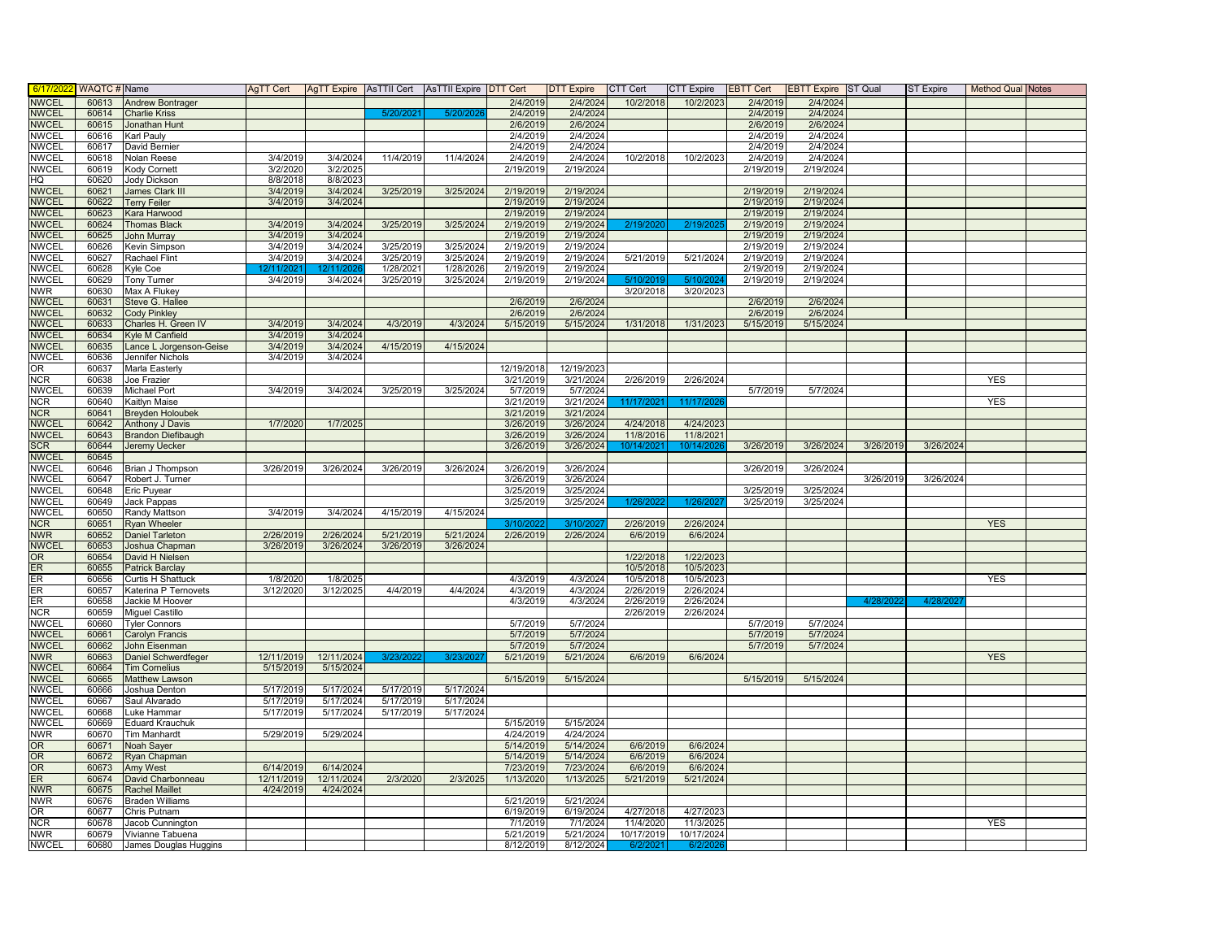| 6/17/202                     | WAQTC # Name   |                                           | AqTT Cert                           |                        |                        | AgTT Expire   AsTTII Cert   AsTTII Expire   DTT Cert |                        | <b>DTT Expire</b>      | CTT Cert               | <b>CTT Expire</b> | <b>EBTT Cert</b>       | <b>EBTT Expire</b> ST Qual |           | <b>ST Expire</b> | <b>Method Qual Notes</b> |  |
|------------------------------|----------------|-------------------------------------------|-------------------------------------|------------------------|------------------------|------------------------------------------------------|------------------------|------------------------|------------------------|-------------------|------------------------|----------------------------|-----------|------------------|--------------------------|--|
| <b>NWCEL</b>                 | 60613          | <b>Andrew Bontrager</b>                   |                                     |                        |                        |                                                      | 2/4/2019               | 2/4/2024               | 10/2/2018              | 10/2/2023         | 2/4/2019               | 2/4/2024                   |           |                  |                          |  |
| <b>NWCEL</b>                 | 60614          | Charlie Kriss                             |                                     |                        | 5/20/202               | 5/20/202                                             | 2/4/2019               | 2/4/2024               |                        |                   | 2/4/2019               | 2/4/2024                   |           |                  |                          |  |
| <b>NWCEL</b>                 | 60615          | Jonathan Hunt                             |                                     |                        |                        |                                                      | 2/6/2019               | 2/6/2024               |                        |                   | 2/6/2019               | 2/6/2024                   |           |                  |                          |  |
| <b>NWCEL</b>                 | 60616          | Karl Pauly                                |                                     |                        |                        |                                                      | 2/4/2019               | 2/4/2024               |                        |                   | 2/4/2019               | 2/4/2024                   |           |                  |                          |  |
| <b>NWCEL</b>                 | 60617          | David Bernier                             |                                     |                        |                        |                                                      | 2/4/2019               | 2/4/2024               |                        |                   | 2/4/2019               | 2/4/2024                   |           |                  |                          |  |
| <b>NWCEL</b>                 | 60618          | Nolan Reese                               | 3/4/2019                            | 3/4/2024               | 11/4/2019              | 11/4/2024                                            | 2/4/2019               | 2/4/2024               | 10/2/2018              | 10/2/2023         | 2/4/2019               | 2/4/2024                   |           |                  |                          |  |
| <b>NWCEL</b>                 | 60619          | Kody Cornett                              | 3/2/2020                            | 3/2/2025               |                        |                                                      | 2/19/2019              | 2/19/2024              |                        |                   | 2/19/2019              | 2/19/2024                  |           |                  |                          |  |
| HQ                           | 60620          | <b>Jody Dickson</b>                       | 8/8/2018                            | 8/8/2023               |                        |                                                      |                        |                        |                        |                   |                        |                            |           |                  |                          |  |
| <b>NWCEL</b>                 | 60621          | James Clark III                           | 3/4/2019                            | 3/4/2024               | 3/25/2019              | 3/25/2024                                            | 2/19/2019              | 2/19/2024              |                        |                   | 2/19/2019<br>2/19/2019 | 2/19/2024<br>2/19/2024     |           |                  |                          |  |
| <b>NWCEL</b><br><b>NWCEL</b> | 60622<br>60623 | <b>Terry Feiler</b><br>Kara Harwood       | 3/4/2019                            | 3/4/2024               |                        |                                                      | 2/19/2019<br>2/19/2019 | 2/19/2024<br>2/19/2024 |                        |                   | 2/19/2019              | 2/19/2024                  |           |                  |                          |  |
| <b>NWCEL</b>                 | 60624          | <b>Thomas Black</b>                       | 3/4/2019                            | 3/4/2024               | 3/25/2019              | 3/25/2024                                            | 2/19/2019              | 2/19/2024              | 2/19/2020              | 2/19/202          | 2/19/2019              | 2/19/2024                  |           |                  |                          |  |
| <b>NWCEL</b>                 | 60625          | John Murray                               | 3/4/2019                            | 3/4/2024               |                        |                                                      | 2/19/2019              | 2/19/2024              |                        |                   | 2/19/2019              | 2/19/2024                  |           |                  |                          |  |
| <b>NWCEL</b>                 | 60626          | Kevin Simpson                             | 3/4/2019                            | 3/4/2024               | 3/25/2019              | 3/25/2024                                            | 2/19/2019              | 2/19/2024              |                        |                   | 2/19/2019              | 2/19/2024                  |           |                  |                          |  |
| NWCEL                        | 60627          | Rachael Flint                             | 3/4/2019                            | 3/4/2024               | 3/25/2019              | 3/25/2024                                            | 2/19/2019              | 2/19/2024              | 5/21/2019              | 5/21/2024         | 2/19/2019              | 2/19/2024                  |           |                  |                          |  |
| NWCEL                        | 60628          | Kyle Coe                                  |                                     |                        | 1/28/2021              | 1/28/2026                                            | 2/19/2019              | 2/19/2024              |                        |                   | 2/19/2019              | 2/19/2024                  |           |                  |                          |  |
| <b>NWCEL</b>                 | 60629          | Tony Turner                               | 3/4/2019                            | 3/4/2024               | 3/25/2019              | 3/25/2024                                            | 2/19/2019              | 2/19/2024              | 5/10/2019              | 5/10/202          | 2/19/2019              | 2/19/2024                  |           |                  |                          |  |
| NWR.                         | 60630          | Max A Flukey                              |                                     |                        |                        |                                                      |                        |                        | 3/20/2018              | 3/20/2023         |                        |                            |           |                  |                          |  |
| <b>NWCEL</b>                 | 60631          | Steve G. Hallee                           |                                     |                        |                        |                                                      | 2/6/2019               | 2/6/2024               |                        |                   | 2/6/2019               | 2/6/2024                   |           |                  |                          |  |
| <b>NWCEL</b>                 | 60632          | <b>Cody Pinkley</b>                       |                                     |                        |                        |                                                      | 2/6/2019               | 2/6/2024               |                        |                   | 2/6/2019               | 2/6/2024                   |           |                  |                          |  |
| <b>NWCEL</b>                 | 60633          | Charles H. Green IV                       | 3/4/2019                            | 3/4/2024               | 4/3/2019               | 4/3/2024                                             | 5/15/2019              | 5/15/2024              | 1/31/2018              | 1/31/2023         | 5/15/2019              | 5/15/2024                  |           |                  |                          |  |
| <b>NWCEL</b>                 | 60634          | <b>Kyle M Canfield</b>                    | 3/4/2019                            | 3/4/2024               |                        |                                                      |                        |                        |                        |                   |                        |                            |           |                  |                          |  |
| <b>NWCEL</b>                 | 60635          | Lance L Jorgenson-Geise                   | 3/4/2019                            | 3/4/2024               | 4/15/2019              | 4/15/2024                                            |                        |                        |                        |                   |                        |                            |           |                  |                          |  |
| <b>NWCEL</b>                 | 60636          | Jennifer Nichols                          | 3/4/2019                            | 3/4/2024               |                        |                                                      |                        |                        |                        |                   |                        |                            |           |                  |                          |  |
| OR                           | 60637          | Marla Easterly                            |                                     |                        |                        |                                                      | 12/19/2018             | 12/19/2023             |                        |                   |                        |                            |           |                  |                          |  |
| <b>NCR</b>                   | 60638<br>60639 | Joe Frazier                               |                                     | 3/4/2024               | 3/25/2019              |                                                      | 3/21/2019<br>5/7/2019  | 3/21/2024              | 2/26/2019              | 2/26/2024         | 5/7/2019               |                            |           |                  | YES                      |  |
| <b>NWCEL</b><br><b>NCR</b>   | 60640          | Michael Port<br>Kaitlyn Maise             | 3/4/2019                            |                        |                        | 3/25/2024                                            | 3/21/2019              | 5/7/2024<br>3/21/2024  | 11/17/2021             | 11/17/202         |                        | 5/7/2024                   |           |                  | <b>YES</b>               |  |
| <b>NCR</b>                   | 60641          | <b>Breyden Holoubek</b>                   |                                     |                        |                        |                                                      | 3/21/2019              | 3/21/2024              |                        |                   |                        |                            |           |                  |                          |  |
| <b>NWCEL</b>                 | 60642          | <b>Anthony J Davis</b>                    | 1/7/2020                            | 1/7/2025               |                        |                                                      | 3/26/2019              | 3/26/2024              | 4/24/2018              | 4/24/2023         |                        |                            |           |                  |                          |  |
| <b>NWCEL</b>                 | 60643          | <b>Brandon Diefibaugh</b>                 |                                     |                        |                        |                                                      | 3/26/2019              | 3/26/2024              | 11/8/2016              | 11/8/2021         |                        |                            |           |                  |                          |  |
| <b>SCR</b>                   | 60644          | Jeremy Uecker                             |                                     |                        |                        |                                                      | 3/26/2019              | 3/26/2024              | 10/14/202              | 10/14/20          | 3/26/2019              | 3/26/2024                  | 3/26/2019 | 3/26/2024        |                          |  |
| <b>NWCEL</b>                 | 60645          |                                           |                                     |                        |                        |                                                      |                        |                        |                        |                   |                        |                            |           |                  |                          |  |
| <b>NWCEL</b>                 | 60646          | Brian J Thompson                          | 3/26/2019                           | 3/26/2024              | 3/26/2019              | 3/26/2024                                            | 3/26/2019              | 3/26/2024              |                        |                   | 3/26/2019              | 3/26/2024                  |           |                  |                          |  |
| NWCEL                        | 60647          | Robert J. Turner                          |                                     |                        |                        |                                                      | 3/26/2019              | 3/26/2024              |                        |                   |                        |                            | 3/26/2019 | 3/26/2024        |                          |  |
| <b>NWCEL</b>                 | 60648          | Eric Puyear                               |                                     |                        |                        |                                                      | 3/25/2019              | 3/25/2024              |                        |                   | 3/25/2019              | 3/25/2024                  |           |                  |                          |  |
| <b>NWCEL</b>                 | 60649          | Jack Pappas                               |                                     |                        |                        |                                                      | 3/25/2019              | 3/25/2024              | 1/26/202               | 1/26/202          | 3/25/2019              | 3/25/2024                  |           |                  |                          |  |
| <b>NWCEL</b>                 | 60650          | Randy Mattson                             | 3/4/2019                            | 3/4/2024               | 4/15/2019              | 4/15/2024                                            |                        |                        |                        |                   |                        |                            |           |                  |                          |  |
| <b>NCR</b>                   | 60651          | <b>Ryan Wheeler</b>                       |                                     |                        |                        |                                                      | 3/10/202:              | 3/10/2027              | 2/26/2019              | 2/26/2024         |                        |                            |           |                  | <b>YES</b>               |  |
| <b>NWR</b>                   | 60652          | <b>Daniel Tarleton</b>                    | 2/26/2019                           | 2/26/2024              | 5/21/2019              | 5/21/2024                                            | 2/26/2019              | 2/26/2024              | 6/6/2019               | 6/6/2024          |                        |                            |           |                  |                          |  |
| <b>NWCEL</b>                 | 60653<br>60654 | Joshua Chapman                            | 3/26/2019                           | 3/26/2024              | 3/26/2019              | 3/26/2024                                            |                        |                        |                        | 1/22/2023         |                        |                            |           |                  |                          |  |
| OR<br>ER                     | 60655          | David H Nielsen<br><b>Patrick Barclay</b> |                                     |                        |                        |                                                      |                        |                        | 1/22/2018<br>10/5/2018 | 10/5/2023         |                        |                            |           |                  |                          |  |
| ER                           | 60656          | Curtis H Shattuck                         | 1/8/2020                            | 1/8/2025               |                        |                                                      | 4/3/2019               | 4/3/2024               | 10/5/2018              | 10/5/2023         |                        |                            |           |                  | <b>YES</b>               |  |
| ER                           | 60657          | <b>Katerina P Ternovets</b>               | 3/12/2020                           | 3/12/2025              | 4/4/2019               | 4/4/2024                                             | 4/3/2019               | 4/3/2024               | 2/26/2019              | 2/26/2024         |                        |                            |           |                  |                          |  |
| ER                           | 60658          | Jackie M Hoover                           |                                     |                        |                        |                                                      | 4/3/2019               | 4/3/2024               | 2/26/2019              | 2/26/2024         |                        |                            | 4/28/20   | 4/28/20          |                          |  |
| <b>NCR</b>                   | 60659          | Miguel Castillo                           |                                     |                        |                        |                                                      |                        |                        | 2/26/2019              | 2/26/2024         |                        |                            |           |                  |                          |  |
| NWCEL                        | 60660          | <b>Tyler Connors</b>                      |                                     |                        |                        |                                                      | 5/7/2019               | 5/7/2024               |                        |                   | 5/7/2019               | 5/7/2024                   |           |                  |                          |  |
| <b>NWCEL</b>                 | 60661          | Carolyn Francis                           |                                     |                        |                        |                                                      | 5/7/2019               | 5/7/2024               |                        |                   | 5/7/2019               | 5/7/2024                   |           |                  |                          |  |
| <b>NWCEL</b>                 | 60662          | John Eisenman                             |                                     |                        |                        |                                                      | 5/7/2019               | 5/7/2024               |                        |                   | 5/7/2019               | 5/7/2024                   |           |                  |                          |  |
| <b>NWR</b>                   | 60663          | Daniel Schwerdfeger                       | 12/11/2019                          | 12/11/2024             | 3/23/20                | 3/23/20                                              | 5/21/2019              | 5/21/2024              | 6/6/2019               | 6/6/2024          |                        |                            |           |                  | <b>YES</b>               |  |
| <b>NWCEL</b>                 | 60664          | <b>Tim Cornelius</b>                      | 5/15/2019                           | 5/15/2024              |                        |                                                      |                        |                        |                        |                   |                        |                            |           |                  |                          |  |
| <b>NWCEL</b>                 | 60665          | <b>Matthew Lawson</b>                     |                                     |                        |                        |                                                      | 5/15/2019              | 5/15/2024              |                        |                   | 5/15/2019              | 5/15/2024                  |           |                  |                          |  |
| NWCEL<br><b>NWCEL</b>        | 60666          | Joshua Denton                             | 5/17/2019<br>$\frac{1}{5/17/20}$ 19 | 5/17/2024              | 5/17/2019<br>5/17/2019 | 5/17/2024                                            |                        |                        |                        |                   |                        |                            |           |                  |                          |  |
| <b>NWCEL</b>                 | 60667<br>60668 | Saul Alvarado                             | 5/17/2019                           | 5/17/2024<br>5/17/2024 | 5/17/2019              | 5/17/2024<br>5/17/2024                               |                        |                        |                        |                   |                        |                            |           |                  |                          |  |
| <b>NWCEL</b>                 | 60669          | Luke Hammar<br>Eduard Krauchuk            |                                     |                        |                        |                                                      | 5/15/2019              | 5/15/2024              |                        |                   |                        |                            |           |                  |                          |  |
| <b>NWR</b>                   | 60670          | <b>Tim Manhardt</b>                       | 5/29/2019                           | 5/29/2024              |                        |                                                      | 4/24/2019              | 4/24/2024              |                        |                   |                        |                            |           |                  |                          |  |
| OR.                          | 60671          | Noah Sayer                                |                                     |                        |                        |                                                      | 5/14/2019              | 5/14/2024              | 6/6/2019               | 6/6/2024          |                        |                            |           |                  |                          |  |
| OR                           | 60672          | Ryan Chapman                              |                                     |                        |                        |                                                      | 5/14/2019              | 5/14/2024              | 6/6/2019               | 6/6/2024          |                        |                            |           |                  |                          |  |
| <b>OR</b>                    | 60673          | Amy West                                  | 6/14/2019                           | 6/14/2024              |                        |                                                      | 7/23/2019              | 7/23/2024              | 6/6/2019               | 6/6/2024          |                        |                            |           |                  |                          |  |
| ER                           | 60674          | David Charbonneau                         | 12/11/2019                          | 12/11/2024             | 2/3/2020               | 2/3/2025                                             | 1/13/2020              | 1/13/2025              | 5/21/2019              | 5/21/2024         |                        |                            |           |                  |                          |  |
| <b>NWR</b>                   | 60675          | <b>Rachel Maillet</b>                     | 4/24/2019                           | 4/24/2024              |                        |                                                      |                        |                        |                        |                   |                        |                            |           |                  |                          |  |
| <b>NWR</b>                   | 60676          | <b>Braden Williams</b>                    |                                     |                        |                        |                                                      | 5/21/2019              | 5/21/2024              |                        |                   |                        |                            |           |                  |                          |  |
| OR                           | 60677          | Chris Putnam                              |                                     |                        |                        |                                                      | 6/19/2019              | 6/19/2024              | 4/27/2018              | 4/27/2023         |                        |                            |           |                  |                          |  |
| <b>NCR</b>                   | 60678          | Jacob Cunnington                          |                                     |                        |                        |                                                      | 7/1/2019               | 7/1/2024               | 11/4/2020              | 11/3/2025         |                        |                            |           |                  | <b>YES</b>               |  |
| <b>NWR</b>                   | 60679          | Vivianne Tabuena                          |                                     |                        |                        |                                                      | 5/21/2019              | 5/21/2024              | 10/17/2019             | 10/17/2024        |                        |                            |           |                  |                          |  |
| <b>NWCEL</b>                 | 60680          | James Douglas Huggins                     |                                     |                        |                        |                                                      | 8/12/2019              | 8/12/2024              | 6/2/202                | 6/2/2             |                        |                            |           |                  |                          |  |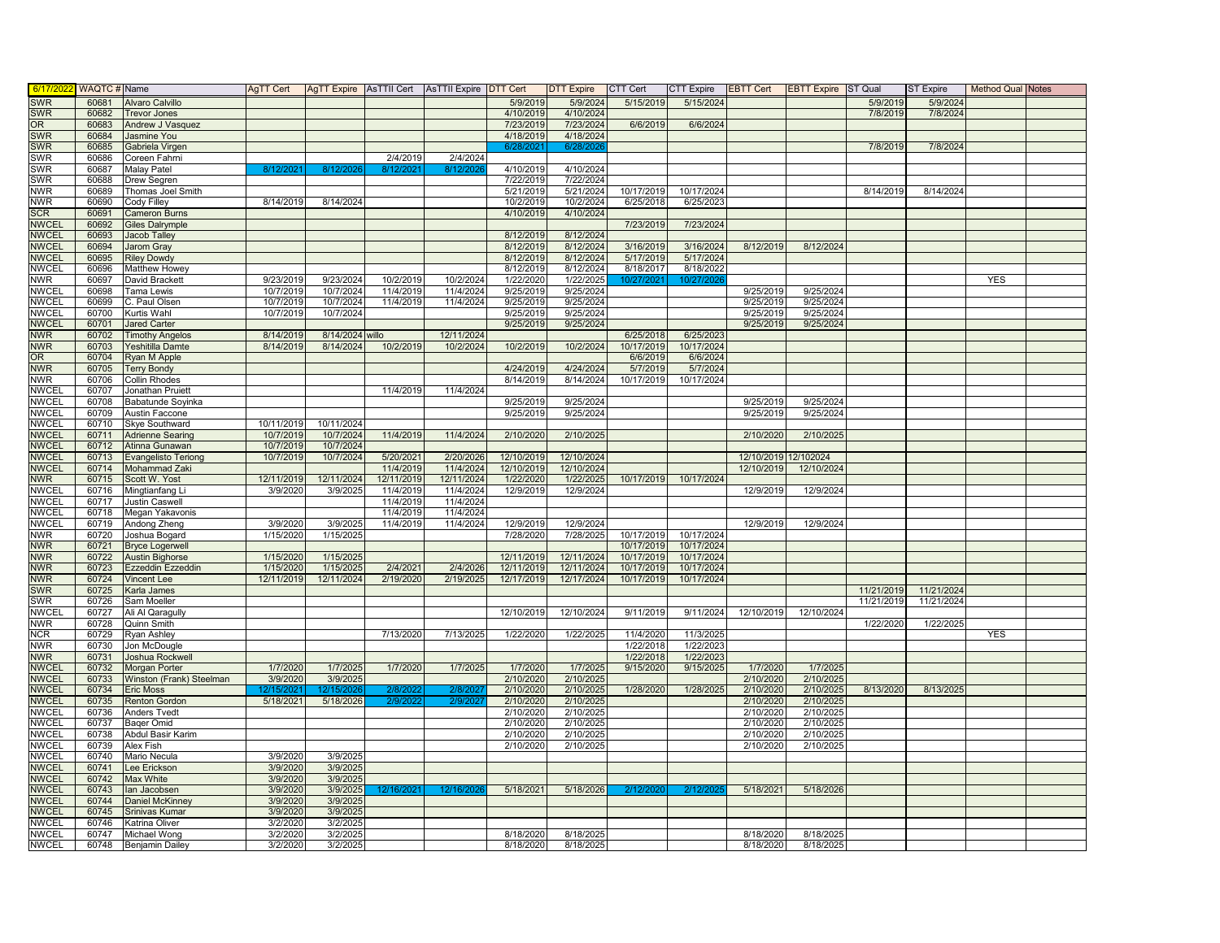| 6/17/20                      | WAQTC # Name   |                                               | AgTT Cert              |                        |            | AgTT Expire AsTTII Cert AsTTII Expire DTT Cert |            | DTT Expire | CTT Cert   | CTT Expire             | <b>EBTT Cert</b> | <b>EBTT Expire</b> ST Qual |            | <b>ST Expire</b> | <b>Method Qual Notes</b> |  |
|------------------------------|----------------|-----------------------------------------------|------------------------|------------------------|------------|------------------------------------------------|------------|------------|------------|------------------------|------------------|----------------------------|------------|------------------|--------------------------|--|
| <b>SWR</b>                   | 60681          | Alvaro Calvillo                               |                        |                        |            |                                                | 5/9/2019   | 5/9/2024   | 5/15/2019  | 5/15/2024              |                  |                            | 5/9/2019   | 5/9/2024         |                          |  |
| <b>SWR</b>                   | 60682          | <b>Trevor Jones</b>                           |                        |                        |            |                                                | 4/10/2019  | 4/10/2024  |            |                        |                  |                            | 7/8/2019   | 7/8/2024         |                          |  |
| OR                           | 60683          | Andrew J Vasquez                              |                        |                        |            |                                                | 7/23/2019  | 7/23/2024  | 6/6/2019   | 6/6/2024               |                  |                            |            |                  |                          |  |
| <b>SWR</b>                   | 60684          | Jasmine You                                   |                        |                        |            |                                                | 4/18/2019  | 4/18/2024  |            |                        |                  |                            |            |                  |                          |  |
| <b>SWR</b>                   | 60685          | Gabriela Virgen                               |                        |                        |            |                                                | 6/28/202   | 6/28/202   |            |                        |                  |                            | 7/8/2019   | 7/8/2024         |                          |  |
| <b>SWR</b>                   | 60686          | Coreen Fahrni                                 |                        |                        | 2/4/2019   | 2/4/2024                                       |            |            |            |                        |                  |                            |            |                  |                          |  |
| <b>SWR</b>                   | 60687          | Malay Patel                                   | 8/12/202               | 8/12/20                | 8/12/      | 8/12/20                                        | 4/10/2019  | 4/10/2024  |            |                        |                  |                            |            |                  |                          |  |
| SWR                          | 60688          | Drew Segren                                   |                        |                        |            |                                                | 7/22/2019  | 7/22/2024  |            |                        |                  |                            |            |                  |                          |  |
| <b>NWR</b>                   | 60689          | Thomas Joel Smith                             |                        |                        |            |                                                | 5/21/2019  | 5/21/2024  | 10/17/2019 | 10/17/2024             |                  |                            | 8/14/2019  | 8/14/2024        |                          |  |
| <b>NWR</b>                   | 60690          | Cody Filley                                   | 8/14/2019              | 8/14/2024              |            |                                                | 10/2/2019  | 10/2/2024  | 6/25/2018  | 6/25/2023              |                  |                            |            |                  |                          |  |
| <b>SCR</b>                   | 60691          | <b>Cameron Burns</b>                          |                        |                        |            |                                                | 4/10/2019  | 4/10/2024  |            |                        |                  |                            |            |                  |                          |  |
| <b>NWCEL</b><br><b>NWCEL</b> | 60692<br>60693 | <b>Giles Dalrymple</b><br><b>Jacob Talley</b> |                        |                        |            |                                                | 8/12/2019  | 8/12/2024  | 7/23/2019  | 7/23/2024              |                  |                            |            |                  |                          |  |
| <b>NWCEL</b>                 | 60694          | <b>Jarom Gray</b>                             |                        |                        |            |                                                | 8/12/2019  | 8/12/2024  | 3/16/2019  | 3/16/2024              | 8/12/2019        | 8/12/2024                  |            |                  |                          |  |
| <b>NWCEL</b>                 | 60695          | <b>Riley Dowdy</b>                            |                        |                        |            |                                                | 8/12/2019  | 8/12/2024  | 5/17/2019  | 5/17/2024              |                  |                            |            |                  |                          |  |
| <b>NWCEL</b>                 | 60696          | <b>Matthew Howey</b>                          |                        |                        |            |                                                | 8/12/2019  | 8/12/2024  | 8/18/2017  | 8/18/2022              |                  |                            |            |                  |                          |  |
| <b>NWR</b>                   | 60697          | David Brackett                                | 9/23/2019              | 9/23/2024              | 10/2/2019  | 10/2/2024                                      | 1/22/2020  | 1/22/2025  | 10/27/202  | 10/27/20               |                  |                            |            |                  | <b>YES</b>               |  |
| <b>NWCEL</b>                 | 60698          | Tama Lewis                                    | 10/7/2019              | 10/7/2024              | 11/4/2019  | 11/4/2024                                      | 9/25/2019  | 9/25/2024  |            |                        | 9/25/2019        | 9/25/2024                  |            |                  |                          |  |
| <b>NWCEL</b>                 | 60699          | C. Paul Olsen                                 | 10/7/2019              | 10/7/2024              | 11/4/2019  | 11/4/2024                                      | 9/25/2019  | 9/25/2024  |            |                        | 9/25/2019        | 9/25/2024                  |            |                  |                          |  |
| <b>NWCEL</b>                 | 60700          | Kurtis Wahl                                   | 10/7/2019              | 10/7/2024              |            |                                                | 9/25/2019  | 9/25/2024  |            |                        | 9/25/2019        | 9/25/2024                  |            |                  |                          |  |
| <b>NWCEL</b>                 | 60701          | <b>Jared Carter</b>                           |                        |                        |            |                                                | 9/25/2019  | 9/25/2024  |            |                        | 9/25/2019        | 9/25/2024                  |            |                  |                          |  |
| <b>NWR</b>                   | 60702          | <b>Timothy Angelos</b>                        | 8/14/2019              | 8/14/2024 willo        |            | 12/11/2024                                     |            |            | 6/25/2018  | 6/25/2023              |                  |                            |            |                  |                          |  |
| <b>NWR</b>                   | 60703          | Yeshitilla Damte                              | 8/14/2019              | 8/14/2024              | 10/2/2019  | 10/2/2024                                      | 10/2/2019  | 10/2/2024  | 10/17/2019 | 10/17/2024             |                  |                            |            |                  |                          |  |
| <b>OR</b>                    | 60704          | Ryan M Apple                                  |                        |                        |            |                                                |            |            | 6/6/2019   | 6/6/2024               |                  |                            |            |                  |                          |  |
| <b>NWR</b>                   | 60705          | <b>Terry Bondy</b>                            |                        |                        |            |                                                | 4/24/2019  | 4/24/2024  | 5/7/2019   | 5/7/2024               |                  |                            |            |                  |                          |  |
| <b>NWR</b>                   | 60706          | Collin Rhodes                                 |                        |                        |            |                                                | 8/14/2019  | 8/14/2024  | 10/17/2019 | 10/17/2024             |                  |                            |            |                  |                          |  |
| <b>NWCEL</b>                 | 60707          | Jonathan Pruiett                              |                        |                        | 11/4/2019  | 11/4/2024                                      |            |            |            |                        |                  |                            |            |                  |                          |  |
| <b>NWCEL</b>                 | 60708          | Babatunde Soyinka                             |                        |                        |            |                                                | 9/25/2019  | 9/25/2024  |            |                        | 9/25/2019        | 9/25/2024                  |            |                  |                          |  |
| <b>NWCEL</b>                 | 60709          | Austin Faccone                                |                        |                        |            |                                                | 9/25/2019  | 9/25/2024  |            |                        | 9/25/2019        | 9/25/2024                  |            |                  |                          |  |
| <b>NWCEL</b>                 | 60710          | <b>Skye Southward</b>                         | 10/11/2019             | 10/11/2024             |            |                                                |            |            |            |                        |                  |                            |            |                  |                          |  |
| <b>NWCEL</b><br><b>NWCEL</b> | 60711<br>60712 | <b>Adrienne Searing</b>                       | 10/7/2019              | 10/7/2024              | 11/4/2019  | 11/4/2024                                      | 2/10/2020  | 2/10/2025  |            |                        | 2/10/2020        | 2/10/2025                  |            |                  |                          |  |
| <b>NWCEL</b>                 | 60713          | Atinna Gunawan<br><b>Evangelisto Teriong</b>  | 10/7/2019<br>10/7/2019 | 10/7/2024<br>10/7/2024 | 5/20/2021  | 2/20/2026                                      | 12/10/2019 | 12/10/2024 |            |                        |                  | 12/10/2019 12/102024       |            |                  |                          |  |
| <b>NWCEL</b>                 | 60714          | Mohammad Zaki                                 |                        |                        | 11/4/2019  | 11/4/2024                                      | 12/10/2019 | 12/10/2024 |            |                        | 12/10/2019       | 12/10/2024                 |            |                  |                          |  |
| <b>NWR</b>                   | 60715          | Scott W. Yost                                 | 12/11/2019             | 12/11/2024             | 12/11/2019 | 12/11/2024                                     | 1/22/2020  | 1/22/2025  | 10/17/2019 | 10/17/2024             |                  |                            |            |                  |                          |  |
| <b>NWCEL</b>                 | 60716          | Mingtianfang Li                               | 3/9/2020               | 3/9/2025               | 11/4/2019  | 11/4/2024                                      | 12/9/2019  | 12/9/2024  |            |                        | 12/9/2019        | 12/9/2024                  |            |                  |                          |  |
| <b>NWCEL</b>                 | 60717          | Justin Caswell                                |                        |                        | 11/4/2019  | 11/4/2024                                      |            |            |            |                        |                  |                            |            |                  |                          |  |
| <b>NWCEL</b>                 | 60718          | Megan Yakavonis                               |                        |                        | 11/4/2019  | 11/4/2024                                      |            |            |            |                        |                  |                            |            |                  |                          |  |
| <b>NWCEL</b>                 | 60719          | Andong Zheng                                  | 3/9/2020               | 3/9/2025               | 11/4/2019  | 11/4/2024                                      | 12/9/2019  | 12/9/2024  |            |                        | 12/9/2019        | 12/9/2024                  |            |                  |                          |  |
| <b>NWR</b>                   | 60720          | Joshua Bogard                                 | 1/15/2020              | 1/15/2025              |            |                                                | 7/28/2020  | 7/28/2025  | 10/17/2019 | 10/17/2024             |                  |                            |            |                  |                          |  |
| <b>NWR</b>                   | 60721          | <b>Bryce Logerwell</b>                        |                        |                        |            |                                                |            |            | 10/17/2019 | 10/17/2024             |                  |                            |            |                  |                          |  |
| <b>NWR</b>                   | 60722          | <b>Austin Bighorse</b>                        | 1/15/2020              | 1/15/2025              |            |                                                | 12/11/2019 | 12/11/2024 | 10/17/2019 | 10/17/2024             |                  |                            |            |                  |                          |  |
| <b>NWR</b>                   | 60723          | Ezzeddin Ezzeddin                             | 1/15/2020              | 1/15/2025              | 2/4/2021   | 2/4/2026                                       | 12/11/2019 | 12/11/2024 | 10/17/2019 | 10/17/2024             |                  |                            |            |                  |                          |  |
| <b>NWR</b>                   | 60724          | Vincent Lee                                   | 12/11/2019             | 12/11/2024             | 2/19/2020  | 2/19/2025                                      | 12/17/2019 | 12/17/2024 | 10/17/2019 | 10/17/2024             |                  |                            |            |                  |                          |  |
| <b>SWR</b>                   | 60725          | Karla James                                   |                        |                        |            |                                                |            |            |            |                        |                  |                            | 11/21/2019 | 11/21/2024       |                          |  |
| SWR                          | 60726          | Sam Moeller                                   |                        |                        |            |                                                |            |            |            |                        |                  |                            | 11/21/2019 | 11/21/2024       |                          |  |
| <b>NWCEL</b>                 | 60727          | Ali Al Qaragully                              |                        |                        |            |                                                | 12/10/2019 | 12/10/2024 | 9/11/2019  | 9/11/2024              | 12/10/2019       | 12/10/2024                 |            |                  |                          |  |
| <b>NWR</b>                   | 60728<br>60729 | Quinn Smith                                   |                        |                        | 7/13/2020  | 7/13/2025                                      | 1/22/2020  | 1/22/2025  | 11/4/2020  |                        |                  |                            | 1/22/2020  | 1/22/2025        | <b>YES</b>               |  |
| <b>NCR</b><br><b>NWR</b>     | 60730          | <b>Ryan Ashley</b><br>Jon McDougle            |                        |                        |            |                                                |            |            | 1/22/2018  | 11/3/2025<br>1/22/2023 |                  |                            |            |                  |                          |  |
| <b>NWR</b>                   | 60731          | Joshua Rockwell                               |                        |                        |            |                                                |            |            | 1/22/2018  | 1/22/2023              |                  |                            |            |                  |                          |  |
| <b>NWCEL</b>                 | 60732          | Morgan Porter                                 | 1/7/2020               | 1/7/2025               | 1/7/2020   | 1/7/2025                                       | 1/7/2020   | 1/7/2025   | 9/15/2020  | 9/15/2025              | 1/7/2020         | 1/7/2025                   |            |                  |                          |  |
| <b>NWCEL</b>                 | 60733          | Winston (Frank) Steelman                      | 3/9/2020               | 3/9/2025               |            |                                                | 2/10/2020  | 2/10/2025  |            |                        | 2/10/2020        | 2/10/2025                  |            |                  |                          |  |
| <b>NWCEL</b>                 | 60734          | Eric Moss                                     |                        |                        | 2/8/202    | 2/8/20                                         | 2/10/2020  | 2/10/2025  | 1/28/2020  | 1/28/2025              | 2/10/2020        | 2/10/2025                  | 8/13/2020  | 8/13/2025        |                          |  |
| <b>NWCEL</b>                 | 60735          | <b>Renton Gordon</b>                          | 5/18/2021              | 5/18/2026              | 2/9/2022   | 2/9/202                                        | 2/10/2020  | 2/10/2025  |            |                        | 2/10/2020        | 2/10/2025                  |            |                  |                          |  |
| <b>NWCEL</b>                 | 60736          | Anders Tvedt                                  |                        |                        |            |                                                | 2/10/2020  | 2/10/2025  |            |                        | 2/10/2020        | 2/10/2025                  |            |                  |                          |  |
| <b>NWCEL</b>                 | 60737          | Bager Omid                                    |                        |                        |            |                                                | 2/10/2020  | 2/10/2025  |            |                        | 2/10/2020        | 2/10/2025                  |            |                  |                          |  |
| <b>NWCEL</b>                 | 60738          | Abdul Basir Karim                             |                        |                        |            |                                                | 2/10/2020  | 2/10/2025  |            |                        | 2/10/2020        | 2/10/2025                  |            |                  |                          |  |
| <b>NWCEL</b>                 | 60739          | Alex Fish                                     |                        |                        |            |                                                | 2/10/2020  | 2/10/2025  |            |                        | 2/10/2020        | 2/10/2025                  |            |                  |                          |  |
| <b>NWCEL</b>                 | 60740          | Mario Necula                                  | 3/9/2020               | 3/9/2025               |            |                                                |            |            |            |                        |                  |                            |            |                  |                          |  |
| <b>NWCEL</b>                 | 60741          | Lee Erickson                                  | 3/9/2020               | 3/9/202                |            |                                                |            |            |            |                        |                  |                            |            |                  |                          |  |
| <b>NWCEL</b>                 | 60742          | Max White                                     | 3/9/2020               | 3/9/2025               |            |                                                |            |            |            |                        |                  |                            |            |                  |                          |  |
| <b>NWCEL</b>                 | 60743          | lan Jacobsen                                  | 3/9/2020               | 3/9/2025               | 12/16/2021 | 12/16/202                                      | 5/18/2021  | 5/18/2026  | 2/12/202   | 2/12/202               | 5/18/2021        | 5/18/2026                  |            |                  |                          |  |
| <b>NWCEL</b>                 | 60744          | <b>Daniel McKinney</b>                        | 3/9/2020               | 3/9/2025               |            |                                                |            |            |            |                        |                  |                            |            |                  |                          |  |
| <b>NWCEL</b>                 | 60745          | Srinivas Kumar                                | 3/9/2020               | 3/9/2025               |            |                                                |            |            |            |                        |                  |                            |            |                  |                          |  |
| <b>NWCEL</b>                 | 60746          | Katrina Oliver                                | 3/2/2020               | 3/2/2025               |            |                                                |            |            |            |                        |                  |                            |            |                  |                          |  |
| <b>NWCEL</b>                 | 60747          | Michael Wong                                  | 3/2/2020               | 3/2/2025               |            |                                                | 8/18/2020  | 8/18/2025  |            |                        | 8/18/2020        | 8/18/2025                  |            |                  |                          |  |
| <b>NWCEL</b>                 | 60748          | <b>Benjamin Dailey</b>                        | 3/2/2020               | 3/2/2025               |            |                                                | 8/18/2020  | 8/18/2025  |            |                        | 8/18/2020        | 8/18/2025                  |            |                  |                          |  |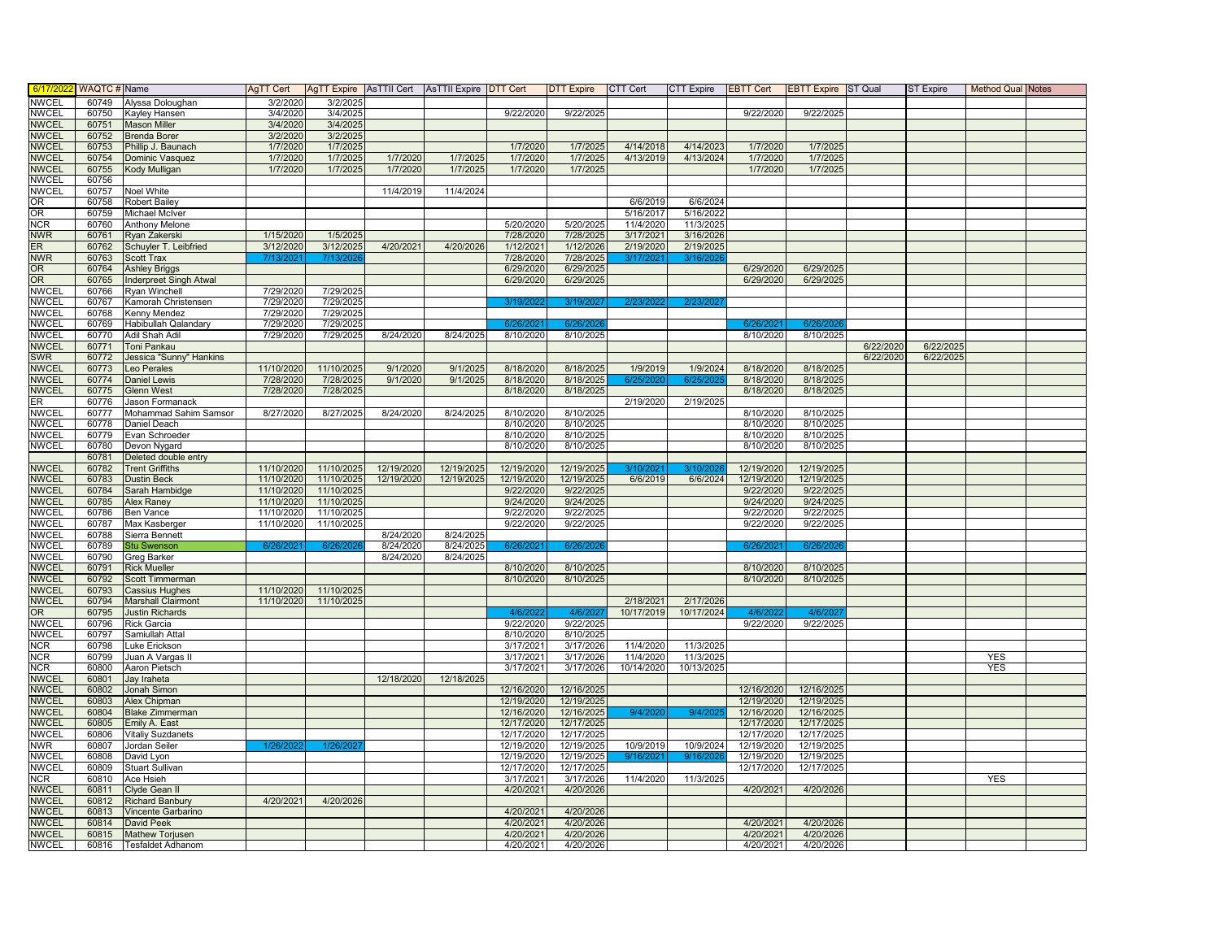| 6/17/202                | WAQTC # Name |                           | AqTT Cert  |            |            | AgTT Expire   AsTTII Cert   AsTTII Expire   DTT Cert |            | DTT Expire CTT Cert |            | <b>CTT Expire</b> | <b>EBTT Cert</b> | <b>EBTT Expire ST Qual</b> |           | <b>ST Expire</b> | <b>Method Qual Notes</b> |  |
|-------------------------|--------------|---------------------------|------------|------------|------------|------------------------------------------------------|------------|---------------------|------------|-------------------|------------------|----------------------------|-----------|------------------|--------------------------|--|
| <b>NWCEL</b>            | 60749        | Alyssa Doloughan          | 3/2/2020   | 3/2/2025   |            |                                                      |            |                     |            |                   |                  |                            |           |                  |                          |  |
| <b>NWCEL</b>            | 60750        | <b>Kayley Hansen</b>      | 3/4/2020   | 3/4/2025   |            |                                                      | 9/22/2020  | 9/22/2025           |            |                   | 9/22/2020        | 9/22/2025                  |           |                  |                          |  |
| <b>NWCEL</b>            | 60751        | <b>Mason Miller</b>       | 3/4/2020   | 3/4/2025   |            |                                                      |            |                     |            |                   |                  |                            |           |                  |                          |  |
| <b>NWCEL</b>            | 60752        | <b>Brenda Borer</b>       | 3/2/2020   | 3/2/2025   |            |                                                      |            |                     |            |                   |                  |                            |           |                  |                          |  |
| <b>NWCEL</b>            | 60753        | Phillip J. Baunach        | 1/7/2020   | 1/7/2025   |            |                                                      | 1/7/2020   | 1/7/2025            | 4/14/2018  | 4/14/2023         | 1/7/2020         | 1/7/2025                   |           |                  |                          |  |
| <b>NWCEL</b>            | 60754        | Dominic Vasquez           | 1/7/2020   | 1/7/2025   | 1/7/2020   | 1/7/2025                                             | 1/7/2020   | 1/7/2025            | 4/13/2019  | 4/13/2024         | 1/7/2020         | 1/7/2025                   |           |                  |                          |  |
| <b>NWCEL</b>            | 60755        | <b>Kody Mulligan</b>      | 1/7/2020   | 1/7/2025   | 1/7/2020   | 1/7/2025                                             | 1/7/2020   | 1/7/2025            |            |                   | 1/7/2020         | 1/7/2025                   |           |                  |                          |  |
| <b>NWCEL</b>            | 60756        |                           |            |            |            |                                                      |            |                     |            |                   |                  |                            |           |                  |                          |  |
| <b>NWCEL</b>            | 60757        | <b>Noel White</b>         |            |            | 11/4/2019  | 11/4/2024                                            |            |                     |            |                   |                  |                            |           |                  |                          |  |
| OR                      | 60758        | Robert Bailey             |            |            |            |                                                      |            |                     | 6/6/2019   | 6/6/2024          |                  |                            |           |                  |                          |  |
| OR <sub>1</sub>         | 60759        | Michael McIver            |            |            |            |                                                      |            |                     | 5/16/2017  | 5/16/2022         |                  |                            |           |                  |                          |  |
| <b>NCR</b>              | 60760        | Anthony Melone            |            |            |            |                                                      | 5/20/2020  | 5/20/2025           | 11/4/2020  | 11/3/2025         |                  |                            |           |                  |                          |  |
| <b>NWR</b>              | 60761        | Ryan Zakerski             | 1/15/2020  | 1/5/2025   |            |                                                      | 7/28/2020  | 7/28/2025           | 3/17/2021  | 3/16/2026         |                  |                            |           |                  |                          |  |
| ER.                     | 60762        | Schuyler T. Leibfried     | 3/12/2020  | 3/12/2025  | 4/20/2021  | 4/20/2026                                            | 1/12/2021  | 1/12/2026           | 2/19/2020  | 2/19/2025         |                  |                            |           |                  |                          |  |
| <b>NWR</b>              | 60763        | Scott Trax                | 7/13/202   | 7/13/202   |            |                                                      | 7/28/2020  | 7/28/2025           | 3/17/202   | 3/16/202          |                  |                            |           |                  |                          |  |
| <b>OR</b>               | 60764        | <b>Ashley Briggs</b>      |            |            |            |                                                      | 6/29/2020  | 6/29/2025           |            |                   | 6/29/2020        | 6/29/2025                  |           |                  |                          |  |
| <b>OR</b>               | 60765        | Inderpreet Singh Atwal    |            |            |            |                                                      | 6/29/2020  | 6/29/2025           |            |                   | 6/29/2020        | 6/29/2025                  |           |                  |                          |  |
| <b>NWCEL</b>            | 60766        | Ryan Winchell             | 7/29/2020  | 7/29/202   |            |                                                      |            |                     |            |                   |                  |                            |           |                  |                          |  |
| <b>NWCEL</b>            | 60767        | Kamorah Christensen       | 7/29/2020  | 7/29/2025  |            |                                                      | 3/19/202   | 3/19/2027           | 2/23/202   | 2/23/202          |                  |                            |           |                  |                          |  |
| <b>NWCEL</b>            | 60768        | <b>Cenny Mendez</b>       | 7/29/2020  | 7/29/2025  |            |                                                      |            |                     |            |                   |                  |                            |           |                  |                          |  |
| <b>NWCEL</b>            | 60769        | Habibullah Qalandary      | 7/29/2020  | 7/29/2025  |            |                                                      | 6/26/20    |                     |            |                   | 6/26/            | 6/26/2                     |           |                  |                          |  |
| <b>NWCEL</b>            | 60770        | Adil Shah Adil            | 7/29/2020  | 7/29/2025  | 8/24/2020  | 8/24/2025                                            | 8/10/2020  | 8/10/2025           |            |                   | 8/10/2020        | 8/10/2025                  |           |                  |                          |  |
| <b>NWCEL</b>            | 60771        | Toni Pankau               |            |            |            |                                                      |            |                     |            |                   |                  |                            | 6/22/2020 | 6/22/2025        |                          |  |
| <b>SWR</b>              | 60772        | Jessica "Sunny" Hankins   |            |            |            |                                                      |            |                     |            |                   |                  |                            | 6/22/2020 | 6/22/202         |                          |  |
| <b>NWCEL</b>            | 60773        | eo Perales                | 11/10/2020 | 11/10/2025 | 9/1/2020   | 9/1/2025                                             | 8/18/2020  | 8/18/2025           | 1/9/2019   | 1/9/2024          | 8/18/2020        | 8/18/2025                  |           |                  |                          |  |
| <b>NWCEL</b>            | 60774        | <b>Daniel Lewis</b>       | 7/28/2020  | 7/28/2025  | 9/1/2020   | 9/1/2025                                             | 8/18/2020  | 8/18/2025           | 6/25/2     | 6/25              | 8/18/2020        | 8/18/2025                  |           |                  |                          |  |
| <b>NWCEL</b>            | 60775        | Glenn West                | 7/28/2020  | 7/28/2025  |            |                                                      | 8/18/2020  | 8/18/2025           |            |                   | 8/18/2020        | 8/18/2025                  |           |                  |                          |  |
| ER.                     | 60776        | Jason Formanack           |            |            |            |                                                      |            |                     | 2/19/2020  | 2/19/2025         |                  |                            |           |                  |                          |  |
| <b>NWCEL</b>            | 60777        | Mohammad Sahim Samsor     | 8/27/2020  | 8/27/2025  | 8/24/2020  | 8/24/2025                                            | 8/10/2020  | 8/10/2025           |            |                   | 8/10/2020        | 8/10/2025                  |           |                  |                          |  |
| <b>NWCEL</b>            | 60778        | Daniel Deach              |            |            |            |                                                      | 8/10/2020  | 8/10/2025           |            |                   | 8/10/2020        | 8/10/2025                  |           |                  |                          |  |
| <b>NWCEL</b>            | 60779        | Evan Schroeder            |            |            |            |                                                      | 8/10/2020  | 8/10/2025           |            |                   | 8/10/2020        | 8/10/2025                  |           |                  |                          |  |
| <b>NWCEL</b>            | 60780        | Devon Nygard              |            |            |            |                                                      | 8/10/2020  | 8/10/2025           |            |                   | 8/10/2020        | 8/10/2025                  |           |                  |                          |  |
|                         | 60781        | Deleted double entry      |            |            |            |                                                      |            |                     |            |                   |                  |                            |           |                  |                          |  |
| <b>NWCEL</b>            | 60782        | <b>Trent Griffiths</b>    | 11/10/2020 | 11/10/2025 | 12/19/2020 | 12/19/2025                                           | 12/19/2020 | 12/19/2025          | 3/10/202   | 3/10/202          | 12/19/2020       | 12/19/2025                 |           |                  |                          |  |
| <b>NWCEL</b>            | 60783        | <b>Dustin Beck</b>        | 11/10/2020 | 11/10/2025 | 12/19/2020 | 12/19/2025                                           | 12/19/2020 | 12/19/2025          | 6/6/2019   | 6/6/2024          | 12/19/2020       | 12/19/2025                 |           |                  |                          |  |
| <b>NWCEL</b>            | 60784        | Sarah Hambidge            | 11/10/2020 | 11/10/2025 |            |                                                      | 9/22/2020  | 9/22/2025           |            |                   | 9/22/2020        | 9/22/2025                  |           |                  |                          |  |
| NWCEL                   | 60785        | Alex Raney                | 11/10/2020 | 11/10/2025 |            |                                                      | 9/24/2020  | 9/24/2025           |            |                   | 9/24/2020        | 9/24/2025                  |           |                  |                          |  |
| <b>NWCEL</b>            | 60786        | <b>Ben Vance</b>          | 11/10/2020 | 11/10/2025 |            |                                                      | 9/22/2020  | 9/22/2025           |            |                   | 9/22/2020        | 9/22/2025                  |           |                  |                          |  |
| <b>NWCEL</b>            | 60787        | Max Kasberger             | 11/10/2020 | 11/10/2025 |            |                                                      | 9/22/2020  | 9/22/2025           |            |                   | 9/22/2020        | 9/22/2025                  |           |                  |                          |  |
| <b>NWCEL</b>            | 60788        | Sierra Bennett            |            |            | 8/24/2020  | 8/24/2025                                            |            |                     |            |                   |                  |                            |           |                  |                          |  |
| <b>NWCEL</b>            | 60789        | <b>Stu Swenson</b>        | 6/26/2021  | 6/26/202   | 8/24/2020  | 8/24/2025                                            | 6/26/2021  | 6/26/202            |            |                   | 6/26/202         | 6/26/202                   |           |                  |                          |  |
| NWCEL                   | 60790        | Greg Barker               |            |            | 8/24/2020  | 8/24/2025                                            |            |                     |            |                   |                  |                            |           |                  |                          |  |
| <b>NWCEL</b>            | 60791        | <b>Rick Mueller</b>       |            |            |            |                                                      | 8/10/2020  | 8/10/2025           |            |                   | 8/10/2020        | 8/10/2025                  |           |                  |                          |  |
| <b>NWCEL</b>            | 60792        | Scott Timmerman           |            |            |            |                                                      | 8/10/2020  | 8/10/2025           |            |                   | 8/10/2020        | 8/10/2025                  |           |                  |                          |  |
| <b>NWCEL</b>            | 60793        | Cassius Hughes            | 11/10/2020 | 11/10/2025 |            |                                                      |            |                     |            |                   |                  |                            |           |                  |                          |  |
| <b>NWCEL</b>            | 60794        | <b>Marshall Clairmont</b> | 11/10/2020 | 11/10/2025 |            |                                                      |            |                     | 2/18/2021  | 2/17/2026         |                  |                            |           |                  |                          |  |
| OR.                     | 60795        | <b>Justin Richards</b>    |            |            |            |                                                      | 4/6/202    | 4/6/202             | 10/17/2019 | 10/17/2024        | 4/6/202          | 4/6/202                    |           |                  |                          |  |
| <b>NWCEL</b>            | 60796        | <b>Rick Garcia</b>        |            |            |            |                                                      | 9/22/2020  | 9/22/2025           |            |                   | 9/22/2020        | 9/22/2025                  |           |                  |                          |  |
| <b>NWCEL</b>            | 60797        | Samiullah Attal           |            |            |            |                                                      | 8/10/2020  | 8/10/2025           |            |                   |                  |                            |           |                  |                          |  |
| <b>NCR</b>              | 60798        | Luke Erickson             |            |            |            |                                                      | 3/17/2021  | 3/17/2026           | 11/4/2020  | 11/3/2025         |                  |                            |           |                  |                          |  |
| <b>NCR</b>              | 60799        | Juan A Vargas II          |            |            |            |                                                      | 3/17/2021  | 3/17/2026           | 11/4/2020  | 11/3/2025         |                  |                            |           |                  | <b>YES</b>               |  |
| <b>NCR</b>              | 60800        | Aaron Pietsch             |            |            |            |                                                      | 3/17/2021  | 3/17/2026           | 10/14/2020 | 10/13/2025        |                  |                            |           |                  | <b>YES</b>               |  |
| <b>NWCEL</b>            | 60801        | Jay Iraheta               |            |            | 12/18/2020 | 12/18/2025                                           |            |                     |            |                   |                  |                            |           |                  |                          |  |
| <b>NWCEL</b>            | 60802        | Jonah Simon               |            |            |            |                                                      | 12/16/2020 | 12/16/2025          |            |                   | 12/16/2020       | 12/16/2025                 |           |                  |                          |  |
| <b>NWCEL</b>            | 60803        | Alex Chipman              |            |            |            |                                                      | 12/19/2020 | 12/19/2025          |            |                   | 12/19/2020       | 12/19/2025                 |           |                  |                          |  |
| <b>NWCEL</b>            | 60804        | <b>Blake Zimmerman</b>    |            |            |            |                                                      | 12/16/2020 | 12/16/2025          | 9/4/202    | 9/4/202           | 12/16/2020       | 12/16/2025                 |           |                  |                          |  |
| <b>NWCEL</b>            | 60805        | Emily A. East             |            |            |            |                                                      | 12/17/2020 | 12/17/2025          |            |                   | 12/17/2020       | 12/17/2025                 |           |                  |                          |  |
| <b>NWCEL</b>            | 60806        | Vitaliy Suzdanets         |            |            |            |                                                      | 12/17/2020 | 12/17/2025          |            |                   | 12/17/2020       | 12/17/2025                 |           |                  |                          |  |
| <b>NWR</b>              | 60807        | Jordan Seiler             | 1/26/20    | 1/26/20    |            |                                                      | 12/19/2020 | 12/19/2025          | 10/9/2019  | 10/9/2024         | 12/19/2020       | 12/19/2025                 |           |                  |                          |  |
| <b>NWCEL</b>            | 60808        | David Lyon                |            |            |            |                                                      | 12/19/2020 | 12/19/202           | 9/16/202   | 9/16/20           | 12/19/2020       | 12/19/2025                 |           |                  |                          |  |
| <b>NWCEL</b>            | 60809        | Stuart Sullivan           |            |            |            |                                                      | 12/17/2020 | 12/17/2025          |            |                   | 12/17/2020       | 12/17/2025                 |           |                  |                          |  |
| $\overline{\text{NCR}}$ | 60810        | Ace Hsieh                 |            |            |            |                                                      | 3/17/2021  | 3/17/2026           | 11/4/2020  | 11/3/2025         |                  |                            |           |                  | <b>YES</b>               |  |
| <b>NWCEL</b>            | 60811        | Clyde Gean II             |            |            |            |                                                      | 4/20/2021  | 4/20/2026           |            |                   | 4/20/2021        | 4/20/2026                  |           |                  |                          |  |
| <b>NWCEL</b>            | 60812        | <b>Richard Banbury</b>    | 4/20/2021  | 4/20/2026  |            |                                                      |            |                     |            |                   |                  |                            |           |                  |                          |  |
| <b>NWCEL</b>            | 60813        | Vincente Garbarino        |            |            |            |                                                      | 4/20/2021  | 4/20/2026           |            |                   |                  |                            |           |                  |                          |  |
| <b>NWCEL</b>            | 60814        | David Peek                |            |            |            |                                                      | 4/20/2021  | 4/20/2026           |            |                   | 4/20/2021        | 4/20/2026                  |           |                  |                          |  |
| <b>NWCEL</b>            | 60815        | <b>Mathew Torjusen</b>    |            |            |            |                                                      | 4/20/2021  | 4/20/2026           |            |                   | 4/20/2021        | 4/20/2026                  |           |                  |                          |  |
| <b>NWCEL</b>            | 60816        | <b>Tesfaldet Adhanom</b>  |            |            |            |                                                      | 4/20/2021  | 4/20/2026           |            |                   | 4/20/2021        | 4/20/2026                  |           |                  |                          |  |
|                         |              |                           |            |            |            |                                                      |            |                     |            |                   |                  |                            |           |                  |                          |  |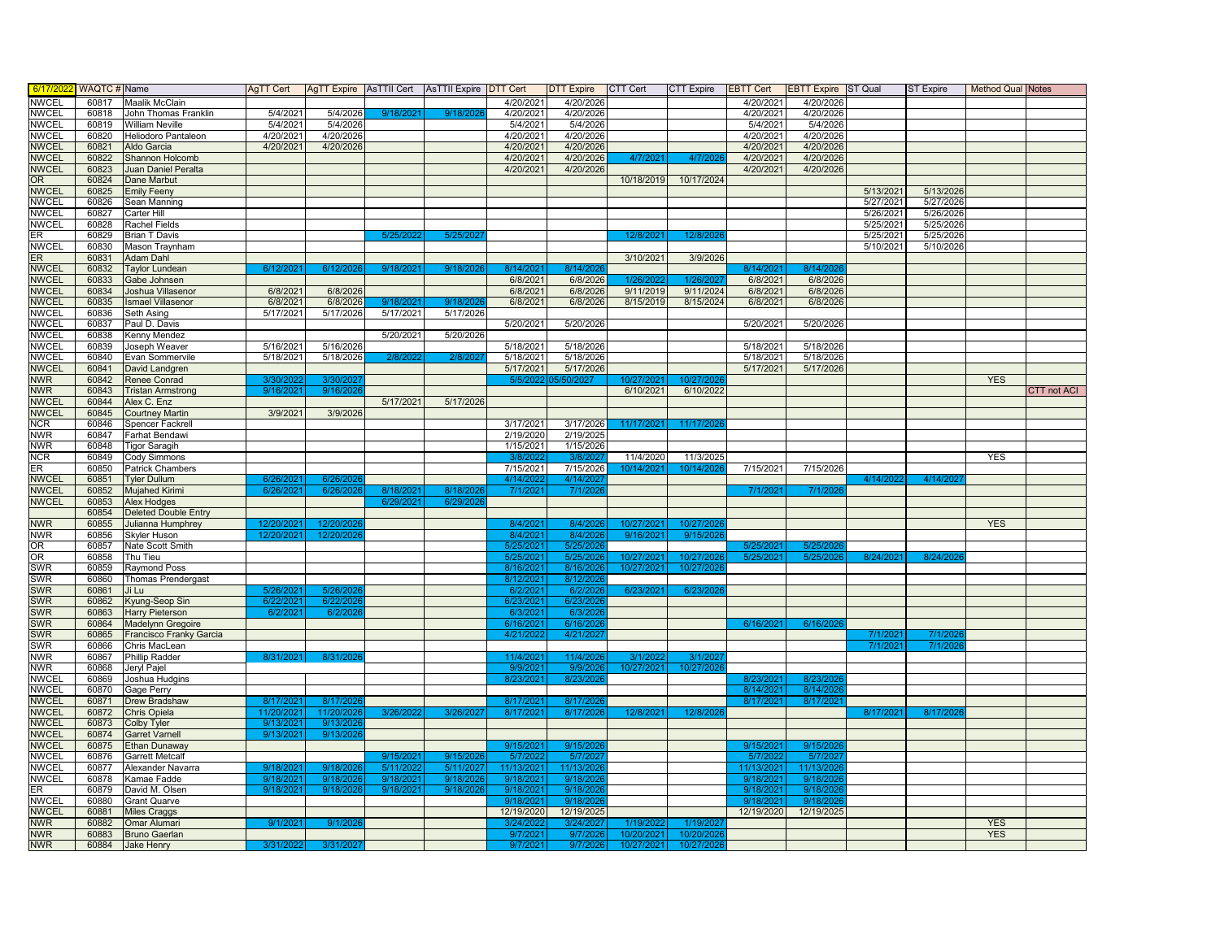| 6/17/202     | WAQTC # Name   |                             | AqTT Cert  |                    | AgTT Expire   AsTTII Cert   AsTTII Expire   DTT Cert |           |            | DTT Expire CTT Cert |            | <b>CTT Expire</b> | <b>EBTT Cert</b> | <b>EBTT Expire</b> ST Qual |           | <b>ST Expire</b> | <b>Method Qual Notes</b> |                    |
|--------------|----------------|-----------------------------|------------|--------------------|------------------------------------------------------|-----------|------------|---------------------|------------|-------------------|------------------|----------------------------|-----------|------------------|--------------------------|--------------------|
| <b>NWCEL</b> | 60817          | <b>Maalik McClain</b>       |            |                    |                                                      |           | 4/20/2021  | 4/20/2026           |            |                   | 4/20/2021        | 4/20/2026                  |           |                  |                          |                    |
| <b>NWCEL</b> | 60818          | John Thomas Franklin        | 5/4/2021   | 5/4/2026           | 9/18/2021                                            | 9/18/202  | 4/20/2021  | 4/20/2026           |            |                   | 4/20/2021        | 4/20/2026                  |           |                  |                          |                    |
| <b>NWCEL</b> | 60819          | William Neville             | 5/4/2021   | 5/4/2026           |                                                      |           | 5/4/2021   | 5/4/2026            |            |                   | 5/4/2021         | 5/4/2026                   |           |                  |                          |                    |
| NWCEL        | 60820          | Heliodoro Pantaleon         | 4/20/2021  | 4/20/2026          |                                                      |           | 4/20/2021  | 4/20/2026           |            |                   | 4/20/2021        | 4/20/2026                  |           |                  |                          |                    |
| <b>NWCEL</b> | 60821          | Aldo Garcia                 | 4/20/2021  | 4/20/2026          |                                                      |           | 4/20/2021  | 4/20/2026           |            |                   | 4/20/2021        | 4/20/2026                  |           |                  |                          |                    |
| <b>NWCEL</b> | 60822          | Shannon Holcomb             |            |                    |                                                      |           | 4/20/2021  | 4/20/2026           | 4/7/202    | 4/7/20            | 4/20/2021        | 4/20/2026                  |           |                  |                          |                    |
| <b>NWCEL</b> | 60823          | Juan Daniel Peralta         |            |                    |                                                      |           | 4/20/2021  | 4/20/2026           |            |                   | 4/20/2021        | 4/20/2026                  |           |                  |                          |                    |
| OR.          | 60824          | Dane Marbut                 |            |                    |                                                      |           |            |                     | 10/18/2019 | 10/17/2024        |                  |                            |           |                  |                          |                    |
| <b>NWCEL</b> | 60825          | <b>Emily Feeny</b>          |            |                    |                                                      |           |            |                     |            |                   |                  |                            | 5/13/2021 | 5/13/2026        |                          |                    |
| <b>NWCEL</b> | 60826          | Sean Manning                |            |                    |                                                      |           |            |                     |            |                   |                  |                            | 5/27/2021 | 5/27/2026        |                          |                    |
| <b>NWCEL</b> | 60827          | Carter Hill                 |            |                    |                                                      |           |            |                     |            |                   |                  |                            | 5/26/2021 | 5/26/2026        |                          |                    |
| <b>NWCEL</b> | 60828          | Rachel Fields               |            |                    |                                                      |           |            |                     |            |                   |                  |                            | 5/25/2021 | 5/25/2026        |                          |                    |
| ER           | 60829          | <b>Brian T Davis</b>        |            |                    | 5/25/20                                              | 5/25/20   |            |                     | 12/8/202   | 12/8/202          |                  |                            | 5/25/2021 | 5/25/2026        |                          |                    |
| <b>NWCEL</b> | 60830          | Mason Traynham              |            |                    |                                                      |           |            |                     |            |                   |                  |                            | 5/10/2021 | 5/10/2026        |                          |                    |
| ER.          | 60831          | Adam Dahl                   |            |                    |                                                      |           |            |                     | 3/10/2021  | 3/9/2026          |                  |                            |           |                  |                          |                    |
| <b>NWCEL</b> | 60832          | <b>Taylor Lundean</b>       | 6/12/202   | 6/12/2             | 9/18/202                                             | 9/18/20   | 8/14/202   | 8/14/20             |            |                   | 8/14/202         | 8/14/20                    |           |                  |                          |                    |
| <b>NWCEL</b> | 60833          | Gabe Johnsen                |            |                    |                                                      |           | 6/8/2021   | 6/8/2026            | 1/26/202   | 126/20            | 6/8/2021         | 6/8/2026                   |           |                  |                          |                    |
| <b>NWCEL</b> | 60834          | Joshua Villasenor           | 6/8/202    | 6/8/2026           |                                                      |           | 6/8/2021   | 6/8/2026            | 9/11/2019  | 9/11/2024         | 6/8/2021         | 6/8/2026                   |           |                  |                          |                    |
| <b>NWCEL</b> | 60835          | <b>Ismael Villasenor</b>    | 6/8/2021   | 6/8/2026           |                                                      | 9/18/20   | 6/8/2021   | 6/8/2026            | 8/15/2019  | 8/15/2024         | 6/8/2021         | 6/8/2026                   |           |                  |                          |                    |
| <b>NWCEL</b> | 60836          | Seth Asing                  | 5/17/2021  | 5/17/2026          | 9/18/202<br>5/17/2021                                | 5/17/2026 |            |                     |            |                   |                  |                            |           |                  |                          |                    |
| <b>NWCEL</b> | 60837          | Paul D. Davis               |            |                    |                                                      |           |            |                     |            |                   |                  |                            |           |                  |                          |                    |
| NWCEL        |                |                             |            |                    | 5/20/2021                                            | 5/20/2026 | 5/20/2021  | 5/20/2026           |            |                   | 5/20/2021        | 5/20/2026                  |           |                  |                          |                    |
| <b>NWCEL</b> | 60838<br>60839 | Kenny Mendez                | 5/16/2021  | $\sqrt{5/16/2026}$ |                                                      |           | 5/18/2021  | 5/18/2026           |            |                   | 5/18/2021        | 5/18/2026                  |           |                  |                          |                    |
| <b>NWCEL</b> | 60840          | Joseph Weaver               | 5/18/2021  | 5/18/2026          | 2/8/202                                              | 2/8/202   | 5/18/2021  | 5/18/2026           |            |                   | 5/18/2021        | 5/18/2026                  |           |                  |                          |                    |
| <b>NWCEL</b> |                | Evan Sommervile             |            |                    |                                                      |           | 5/17/2021  | 5/17/2026           |            |                   | 5/17/2021        | 5/17/2026                  |           |                  |                          |                    |
|              | 60841          | David Landgren              |            |                    |                                                      |           |            |                     |            |                   |                  |                            |           |                  |                          |                    |
| NWR.         | 60842          | Renee Conrad                | 3/30/202   | 3/30/20            |                                                      |           |            |                     | 10/27/202  |                   |                  |                            |           |                  | <b>YES</b>               |                    |
| <b>NWR</b>   | 60843          | <b>Tristan Armstrong</b>    | 9/16/2021  | 9/16/2026          |                                                      |           |            |                     | 6/10/2021  | 6/10/2022         |                  |                            |           |                  |                          | <b>CTT not ACI</b> |
| <b>NWCEL</b> | 60844          | Alex C. Enz                 |            |                    | 5/17/2021                                            | 5/17/2026 |            |                     |            |                   |                  |                            |           |                  |                          |                    |
| <b>NWCEL</b> | 60845          | <b>Courtney Martir</b>      | 3/9/2021   | 3/9/2026           |                                                      |           |            |                     |            |                   |                  |                            |           |                  |                          |                    |
| <b>NCR</b>   | 60846          | Spencer Fackrel             |            |                    |                                                      |           | 3/17/2021  | 3/17/2026           | 11/17/202  | 11/17/20          |                  |                            |           |                  |                          |                    |
| <b>NWR</b>   | 60847          | Farhat Bendawi              |            |                    |                                                      |           | 2/19/2020  | 2/19/2025           |            |                   |                  |                            |           |                  |                          |                    |
| <b>NWR</b>   | 60848          | <b>Tigor Saragih</b>        |            |                    |                                                      |           | 1/15/2021  | 1/15/2026           |            |                   |                  |                            |           |                  |                          |                    |
| <b>NCR</b>   | 60849          | Cody Simmons                |            |                    |                                                      |           | 3/8/202    | 3/8/202             | 11/4/2020  | 11/3/2025         |                  |                            |           |                  | <b>YES</b>               |                    |
| ER           | 60850          | <b>Patrick Chambers</b>     |            |                    |                                                      |           | 7/15/2021  | 7/15/2026           | 10/14/202  | 10/14/202         | 7/15/2021        | 7/15/2026                  |           |                  |                          |                    |
| <b>NWCEL</b> | 60851          | <b>Tyler Dullum</b>         | 6/26/2     | 6/26               |                                                      |           | 4/14/202   | 4/14/20             |            |                   |                  |                            | 4/14/202  | 4/14/202         |                          |                    |
| <b>NWCEL</b> | 60852          | <b>Mujahed Kirimi</b>       | 6/26/2021  | 6/26/2026          | 8/18/202                                             | 8/18/202  | 7/1/2021   | 7/1/202             |            |                   | 7/1/202          | 7/1/202                    |           |                  |                          |                    |
| <b>NWCEL</b> | 60853          | <b>Alex Hodges</b>          |            |                    | 6/29/202                                             | 6/29/20   |            |                     |            |                   |                  |                            |           |                  |                          |                    |
|              | 60854          | <b>Deleted Double Entry</b> |            |                    |                                                      |           |            |                     |            |                   |                  |                            |           |                  |                          |                    |
| <b>NWR</b>   | 60855          | Julianna Humphrey           | 12/20/2021 | 12/20/202          |                                                      |           | 8/4/2021   | 8/4/2026            | 10/27/2021 | 10/27/202         |                  |                            |           |                  | <b>YES</b>               |                    |
| NWR          | 60856          | <b>Skyler Huson</b>         | 12/20/2021 | 12/20/20           |                                                      |           | 8/4/2021   | 8/4/202             | 9/16/2021  | 9/15/20           |                  |                            |           |                  |                          |                    |
| OR           | 60857          | Nate Scott Smith            |            |                    |                                                      |           | 5/25/2021  | 5/25/20             |            |                   | 5/25/2           | 5/25/                      |           |                  |                          |                    |
| OR           | 60858          | Thu Tieu                    |            |                    |                                                      |           | 5/25/2021  | 5/25/202            | 10/27/202  | 10/27/202         | 5/25/202         | 5/25/202                   | 8/24/202  | 8/24/20          |                          |                    |
| SWR          | 60859          | Raymond Poss                |            |                    |                                                      |           | 8/16/2021  | 8/16/202            | 10/27/2021 | 10/27/202         |                  |                            |           |                  |                          |                    |
| <b>SWR</b>   | 60860          | <b>Thomas Prendergast</b>   |            |                    |                                                      |           | 8/12/2021  | 8/12/20             |            |                   |                  |                            |           |                  |                          |                    |
| <b>SWR</b>   | 60861          | Ji Lu                       | 5/26/202   | 5/26/20            |                                                      |           | 6/2/2021   | 6/2/202             | 6/23/2021  | 6/23/2020         |                  |                            |           |                  |                          |                    |
| <b>SWR</b>   | 60862          | Kyung-Seop Sin              | 6/22/202   | 6/22/2             |                                                      |           | 6/23/202   | 6/23/20             |            |                   |                  |                            |           |                  |                          |                    |
| <b>SWR</b>   | 60863          | <b>Harry Pieterson</b>      | 6/2/202    | 6/2/2              |                                                      |           | 6/3/202    | 6/3/20              |            |                   |                  |                            |           |                  |                          |                    |
| <b>SWR</b>   | 60864          | Madelynn Gregoire           |            |                    |                                                      |           | 6/16/2021  | 6/16/202            |            |                   | 6/16/202         | 6/16/202                   |           |                  |                          |                    |
| <b>SWR</b>   | 60865          | Francisco Franky Garcia     |            |                    |                                                      |           | 4/21/202   | 4/21/202            |            |                   |                  |                            |           | 7/1/20           |                          |                    |
| SWR          | 60866          | Chris MacLean               |            |                    |                                                      |           |            |                     |            |                   |                  |                            | 7/1/202   | 7/1/20           |                          |                    |
| <b>NWR</b>   | 60867          | Phillip Radder              | 8/31/2021  | 8/31/20            |                                                      |           | 11/4/2021  | 11/4/2020           | 3/1/202    | 3/1/202           |                  |                            |           |                  |                          |                    |
| <b>NWR</b>   | 60868          | Jeryl Pajel                 |            |                    |                                                      |           | 9/9/2021   | 9/9/202             | 10/27/2021 | 10/27/202         |                  |                            |           |                  |                          |                    |
| NWCEL        | 60869          | Joshua Hudgins              |            |                    |                                                      |           | 8/23/2021  | 8/23/202            |            |                   | 8/23/            | 8/23                       |           |                  |                          |                    |
| <b>NWCEL</b> | 60870          | Gage Perry                  |            |                    |                                                      |           |            |                     |            |                   | 8/14/2021        | 8/14/20                    |           |                  |                          |                    |
| <b>NWCEL</b> | 60871          | Drew Bradshaw               | 8/17/2     | 8/17/2             |                                                      |           | 8/17/20    |                     |            |                   | 8/17/202         | 8/17/20                    |           |                  |                          |                    |
| <b>NWCEL</b> | 60872          | Chris Opiela                | 11/20/202  | 11/20/2            | 3/26/202                                             | 3/26/20   | 8/17/202   | 8/17/20             | 12/8/202   | 12/8/202          |                  |                            | 8/17/202  | 8/17/20          |                          |                    |
| <b>NWCEL</b> | 60873          | Colby Tyler                 | 9/13/202   | 9/13/20            |                                                      |           |            |                     |            |                   |                  |                            |           |                  |                          |                    |
| <b>NWCEL</b> | 60874          | <b>Garret Varnell</b>       | 9/13/202   | 9/13/20            |                                                      |           |            |                     |            |                   |                  |                            |           |                  |                          |                    |
| <b>NWCEL</b> | 60875          | Ethan Dunaway               |            |                    |                                                      |           | 9/15/202   | 9/15/20             |            |                   | 9/15/2           | 9/15/2                     |           |                  |                          |                    |
| <b>NWCEL</b> | 60876          | <b>Garrett Metcalf</b>      |            |                    | 9/15/202                                             | 9/15/20   | 5/7/2022   | 5/7/202             |            |                   | 5/7/2022         | 5/7/202                    |           |                  |                          |                    |
| <b>NWCEL</b> | 60877          | Alexander Navarra           | 9/18/202   | 9/18/20            | 5/11/2022                                            | 5/11/202  | 11/13/2021 | 11/13/202           |            |                   | 11/13/202        | 11/13/202                  |           |                  |                          |                    |
| <b>NWCEL</b> | 60878          | Kamae Fadde                 | 9/18/202   | 9/18/20            | 9/18                                                 | 9/18/20   | 9/18/202   | 9/18/20             |            |                   | 9/18/202         | 9/18/2                     |           |                  |                          |                    |
| ER           | 60879          | David M. Olsen              | 9/18/202   | 9/18/20            | 9/18/202                                             | 9/18/20   | 9/18/2021  | 9/18/202            |            |                   | 9/18/202         | 9/18/20                    |           |                  |                          |                    |
| NWCEL        | 60880          | <b>Grant Quarve</b>         |            |                    |                                                      |           | 9/18/202   | 9/18/20             |            |                   | 9/18/20          | 9/18/2                     |           |                  |                          |                    |
| <b>NWCEL</b> | 60881          | <b>Miles Craggs</b>         |            |                    |                                                      |           | 12/19/2020 | 12/19/2025          |            |                   | 12/19/2020       | 12/19/2025                 |           |                  |                          |                    |
| <b>NWR</b>   | 60882          | Omar Alumari                | 9/1/202    | 9/1/20             |                                                      |           | 3/24/202   | 3/24/202            | 1/19/202   | 1/19/202          |                  |                            |           |                  | <b>YES</b>               |                    |
| <b>NWR</b>   | 60883          | <b>Bruno Gaerlan</b>        |            |                    |                                                      |           | 9/7/2021   | 9/7/202             | 10/20/202  | 10/20/20          |                  |                            |           |                  | <b>YES</b>               |                    |
| <b>NWR</b>   | 60884          | Jake Henry                  | 3/31/202   | 3/31/2             |                                                      |           | 9/7/2021   | 9/7/202             | 10/27/2021 | 10/27/20          |                  |                            |           |                  |                          |                    |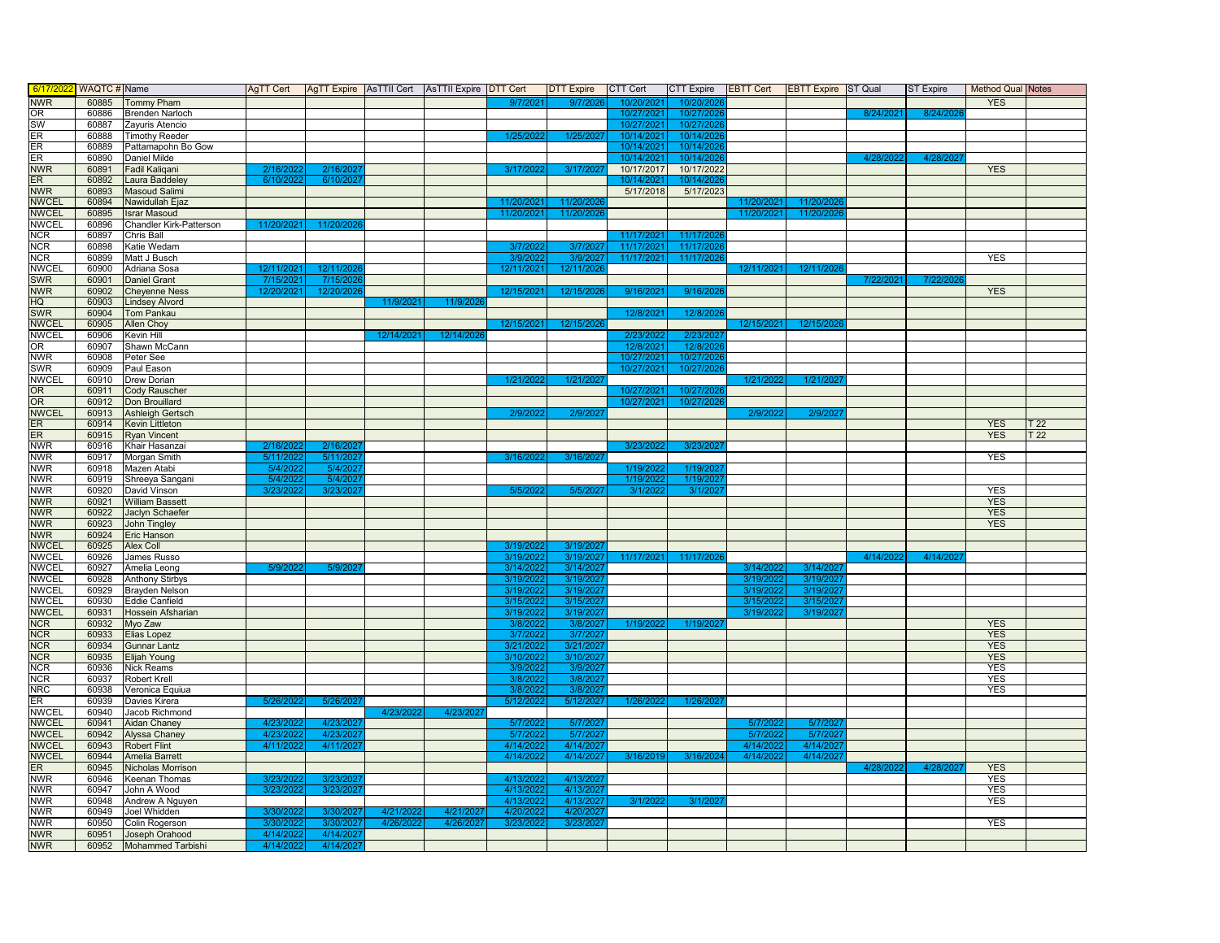| 6/17/20      | WAQTC # Name |                          | AgTT Cert              |           |           | AgTT Expire   AsTTII Cert   AsTTII Expire   DTT Cert |            | <b>DTT Expire</b> | <b>CTT Cert</b>        | <b>CTT Expire</b> | <b>EBTT Cert</b> | <b>EBTT Expire ST Qual</b> |           | ST Expire | Method Qual Notes |                 |
|--------------|--------------|--------------------------|------------------------|-----------|-----------|------------------------------------------------------|------------|-------------------|------------------------|-------------------|------------------|----------------------------|-----------|-----------|-------------------|-----------------|
| <b>NWR</b>   | 60885        | Tommy Pham               |                        |           |           |                                                      | 9/7/202    | 9/7/202           | 10/20/202              | 10/20/20          |                  |                            |           |           | <b>YES</b>        |                 |
| OR           | 60886        | <b>Brenden Narloch</b>   |                        |           |           |                                                      |            |                   | 10/27/2021             | 10/27/202         |                  |                            | 8/24/2021 | 8/24/20   |                   |                 |
| <b>SW</b>    | 60887        | Zayuris Atencio          |                        |           |           |                                                      |            |                   | 10/27/202              | 10/27/202         |                  |                            |           |           |                   |                 |
| ER           |              | <b>Timothy Reeder</b>    |                        |           |           |                                                      | 1/25/202   | 1/25/202          | 10/14/2021             |                   |                  |                            |           |           |                   |                 |
|              | 60888        |                          |                        |           |           |                                                      |            |                   |                        | 10/14/202         |                  |                            |           |           |                   |                 |
| ER           | 60889        | Pattamapohn Bo Gow       |                        |           |           |                                                      |            |                   | 10/14/2021             | 10/14/202         |                  |                            |           |           |                   |                 |
| ER           | 60890        | <b>Daniel Milde</b>      |                        |           |           |                                                      |            |                   | 10/14/202              | 10/14/202         |                  |                            | 4/28/2    | 4/28/2    |                   |                 |
| <b>NWR</b>   | 60891        | Fadil Kaliqani           | 2/16/20                | 2/16/202  |           |                                                      | 3/17/202   | 3/17/202          | 10/17/2017             | 10/17/2022        |                  |                            |           |           | <b>YES</b>        |                 |
| ER           | 60892        | Laura Baddeley           | 6/10/20                | 6/10/2    |           |                                                      |            |                   | 10/14/202              | 10/14/2           |                  |                            |           |           |                   |                 |
| <b>NWR</b>   | 60893        | Masoud Salimi            |                        |           |           |                                                      |            |                   | 5/17/2018              | 5/17/2023         |                  |                            |           |           |                   |                 |
| <b>NWCEL</b> | 60894        | Nawidullah Ejaz          |                        |           |           |                                                      | 11/20/202  | 11/20/20          |                        |                   | 11/20/202        | 11/20/20                   |           |           |                   |                 |
| <b>NWCEL</b> | 60895        | <b>Israr Masoud</b>      |                        |           |           |                                                      | 11/20/2021 | 11/20/202         |                        |                   | 11/20/2021       | 11/20/202                  |           |           |                   |                 |
| <b>NWCEL</b> | 60896        | Chandler Kirk-Patterson  | 11/20/202              | 11/20/202 |           |                                                      |            |                   |                        |                   |                  |                            |           |           |                   |                 |
| <b>NCR</b>   | 60897        | Chris Ball               |                        |           |           |                                                      |            |                   | 11/17/20               | 11/17/20          |                  |                            |           |           |                   |                 |
| <b>NCR</b>   | 60898        | Katie Wedam              |                        |           |           |                                                      | 3/7/202    | 3/7/20            | 11/17/202              | 11/17/20          |                  |                            |           |           |                   |                 |
| <b>NCR</b>   | 60899        | Matt J Busch             |                        |           |           |                                                      | 3/9/2022   | 3/9/2027          | 11/17/2021             | 11/17/202         |                  |                            |           |           | <b>YES</b>        |                 |
| <b>NWCEL</b> | 60900        | Adriana Sosa             | 12/11/202              | 12/11/2   |           |                                                      | 12/11/202  | 12/11/20          |                        |                   | 12/11/20         | 12/11/20                   |           |           |                   |                 |
| <b>SWR</b>   | 60901        | <b>Daniel Grant</b>      |                        | 7/15/20   |           |                                                      |            |                   |                        |                   |                  |                            |           |           |                   |                 |
|              |              |                          | 7/15/2021              |           |           |                                                      |            |                   |                        |                   |                  |                            | 7/22/2021 | 7/22/20   |                   |                 |
| <b>NWR</b>   | 60902        | <b>Cheyenne Ness</b>     | 12/20/202 <sup>-</sup> | 12/20/20  |           |                                                      | 12/15/202  | 12/15/202         | 9/16/202               | 9/16/20           |                  |                            |           |           | <b>YES</b>        |                 |
| HQ           | 60903        | <b>Lindsey Alvord</b>    |                        |           | 11/9/202  | 11/9/202                                             |            |                   |                        |                   |                  |                            |           |           |                   |                 |
| <b>SWR</b>   | 60904        | <b>Tom Pankau</b>        |                        |           |           |                                                      |            |                   | 12/8/202               | 12/8/202          |                  |                            |           |           |                   |                 |
| <b>NWCEL</b> | 60905        | <b>Allen Choy</b>        |                        |           |           |                                                      | 12/15/202  | 12/15/202         |                        |                   | 12/15/202        | 12/15/20                   |           |           |                   |                 |
| <b>NWCEL</b> | 60906        | Kevin Hill               |                        |           | 12/14/202 | 12/14/202                                            |            |                   | 2/23/20                | 2/23/202          |                  |                            |           |           |                   |                 |
| OR           | 60907        | Shawn McCann             |                        |           |           |                                                      |            |                   | 12/8/202               | 12/8/20           |                  |                            |           |           |                   |                 |
| <b>NWR</b>   | 60908        | Peter See                |                        |           |           |                                                      |            |                   | 10/27/2021             | 10/27/202         |                  |                            |           |           |                   |                 |
| <b>SWR</b>   | 60909        | Paul Eason               |                        |           |           |                                                      |            |                   | 10/27/202              | 10/27/202         |                  |                            |           |           |                   |                 |
| <b>NWCEL</b> | 60910        | Drew Dorian              |                        |           |           |                                                      | 1/21/202   | 1/21/20           |                        |                   | 1/21/20          | 1/21/20                    |           |           |                   |                 |
| OR           | 60911        | <b>Cody Rauscher</b>     |                        |           |           |                                                      |            |                   | 10/27/202              | 10/27/20          |                  |                            |           |           |                   |                 |
| <b>OR</b>    | 60912        | Don Brouillard           |                        |           |           |                                                      |            |                   | 10/27/2021             | 10/27/202         |                  |                            |           |           |                   |                 |
| <b>NWCEL</b> | 60913        | Ashleigh Gertsch         |                        |           |           |                                                      | 2/9/202    | 2/9/202           |                        |                   | 2/9/202          | 2/9/20                     |           |           |                   |                 |
| ER           | 60914        | <b>Kevin Littleton</b>   |                        |           |           |                                                      |            |                   |                        |                   |                  |                            |           |           | <b>YES</b>        | T <sub>22</sub> |
| ER.          | 60915        | <b>Ryan Vincent</b>      |                        |           |           |                                                      |            |                   |                        |                   |                  |                            |           |           | <b>YES</b>        | T <sub>22</sub> |
|              |              |                          |                        |           |           |                                                      |            |                   | 3/23/20                |                   |                  |                            |           |           |                   |                 |
| <b>NWR</b>   | 60916        | Khair Hasanzai           | 2/16/2                 | 2/16/20   |           |                                                      |            |                   |                        | 3/23/20           |                  |                            |           |           |                   |                 |
| <b>NWR</b>   | 60917        | Morgan Smith             | 5/11/2                 | 5/11/20   |           |                                                      | 3/16/202   | 3/16/202          |                        |                   |                  |                            |           |           | <b>YES</b>        |                 |
| <b>NWR</b>   | 60918        | Mazen Atabi              | 5/4/20                 | 5/4/20    |           |                                                      |            |                   | 1/19/202               | 1/19/202          |                  |                            |           |           |                   |                 |
| <b>NWR</b>   | 60919        | Shreeya Sangani          | 5/4/20                 | 5/4/2     |           |                                                      |            |                   | 1/19/202               | 1/19/20           |                  |                            |           |           |                   |                 |
| <b>NWR</b>   | 60920        | David Vinson             | 3/23/202               | 3/23/202  |           |                                                      | 5/5/202    | 5/5/202           | 3/1/202                | 3/1/202           |                  |                            |           |           | <b>YES</b>        |                 |
| <b>NWR</b>   | 60921        | <b>William Bassett</b>   |                        |           |           |                                                      |            |                   |                        |                   |                  |                            |           |           | <b>YES</b>        |                 |
| <b>NWR</b>   | 60922        | Jaclyn Schaefer          |                        |           |           |                                                      |            |                   |                        |                   |                  |                            |           |           | <b>YES</b>        |                 |
| <b>NWR</b>   | 60923        | John Tingley             |                        |           |           |                                                      |            |                   |                        |                   |                  |                            |           |           | <b>YES</b>        |                 |
| <b>NWR</b>   | 60924        | Eric Hanson              |                        |           |           |                                                      |            |                   |                        |                   |                  |                            |           |           |                   |                 |
| <b>NWCEL</b> | 60925        | <b>Alex Coll</b>         |                        |           |           |                                                      | 3/19/202   | 3/19/202          |                        |                   |                  |                            |           |           |                   |                 |
| <b>NWCEL</b> | 60926        | James Russo              |                        |           |           |                                                      | 3/19/202   | 3/19/202          | 11/17/202 <sup>-</sup> | 11/17/20          |                  |                            | 4/14/20   | 4/14/20   |                   |                 |
| <b>NWCEL</b> | 60927        | Amelia Leong             | 5/9/202                | 5/9/20    |           |                                                      | 3/14/2022  | 3/14/202          |                        |                   | 3/14/20          | 3/14/20                    |           |           |                   |                 |
| <b>NWCEL</b> | 60928        |                          |                        |           |           |                                                      | 3/19/202   | 3/19/202          |                        |                   | 3/19/202         | 3/19/202                   |           |           |                   |                 |
|              |              | Anthony Stirbys          |                        |           |           |                                                      | 3/19/202   | 3/19/20           |                        |                   | 3/19/20          | 3/19/20                    |           |           |                   |                 |
| <b>NWCEL</b> | 60929        | <b>Brayden Nelson</b>    |                        |           |           |                                                      |            |                   |                        |                   |                  |                            |           |           |                   |                 |
| <b>NWCEL</b> | 60930        | Eddie Canfield           |                        |           |           |                                                      | 3/15/202   | 3/15/20           |                        |                   | 3/15/20          | 3/15/20                    |           |           |                   |                 |
| <b>NWCEL</b> | 60931        | Hossein Afsharian        |                        |           |           |                                                      | 3/19/202   | 3/19/202          |                        |                   | 3/19/202         | 3/19/202                   |           |           |                   |                 |
| <b>NCR</b>   | 60932        | Myo Zaw                  |                        |           |           |                                                      | 3/8/202    | 3/8/202           | 1/19/202               | 1/19/202          |                  |                            |           |           | <b>YES</b>        |                 |
| <b>NCR</b>   | 60933        | Elias Lopez              |                        |           |           |                                                      | 3/7/2022   | 3/7/202           |                        |                   |                  |                            |           |           | <b>YES</b>        |                 |
| <b>NCR</b>   | 60934        | <b>Gunnar Lantz</b>      |                        |           |           |                                                      | 3/21/2022  | 3/21/202          |                        |                   |                  |                            |           |           | <b>YES</b>        |                 |
| <b>NCR</b>   | 60935        | Elijah Young             |                        |           |           |                                                      | 3/10/202   | 3/10/20           |                        |                   |                  |                            |           |           | <b>YES</b>        |                 |
| <b>NCR</b>   | 60936        | Nick Reams               |                        |           |           |                                                      | 3/9/202    | 3/9/2             |                        |                   |                  |                            |           |           | <b>YES</b>        |                 |
| <b>NCR</b>   | 60937        | Robert Krell             |                        |           |           |                                                      | 3/8/202    | 3/8/20            |                        |                   |                  |                            |           |           | <b>YES</b>        |                 |
| NRC          | 60938        | Veronica Equiua          |                        |           |           |                                                      | 3/8/202    | 3/8/20            |                        |                   |                  |                            |           |           | <b>YES</b>        |                 |
| ER           | 60939        | Davies Kirera            | 5/26/202               | 5/26/202  |           |                                                      | 5/12/202   | 5/12/202          | 1/26/2022              | 1/26/202          |                  |                            |           |           |                   |                 |
| <b>NWCEL</b> | 60940        | Jacob Richmond           |                        |           | 4/23/20   | 4/23/20                                              |            |                   |                        |                   |                  |                            |           |           |                   |                 |
| <b>NWCEL</b> | 60941        | Aidan Chaney             | 4/23/20                | 4/23/202  |           |                                                      | 5/7/202    | 5/7/202           |                        |                   | 5/7/202          | 5/7/20                     |           |           |                   |                 |
| <b>NWCEL</b> | 60942        | <b>Alyssa Chaney</b>     | 4/23/20                | 4/23/20   |           |                                                      | 5/7/202    | 5/7/20            |                        |                   | 5/7/20           | 5/7/20                     |           |           |                   |                 |
| <b>NWCEL</b> | 60943        | Robert Flint             | 4/11/20                | 4/11/20   |           |                                                      | 4/14/2022  | 4/14/20           |                        |                   | 4/14/20          | 4/14/20                    |           |           |                   |                 |
| <b>NWCEL</b> | 60944        | <b>Amelia Barrett</b>    |                        |           |           |                                                      | 4/14/2022  | 4/14/2027         | 3/16/201               | 3/16/2024         | 4/14/202         | 4/14/202                   |           |           |                   |                 |
|              |              |                          |                        |           |           |                                                      |            |                   |                        |                   |                  |                            |           |           |                   |                 |
| ER           | 60945        | Nicholas Morrison        |                        |           |           |                                                      |            |                   |                        |                   |                  |                            | 4/28/2    | 4/28/20   | <b>YES</b>        |                 |
| <b>NWR</b>   | 60946        | Keenan Thomas            | 3/23/20                | 3/23/20   |           |                                                      | 4/13/202   | 4/13/20           |                        |                   |                  |                            |           |           | <b>YES</b>        |                 |
| <b>NWR</b>   | 60947        | John A Wood              | 3/23/202               | 3/23/202  |           |                                                      | 4/13/202   | 4/13/202          |                        |                   |                  |                            |           |           | <b>YES</b>        |                 |
| <b>NWR</b>   | 60948        | Andrew A Nguyen          |                        |           |           |                                                      | 4/13/202   | 4/13/20           | 3/1/202                | 3/1/202           |                  |                            |           |           | <b>YES</b>        |                 |
| <b>NWR</b>   | 60949        | Joel Whidden             | 3/30/20                | 3/30/202  | 4/21/     | 4/21/20                                              | 4/20/202   | 4/20/20           |                        |                   |                  |                            |           |           |                   |                 |
| <b>NWR</b>   | 60950        | Colin Rogerson           | 3/30/202               | 3/30/2021 | 4/26/2022 | 4/26/2027                                            | 3/23/2022  | 3/23/202          |                        |                   |                  |                            |           |           | <b>YES</b>        |                 |
| <b>NWR</b>   | 60951        | Joseph Orahood           | 4/14/202               | 4/14/202  |           |                                                      |            |                   |                        |                   |                  |                            |           |           |                   |                 |
| <b>NWR</b>   | 60952        | <b>Mohammed Tarbishi</b> | 4/14/2022              | 4/14/202  |           |                                                      |            |                   |                        |                   |                  |                            |           |           |                   |                 |
|              |              |                          |                        |           |           |                                                      |            |                   |                        |                   |                  |                            |           |           |                   |                 |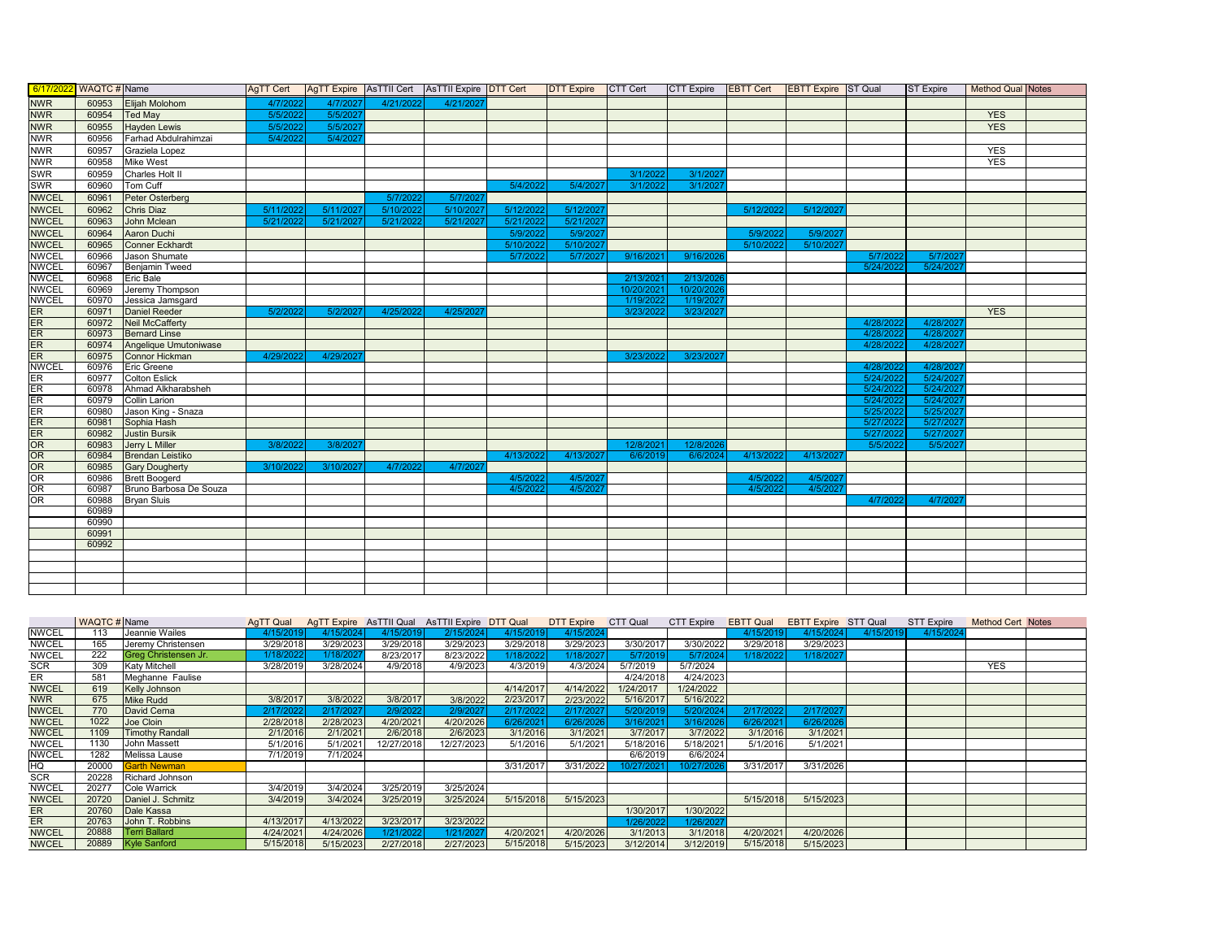|              | 6/17/2022 WAQTC # Name |                                                | <b>AgTT Cert</b> |           |           | AgTT Expire AsTTII Cert AsTTII Expire DTT Cert |           |           | DTT Expire CTT Cert CTT Expire EBTT Cert EBTT Expire ST Qual |            |                      |           |           | <b>ST Expire</b> | <b>Method Qual Notes</b> |  |
|--------------|------------------------|------------------------------------------------|------------------|-----------|-----------|------------------------------------------------|-----------|-----------|--------------------------------------------------------------|------------|----------------------|-----------|-----------|------------------|--------------------------|--|
| <b>NWR</b>   | 60953                  | Elijah Molohom                                 | 4/7/2022         | 4/7/2027  | 4/21/2022 | 4/21/202                                       |           |           |                                                              |            |                      |           |           |                  |                          |  |
| <b>NWR</b>   | 60954                  | <b>Ted May</b>                                 | 5/5/2022         | 5/5/2027  |           |                                                |           |           |                                                              |            |                      |           |           |                  | <b>YES</b>               |  |
| <b>NWR</b>   | 60955                  | Hayden Lewis                                   | 5/5/2022         | 5/5/2027  |           |                                                |           |           |                                                              |            |                      |           |           |                  | <b>YES</b>               |  |
| <b>NWR</b>   | 60956                  | Farhad Abdulrahimzai                           | 5/4/2022         | 5/4/2027  |           |                                                |           |           |                                                              |            |                      |           |           |                  |                          |  |
| <b>NWR</b>   | 60957                  | Graziela Lopez                                 |                  |           |           |                                                |           |           |                                                              |            |                      |           |           |                  | <b>YES</b>               |  |
| <b>NWR</b>   | 60958                  | Mike West                                      |                  |           |           |                                                |           |           |                                                              |            |                      |           |           |                  | <b>YES</b>               |  |
| <b>SWR</b>   | 60959                  | Charles Holt II                                |                  |           |           |                                                |           |           | 3/1/2022                                                     | 3/1/2027   |                      |           |           |                  |                          |  |
| SWR          | 60960                  | Tom Cuff                                       |                  |           |           |                                                | 5/4/2022  | 5/4/2027  | 3/1/2022                                                     | 3/1/202    |                      |           |           |                  |                          |  |
| <b>NWCEL</b> | 60961                  | Peter Osterberg                                |                  |           | 5/7/2022  | 5/7/2027                                       |           |           |                                                              |            |                      |           |           |                  |                          |  |
| <b>NWCEL</b> | 60962                  | Chris Diaz                                     | 5/11/2022        | 5/11/2027 | 5/10/2022 | 5/10/2027                                      | 5/12/2022 | 5/12/2027 |                                                              |            | 5/12/2022            | 5/12/2027 |           |                  |                          |  |
| <b>NWCEL</b> | 60963                  | John Mclean                                    | 5/21/2022        | 5/21/2027 | 5/21/2022 | 5/21/2027                                      | 5/21/2022 | 5/21/2027 |                                                              |            |                      |           |           |                  |                          |  |
| <b>NWCEL</b> | 60964                  | Aaron Duchi                                    |                  |           |           |                                                | 5/9/2022  | 5/9/2027  |                                                              |            | 5/9/2022             | 5/9/2021  |           |                  |                          |  |
| <b>NWCEL</b> | 60965                  | Conner Eckhardt                                |                  |           |           |                                                | 5/10/2022 | 5/10/2027 |                                                              |            | 5/10/2022            | 5/10/2027 |           |                  |                          |  |
| <b>NWCEL</b> | 60966                  | Jason Shumate                                  |                  |           |           |                                                | 5/7/2022  | 5/7/2027  | 9/16/2021                                                    | 9/16/2026  |                      |           | 5/7/2022  | 5/7/202          |                          |  |
| <b>NWCEL</b> | 60967                  | <b>Benjamin Tweed</b>                          |                  |           |           |                                                |           |           |                                                              |            |                      |           | 5/24/2022 | 5/24/202         |                          |  |
| <b>NWCEL</b> | 60968                  | <b>Eric Bale</b>                               |                  |           |           |                                                |           |           | 2/13/2021                                                    | 2/13/2026  |                      |           |           |                  |                          |  |
| <b>NWCEL</b> | 60969                  | Jeremy Thompson                                |                  |           |           |                                                |           |           | 10/20/2021                                                   | 10/20/2026 |                      |           |           |                  |                          |  |
| <b>NWCEL</b> | 60970                  | Jessica Jamsgard                               |                  |           |           |                                                |           |           | 1/19/2022                                                    | 1/19/202   |                      |           |           |                  |                          |  |
| ER           | 60971                  | Daniel Reeder                                  | 5/2/2022         | 5/2/2027  | 4/25/2022 | 4/25/2021                                      |           |           | 3/23/2022                                                    | 3/23/2027  |                      |           |           |                  | <b>YES</b>               |  |
| ER           | 60972                  | Neil McCafferty                                |                  |           |           |                                                |           |           |                                                              |            |                      |           | 4/28/2022 | 4/28/2021        |                          |  |
| ER           | 60973                  | <b>Bernard Linse</b>                           |                  |           |           |                                                |           |           |                                                              |            |                      |           | 4/28/2022 | 4/28/2021        |                          |  |
| ER           | 60974                  | Angelique Umutoniwase                          |                  |           |           |                                                |           |           |                                                              |            |                      |           | 4/28/2022 | 4/28/2021        |                          |  |
| ER           | 60975                  | Connor Hickman                                 | 4/29/2022        | 4/29/2027 |           |                                                |           |           | 3/23/2022                                                    | 3/23/2027  |                      |           |           |                  |                          |  |
| <b>NWCEL</b> | 60976                  | Eric Greene                                    |                  |           |           |                                                |           |           |                                                              |            |                      |           | 4/28/2022 | 4/28/202         |                          |  |
| ER           | 60977                  | <b>Colton Eslick</b>                           |                  |           |           |                                                |           |           |                                                              |            |                      |           | 5/24/2022 | 5/24/202         |                          |  |
| ER           | 60978                  | Ahmad Alkharabsheh                             |                  |           |           |                                                |           |           |                                                              |            |                      |           | 5/24/2022 | 5/24/2021        |                          |  |
| ER           | 60979                  | Collin Larion                                  |                  |           |           |                                                |           |           |                                                              |            |                      |           | 5/24/2022 | 5/24/2027        |                          |  |
| ER           | 60980                  | Jason King - Snaza                             |                  |           |           |                                                |           |           |                                                              |            |                      |           | 5/25/2022 | 5/25/2027        |                          |  |
| ER           | 60981                  | Sophia Hash                                    |                  |           |           |                                                |           |           |                                                              |            |                      |           | 5/27/2022 | 5/27/2021        |                          |  |
| ER           | 60982                  | <b>Justin Bursik</b>                           |                  |           |           |                                                |           |           |                                                              |            |                      |           | 5/27/2022 | 5/27/2021        |                          |  |
| OR           | 60983                  | Jerry L Miller                                 | 3/8/2022         | 3/8/2027  |           |                                                |           |           | 12/8/2021                                                    | 12/8/2026  |                      |           | 5/5/2022  | 5/5/2021         |                          |  |
| OR           | 60984                  | <b>Brendan Leistiko</b>                        |                  |           |           |                                                | 4/13/2022 | 4/13/2027 | 6/6/2019                                                     | 6/6/2024   | 4/13/2022            | 4/13/2027 |           |                  |                          |  |
| OR<br>OR     | 60985                  | <b>Gary Dougherty</b>                          | 3/10/2022        | 3/10/2027 | 4/7/2022  | 4/7/2021                                       | 4/5/2022  | 4/5/2027  |                                                              |            |                      | 4/5/2027  |           |                  |                          |  |
| OR           | 60986<br>60987         | <b>Brett Boogerd</b><br>Bruno Barbosa De Souza |                  |           |           |                                                | 4/5/2022  | 4/5/2027  |                                                              |            | 4/5/2022<br>4/5/2022 | 4/5/202   |           |                  |                          |  |
| OR           | 60988                  | <b>Bryan Sluis</b>                             |                  |           |           |                                                |           |           |                                                              |            |                      |           | 4/7/2022  | 4/7/202          |                          |  |
|              | 60989                  |                                                |                  |           |           |                                                |           |           |                                                              |            |                      |           |           |                  |                          |  |
|              | 60990                  |                                                |                  |           |           |                                                |           |           |                                                              |            |                      |           |           |                  |                          |  |
|              | 60991                  |                                                |                  |           |           |                                                |           |           |                                                              |            |                      |           |           |                  |                          |  |
|              | 60992                  |                                                |                  |           |           |                                                |           |           |                                                              |            |                      |           |           |                  |                          |  |
|              |                        |                                                |                  |           |           |                                                |           |           |                                                              |            |                      |           |           |                  |                          |  |
|              |                        |                                                |                  |           |           |                                                |           |           |                                                              |            |                      |           |           |                  |                          |  |
|              |                        |                                                |                  |           |           |                                                |           |           |                                                              |            |                      |           |           |                  |                          |  |
|              |                        |                                                |                  |           |           |                                                |           |           |                                                              |            |                      |           |           |                  |                          |  |

|              | <b>WAQTC#</b> Name |                        | AgTT Qual |           |            | AgTT Expire AsTTII Qual AsTTII Expire DTT Qual |           | <b>DTT Expire</b> | CTT Qual   | <b>CTT Expire</b> | <b>EBTT Qual</b> | <b>EBTT Expire STT Qual</b> |           | STT Expire | <b>Method Cert Notes</b> |  |
|--------------|--------------------|------------------------|-----------|-----------|------------|------------------------------------------------|-----------|-------------------|------------|-------------------|------------------|-----------------------------|-----------|------------|--------------------------|--|
| <b>NWCEL</b> | 113                | Jeannie Wailes         | 4/15/2019 | 4/15/2024 | 4/15/2019  | 2/15/2024                                      | 4/15/2019 | 4/15/2024         |            |                   | 4/15/2019        | 4/15/2024                   | 4/15/2019 | 4/15/2024  |                          |  |
| <b>NWCEL</b> | 165                | Jeremy Christensen     | 3/29/2018 | 3/29/2023 | 3/29/2018  | 3/29/2023                                      | 3/29/2018 | 3/29/2023         | 3/30/2017  | 3/30/2022         | 3/29/2018        | 3/29/2023                   |           |            |                          |  |
| <b>NWCEL</b> | 222                | Greg Christensen Jr.   | 1/18/2022 | 1/18/202  | 8/23/2017  | 8/23/2022                                      | /18/202   | /18/2021          | 5/7/2019   | 5/7/2024          | 1/18/2022        | 1/18/202                    |           |            |                          |  |
| <b>SCR</b>   | 309                | <b>Katy Mitchell</b>   | 3/28/2019 | 3/28/2024 | 4/9/2018   | 4/9/2023                                       | 4/3/2019  | 4/3/2024          | 5/7/2019   | 5/7/2024          |                  |                             |           |            | <b>YES</b>               |  |
| ER           | 581                | Meghanne Faulise       |           |           |            |                                                |           |                   | 4/24/2018  | 4/24/2023         |                  |                             |           |            |                          |  |
| <b>NWCEL</b> | 619                | Kelly Johnson          |           |           |            |                                                | 4/14/2017 | 4/14/2022         | 1/24/2017  | 1/24/2022         |                  |                             |           |            |                          |  |
| <b>NWR</b>   | 675                | <b>Mike Rudd</b>       | 3/8/2017  | 3/8/2022  | 3/8/2017   | 3/8/2022                                       | 2/23/2017 | 2/23/2022         | 5/16/2017  | 5/16/2022         |                  |                             |           |            |                          |  |
| <b>NWCEL</b> | 770                | David Cerna            | 2/17/2022 | 2/17/2027 | 2/9/2022   | 2/9/202                                        | 2/17/202: | 2/17/2027         | 5/20/2019  | 5/20/2024         | 2/17/2022        | 2/17/202                    |           |            |                          |  |
| <b>NWCEL</b> | 1022               | Joe Cloin              | 2/28/2018 | 2/28/2023 | 4/20/2021  | 4/20/2026                                      | 6/26/2021 | 6/26/2026         | 3/16/2021  | 3/16/2026         | 6/26/2021        | 6/26/2026                   |           |            |                          |  |
| <b>NWCEL</b> | 1109               | <b>Timothy Randall</b> | 2/1/2016  | 2/1/2021  | 2/6/2018   | 2/6/2023                                       | 3/1/2016  | 3/1/2021          | 3/7/2017   | 3/7/2022          | 3/1/2016         | 3/1/2021                    |           |            |                          |  |
| <b>NWCEL</b> | 1130               | John Massett           | 5/1/2016  | 5/1/2021  | 12/27/2018 | 12/27/2023                                     | 5/1/2016  | 5/1/2021          | 5/18/2016  | 5/18/2021         | 5/1/2016         | 5/1/2021                    |           |            |                          |  |
| <b>NWCEL</b> | 1282               | Melissa Lause          | 7/1/2019  | 7/1/2024  |            |                                                |           |                   | 6/6/2019   | 6/6/2024          |                  |                             |           |            |                          |  |
| HQ           | 20000              | <b>Garth Newman</b>    |           |           |            |                                                | 3/31/2017 | 3/31/2022         | 10/27/2021 | 10/27/2026        | 3/31/2017        | 3/31/2026                   |           |            |                          |  |
| <b>SCR</b>   | 20228              | <b>Richard Johnson</b> |           |           |            |                                                |           |                   |            |                   |                  |                             |           |            |                          |  |
| <b>NWCEL</b> | 20277              | <b>Cole Warrick</b>    | 3/4/2019  | 3/4/2024  | 3/25/2019  | 3/25/2024                                      |           |                   |            |                   |                  |                             |           |            |                          |  |
| <b>NWCEL</b> | 20720              | Daniel J. Schmitz      | 3/4/2019  | 3/4/2024  | 3/25/2019  | 3/25/2024                                      | 5/15/2018 | 5/15/2023         |            |                   | 5/15/2018        | 5/15/2023                   |           |            |                          |  |
| <b>ER</b>    | 20760              | Dale Kassa             |           |           |            |                                                |           |                   | 1/30/2017  | 1/30/2022         |                  |                             |           |            |                          |  |
| <b>ER</b>    | 20763              | John T. Robbins        | 4/13/2017 | 4/13/2022 | 3/23/2017  | 3/23/2022                                      |           |                   | 1/26/2022  | 1/26/2027         |                  |                             |           |            |                          |  |
| <b>NWCEL</b> |                    | 20888   Terri Ballard  | 4/24/2021 | 4/24/2026 | 1/21/2022  | 1/21/2021                                      | 4/20/2021 | 4/20/2026         | 3/1/2013   | 3/1/2018          | 4/20/2021        | 4/20/2026                   |           |            |                          |  |
| <b>NWCEL</b> |                    | 20889 Kyle Sanford     | 5/15/2018 | 5/15/2023 | 2/27/2018  | 2/27/2023                                      | 5/15/2018 | 5/15/2023         | 3/12/2014  | 3/12/2019         | 5/15/2018        | 5/15/2023                   |           |            |                          |  |